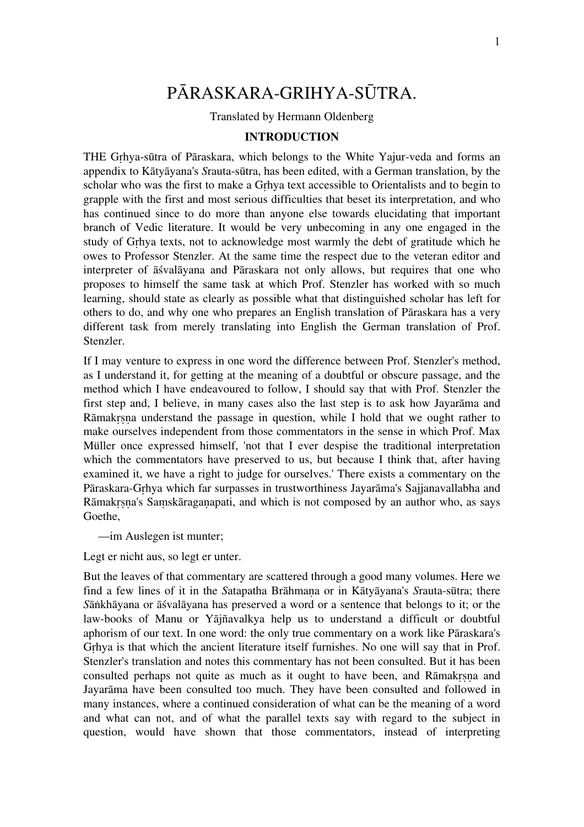# PĀRASKARA-GRIHYA-SŪTRA.

Translated by Hermann Oldenberg

#### **INTRODUCTION**

THE Gṛhya-sūtra of Pāraskara, which belongs to the White Yajur-veda and forms an appendix to Kātyāyana's *S*rauta-sūtra, has been edited, with a German translation, by the scholar who was the first to make a Gṛhya text accessible to Orientalists and to begin to grapple with the first and most serious difficulties that beset its interpretation, and who has continued since to do more than anyone else towards elucidating that important branch of Vedic literature. It would be very unbecoming in any one engaged in the study of Gṛhya texts, not to acknowledge most warmly the debt of gratitude which he owes to Professor Stenzler. At the same time the respect due to the veteran editor and interpreter of āśvalāyana and Pāraskara not only allows, but requires that one who proposes to himself the same task at which Prof. Stenzler has worked with so much learning, should state as clearly as possible what that distinguished scholar has left for others to do, and why one who prepares an English translation of Pāraskara has a very different task from merely translating into English the German translation of Prof. Stenzler.

If I may venture to express in one word the difference between Prof. Stenzler's method, as I understand it, for getting at the meaning of a doubtful or obscure passage, and the method which I have endeavoured to follow, I should say that with Prof. Stenzler the first step and, I believe, in many cases also the last step is to ask how Jayarāma and Rāmakṛṣṇa understand the passage in question, while I hold that we ought rather to make ourselves independent from those commentators in the sense in which Prof. Max Müller once expressed himself, 'not that I ever despise the traditional interpretation which the commentators have preserved to us, but because I think that, after having examined it, we have a right to judge for ourselves.' There exists a commentary on the Pāraskara-Gṛhya which far surpasses in trustworthiness Jayarāma's Sajjanavallabha and Rāmakrsna's Samskāraganapati, and which is not composed by an author who, as says Goethe,

—im Auslegen ist munter;

Legt er nicht aus, so legt er unter.

But the leaves of that commentary are scattered through a good many volumes. Here we find a few lines of it in the *S*atapatha Brāhmaṇa or in Kātyāyana's *S*rauta-sūtra; there *S*āṅkhāyana or āśvalāyana has preserved a word or a sentence that belongs to it; or the law-books of Manu or Yājñavalkya help us to understand a difficult or doubtful aphorism of our text. In one word: the only true commentary on a work like Pāraskara's Grhya is that which the ancient literature itself furnishes. No one will say that in Prof. Stenzler's translation and notes this commentary has not been consulted. But it has been consulted perhaps not quite as much as it ought to have been, and Rāmakrsna and Jayarāma have been consulted too much. They have been consulted and followed in many instances, where a continued consideration of what can be the meaning of a word and what can not, and of what the parallel texts say with regard to the subject in question, would have shown that those commentators, instead of interpreting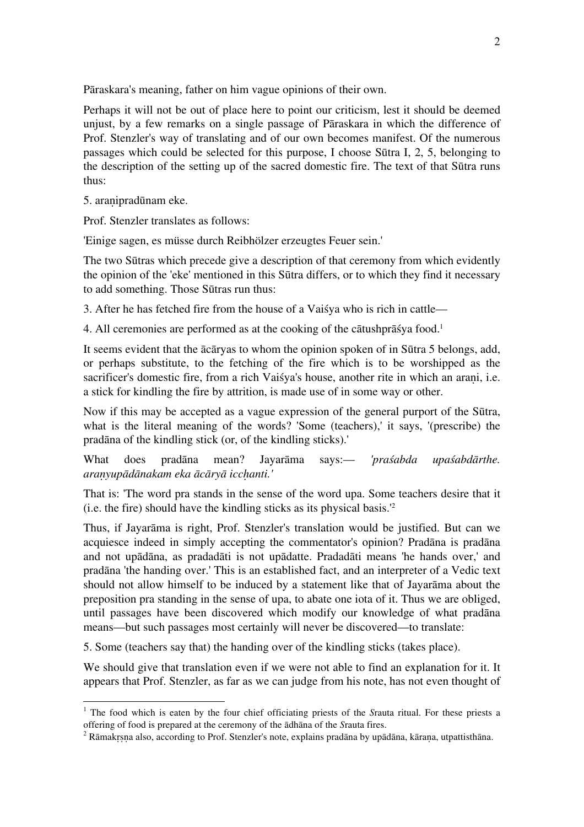Pāraskara's meaning, father on him vague opinions of their own.

Perhaps it will not be out of place here to point our criticism, lest it should be deemed unjust, by a few remarks on a single passage of Pāraskara in which the difference of Prof. Stenzler's way of translating and of our own becomes manifest. Of the numerous passages which could be selected for this purpose, I choose Sūtra I, 2, 5, belonging to the description of the setting up of the sacred domestic fire. The text of that Sūtra runs thus:

5. araṇipradūnam eke.

Prof. Stenzler translates as follows:

'Einige sagen, es müsse durch Reibhölzer erzeugtes Feuer sein.'

The two Sūtras which precede give a description of that ceremony from which evidently the opinion of the 'eke' mentioned in this Sūtra differs, or to which they find it necessary to add something. Those Sūtras run thus:

3. After he has fetched fire from the house of a Vaiśya who is rich in cattle—

4. All ceremonies are performed as at the cooking of the cātushprāśya food. 1

It seems evident that the ācāryas to whom the opinion spoken of in Sūtra 5 belongs, add, or perhaps substitute, to the fetching of the fire which is to be worshipped as the sacrificer's domestic fire, from a rich Vaisya's house, another rite in which an arani, i.e. a stick for kindling the fire by attrition, is made use of in some way or other.

Now if this may be accepted as a vague expression of the general purport of the Sūtra, what is the literal meaning of the words? 'Some (teachers),' it says, '(prescribe) the pradāna of the kindling stick (or, of the kindling sticks).'

What does pradāna mean? Jayarāma says:— *'praśabda upaśabdārthe. araṇyupādānakam eka ācāryā iccḥanti.'*

That is: 'The word pra stands in the sense of the word upa. Some teachers desire that it (i.e. the fire) should have the kindling sticks as its physical basis.' 2

Thus, if Jayarāma is right, Prof. Stenzler's translation would be justified. But can we acquiesce indeed in simply accepting the commentator's opinion? Pradāna is pradāna and not upādāna, as pradadāti is not upādatte. Pradadāti means 'he hands over,' and pradāna 'the handing over.' This is an established fact, and an interpreter of a Vedic text should not allow himself to be induced by a statement like that of Jayarāma about the preposition pra standing in the sense of upa, to abate one iota of it. Thus we are obliged, until passages have been discovered which modify our knowledge of what pradāna means—but such passages most certainly will never be discovered—to translate:

5. Some (teachers say that) the handing over of the kindling sticks (takes place).

We should give that translation even if we were not able to find an explanation for it. It appears that Prof. Stenzler, as far as we can judge from his note, has not even thought of

<sup>&</sup>lt;sup>1</sup> The food which is eaten by the four chief officiating priests of the *Srauta ritual*. For these priests a offering of food is prepared at the ceremony of the  $\overline{a}$ dhana of the *Srauta fires*.

<sup>&</sup>lt;sup>2</sup> Rāmakrsna also, according to Prof. Stenzler's note, explains pradāna by upādāna, kārana, utpattisthāna.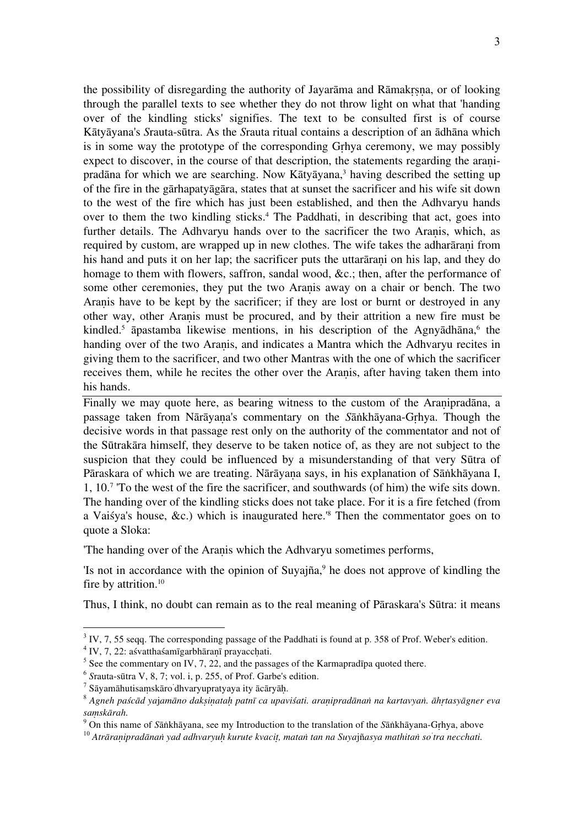the possibility of disregarding the authority of Jayarāma and Rāmakṛṣṇa, or of looking through the parallel texts to see whether they do not throw light on what that 'handing over of the kindling sticks' signifies. The text to be consulted first is of course Kātyāyana's *S*rauta-sūtra. As the *S*rauta ritual contains a description of an ādhāna which is in some way the prototype of the corresponding Gṛhya ceremony, we may possibly expect to discover, in the course of that description, the statements regarding the aranipradāna for which we are searching. Now Kātyāyana, <sup>3</sup> having described the setting up of the fire in the gārhapatyāgāra, states that at sunset the sacrificer and his wife sit down to the west of the fire which has just been established, and then the Adhvaryu hands over to them the two kindling sticks. 4 The Paddhati, in describing that act, goes into further details. The Adhvaryu hands over to the sacrificer the two Aranis, which, as required by custom, are wrapped up in new clothes. The wife takes the adharaxiani from his hand and puts it on her lap; the sacrificer puts the uttaration his lap, and they do homage to them with flowers, saffron, sandal wood, &c.; then, after the performance of some other ceremonies, they put the two Aranis away on a chair or bench. The two Araṇis have to be kept by the sacrificer; if they are lost or burnt or destroyed in any other way, other Araṇis must be procured, and by their attrition a new fire must be kindled. <sup>5</sup> āpastamba likewise mentions, in his description of the Agnyādhāna, <sup>6</sup> the handing over of the two Aranis, and indicates a Mantra which the Adhvaryu recites in giving them to the sacrificer, and two other Mantras with the one of which the sacrificer receives them, while he recites the other over the Aranis, after having taken them into his hands.

Finally we may quote here, as bearing witness to the custom of the Aranipradāna, a passage taken from Nārāyaṇa's commentary on the *S*āṅkhāyana-Gṛhya. Though the decisive words in that passage rest only on the authority of the commentator and not of the Sūtrakāra himself, they deserve to be taken notice of, as they are not subject to the suspicion that they could be influenced by a misunderstanding of that very Sūtra of Pāraskara of which we are treating. Nārāyaṇa says, in his explanation of Sāṅkhāyana I, 1, 10.7 'To the west of the fire the sacrificer, and southwards (of him) the wife sits down. The handing over of the kindling sticks does not take place. For it is a fire fetched (from a Vaiśya's house, &c.) which is inaugurated here.'8 Then the commentator goes on to quote a Sloka:

'The handing over of the Araṇis which the Adhvaryu sometimes performs,

'Is not in accordance with the opinion of Suyajña, 9 he does not approve of kindling the fire by attrition. 10

Thus, I think, no doubt can remain as to the real meaning of Pāraskara's Sūtra: it means

<sup>&</sup>lt;sup>3</sup> IV, 7, 55 seqq. The corresponding passage of the Paddhati is found at p. 358 of Prof. Weber's edition.<br><sup>4</sup> IV, 7, 22: asvatthas amigarbharani prayacchati.

<sup>&</sup>lt;sup>5</sup> See the commentary on IV, 7, 22, and the passages of the Karmapradīpa quoted there.<br>
<sup>6</sup> Srauta-sūtra V, 8, 7; vol. i, p. 255, of Prof. Garbe's edition.<br>
<sup>7</sup> Sāyamāhutisamskāro dhvaryupratyaya ity ācāryāḥ.

<sup>&</sup>lt;sup>8</sup> Agneh paścād yajamāno dakṣiṇataḥ patnī ca upaviśati. araṇipradānaṅ na kartavyaṅ. āhṛtasyāgner eva<br>samskārah.

s*aṃskārah.*<br><sup>9</sup> On this name of Sāṅkhāyana, see my Introduction to the translation of the Sāṅkhāyana-Gṛhya, above<br><sup>10</sup> A*trāraṇipradānaṅ yad adhvaryuḥ kurute kvaciṭ, mataṅ tan na Suyajñasya mathitaṅ so'tra necchati.*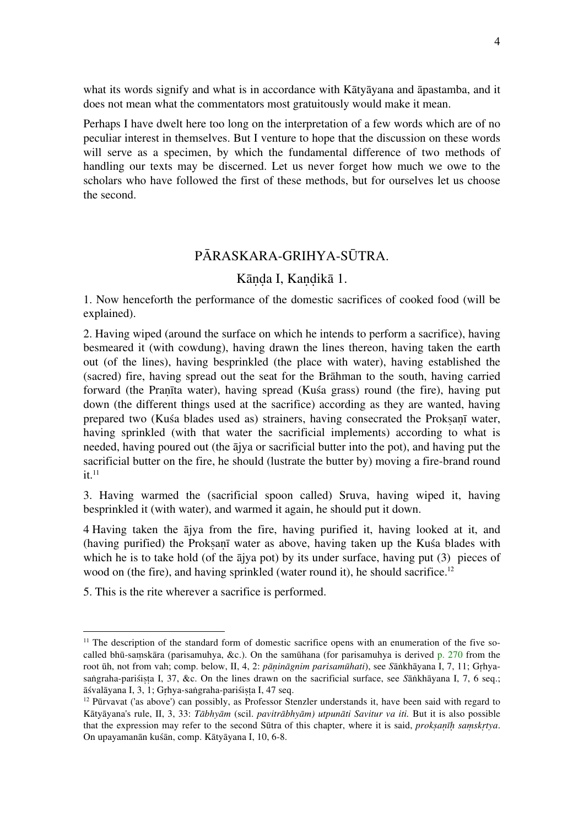what its words signify and what is in accordance with Kātyāyana and āpastamba, and it does not mean what the commentators most gratuitously would make it mean.

Perhaps I have dwelt here too long on the interpretation of a few words which are of no peculiar interest in themselves. But I venture to hope that the discussion on these words will serve as a specimen, by which the fundamental difference of two methods of handling our texts may be discerned. Let us never forget how much we owe to the scholars who have followed the first of these methods, but for ourselves let us choose the second.

## PĀRASKARA-GRIHYA-SŪTRA.

## Kāṇḍa I, Kaṇḍikā 1.

1. Now henceforth the performance of the domestic sacrifices of cooked food (will be explained).

2. Having wiped (around the surface on which he intends to perform a sacrifice), having besmeared it (with cowdung), having drawn the lines thereon, having taken the earth out (of the lines), having besprinkled (the place with water), having established the (sacred) fire, having spread out the seat for the Brāhman to the south, having carried forward (the Praṇīta water), having spread (Kuśa grass) round (the fire), having put down (the different things used at the sacrifice) according as they are wanted, having prepared two (Kuśa blades used as) strainers, having consecrated the Proksanī water, having sprinkled (with that water the sacrificial implements) according to what is needed, having poured out (the ājya or sacrificial butter into the pot), and having put the sacrificial butter on the fire, he should (lustrate the butter by) moving a fire-brand round  $it<sup>11</sup>$ 

3. Having warmed the (sacrificial spoon called) Sruva, having wiped it, having besprinkled it (with water), and warmed it again, he should put it down.

4 Having taken the ājya from the fire, having purified it, having looked at it, and (having purified) the Proksanī water as above, having taken up the Kuśa blades with which he is to take hold (of the  $\bar{a}$ jya pot) by its under surface, having put (3) pieces of wood on (the fire), and having sprinkled (water round it), he should sacrifice.<sup>12</sup>

5. This is the rite wherever a sacrifice is performed.

 $11$  The description of the standard form of domestic sacrifice opens with an enumeration of the five socalled bhū-saṃskāra (parisamuhya, &c.). On the samūhana (for parisamuhya is derived p. 270 from the root ūh, not from vah; comp. below, II, 4, 2: *pāṇināgnim parisamūhati*), see *S*āṅkhāyana I, 7, 11; Gṛhyasaṅgraha-pariśista I, 37, &c. On the lines drawn on the sacrificial surface, see *S*āṅkhāyana I, 7, 6 seq.; āśvalāyana I, 3, 1; Gṛhya-saṅgraha-pariśiṣṭa I, 47 seq.

 $12$  Pūrvavat ('as above') can possibly, as Professor Stenzler understands it, have been said with regard to Kātyāyana's rule, II, 3, 33: *Tābhyām* (scil. *pavitrābhyām) utpunāti Savitur va iti.* But it is also possible that the expression may refer to the second Sūtra of this chapter, where it is said, *prokṣaṇīḥ saṃskṛtya*. On upayamanān kuśān, comp. Kātyāyana I, 10, 6-8.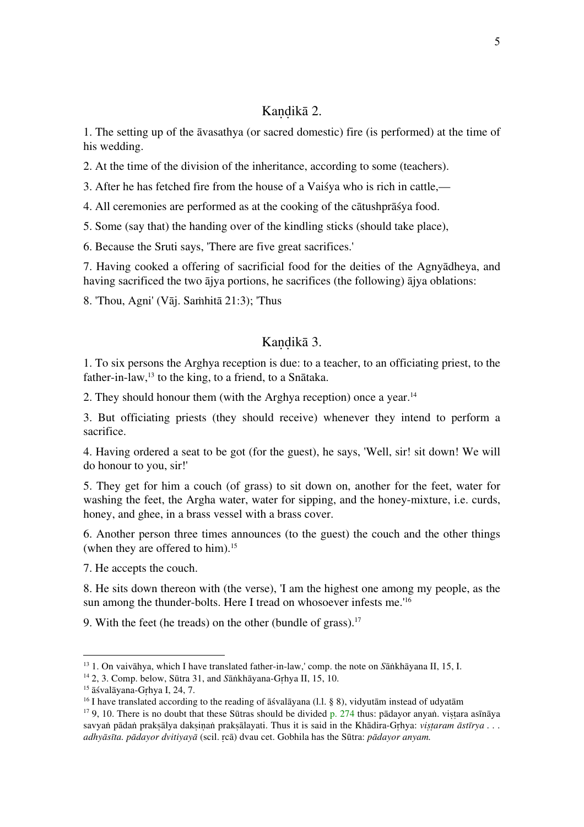## Kandikā 2.

1. The setting up of the āvasathya (or sacred domestic) fire (is performed) at the time of his wedding.

2. At the time of the division of the inheritance, according to some (teachers).

3. After he has fetched fire from the house of a Vaiśya who is rich in cattle,—

4. All ceremonies are performed as at the cooking of the cātushprāśya food.

5. Some (say that) the handing over of the kindling sticks (should take place),

6. Because the Sruti says, 'There are five great sacrifices.'

7. Having cooked a offering of sacrificial food for the deities of the Agnyādheya, and having sacrificed the two ājya portions, he sacrifices (the following) ājya oblations:

8. 'Thou, Agni' (Vāj. Saṁhitā 21:3); 'Thus

## Kandikā 3.

1. To six persons the Arghya reception is due: to a teacher, to an officiating priest, to the father-in-law,<sup>13</sup> to the king, to a friend, to a Snātaka.

2. They should honour them (with the Arghya reception) once a year.14

3. But officiating priests (they should receive) whenever they intend to perform a sacrifice.

4. Having ordered a seat to be got (for the guest), he says, 'Well, sir! sit down! We will do honour to you, sir!'

5. They get for him a couch (of grass) to sit down on, another for the feet, water for washing the feet, the Argha water, water for sipping, and the honey-mixture, i.e. curds, honey, and ghee, in a brass vessel with a brass cover.

6. Another person three times announces (to the guest) the couch and the other things (when they are offered to him).<sup>15</sup>

7. He accepts the couch.

8. He sits down thereon with (the verse), 'I am the highest one among my people, as the sun among the thunder-bolts. Here I tread on whosoever infests me.'16

9. With the feet (he treads) on the other (bundle of grass).<sup>17</sup>

<sup>13</sup> 1. On vaivāhya, which I have translated father-in-law,' comp. the note on *S*āṅkhāyana II, 15, I.

<sup>14</sup> 2, 3. Comp. below, Sūtra 31, and *S*āṅkhāyana-Gṛhya II, 15, 10.

<sup>15</sup> āśvalāyana-Gṛhya I, 24, 7.

<sup>&</sup>lt;sup>16</sup> I have translated according to the reading of  $\overline{a}$  svalāyana (l.l. § 8), vidyutām instead of udyatām

<sup>&</sup>lt;sup>17</sup> 9, 10. There is no doubt that these Sūtras should be divided p. 274 thus: pādayor anyaṅ. vistara asīnāya savyaṅ pādaṅ prakṣālya dakṣinaṅ prakṣālayati. Thus it is said in the Khādira-Grhya: *vistaram āstīrya ... adhyāsīta. pādayor dvitiyayā* (scil. ṛcā) dvau cet. Gobhila has the Sūtra: *pādayor anyam.*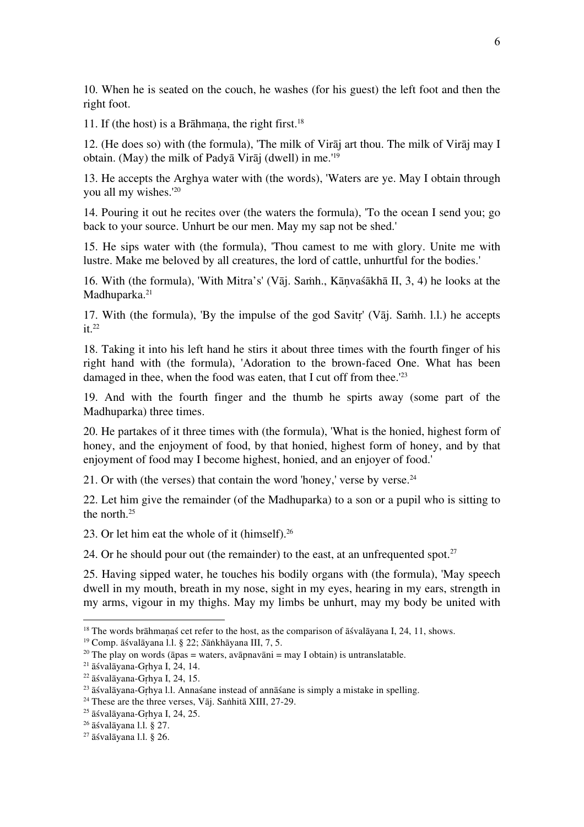10. When he is seated on the couch, he washes (for his guest) the left foot and then the right foot.

11. If (the host) is a Brāhmana, the right first.<sup>18</sup>

12. (He does so) with (the formula), 'The milk of Virāj art thou. The milk of Virāj may I obtain. (May) the milk of Padyā Virāj (dwell) in me.'19

13. He accepts the Arghya water with (the words), 'Waters are ye. May I obtain through you all my wishes.'20

14. Pouring it out he recites over (the waters the formula), 'To the ocean I send you; go back to your source. Unhurt be our men. May my sap not be shed.'

15. He sips water with (the formula), 'Thou camest to me with glory. Unite me with lustre. Make me beloved by all creatures, the lord of cattle, unhurtful for the bodies.'

16. With (the formula), 'With Mitra's' (Vāj. Saṁh., Kāṇvaśākhā II, 3, 4) he looks at the Madhuparka.<sup>21</sup>

17. With (the formula), 'By the impulse of the god Savitṛ' (Vāj. Saṁh. l.l.) he accepts  $it<sup>22</sup>$ 

18. Taking it into his left hand he stirs it about three times with the fourth finger of his right hand with (the formula), 'Adoration to the brown-faced One. What has been damaged in thee, when the food was eaten, that I cut off from thee.<sup>'23</sup>

19. And with the fourth finger and the thumb he spirts away (some part of the Madhuparka) three times.

20. He partakes of it three times with (the formula), 'What is the honied, highest form of honey, and the enjoyment of food, by that honied, highest form of honey, and by that enjoyment of food may I become highest, honied, and an enjoyer of food.'

21. Or with (the verses) that contain the word 'honey,' verse by verse. $24$ 

22. Let him give the remainder (of the Madhuparka) to a son or a pupil who is sitting to the north.<sup>25</sup>

23. Or let him eat the whole of it (himself).<sup>26</sup>

24. Or he should pour out (the remainder) to the east, at an unfrequented spot. $27$ 

25. Having sipped water, he touches his bodily organs with (the formula), 'May speech dwell in my mouth, breath in my nose, sight in my eyes, hearing in my ears, strength in my arms, vigour in my thighs. May my limbs be unhurt, may my body be united with

<sup>19</sup> Comp. āśvalāyana l.l. § 22; *S*āṅkhāyana III, 7, 5.

 $18$  The words brāhmanaś cet refer to the host, as the comparison of  $\overline{a}$  svalaziona I, 24, 11, shows.

<sup>&</sup>lt;sup>20</sup> The play on words ( $\bar{a}$ pas = waters, avāpnavāni = may I obtain) is untranslatable.

 $21$  āśvalāyana-Grhya I, 24, 14.

<sup>22</sup> āśvalāyana-Gṛhya I, 24, 15.

 $23$   $\bar{a}$  svalāyana-Grhya l.l. Annas ane instead of annā sane is simply a mistake in spelling.

<sup>&</sup>lt;sup>24</sup> These are the three verses, Vāj. Saṅhitā XIII, 27-29.

<sup>25</sup> āśvalāyana-Gṛhya I, 24, 25.

 $26$  āśvalāvana 1.1. § 27.

 $27$  āśvalāvana 1.1. § 26.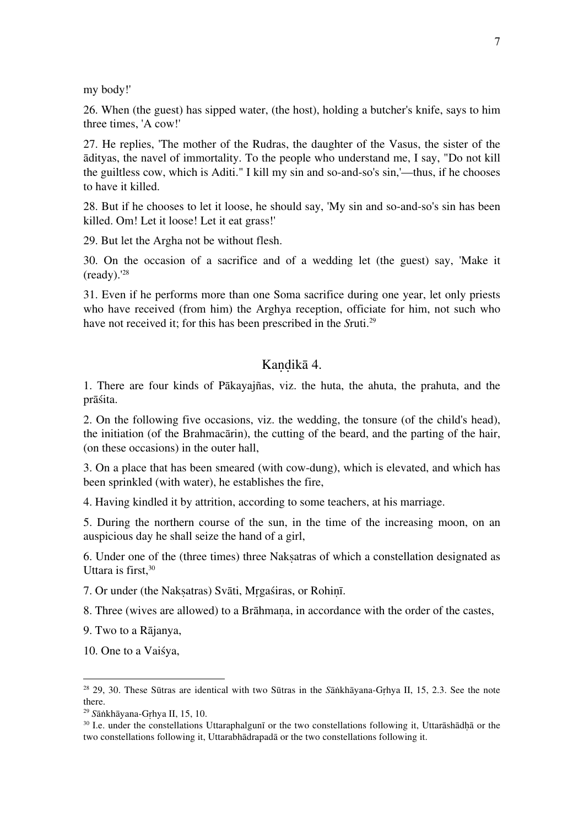my body!'

26. When (the guest) has sipped water, (the host), holding a butcher's knife, says to him three times, 'A cow!'

27. He replies, 'The mother of the Rudras, the daughter of the Vasus, the sister of the ādityas, the navel of immortality. To the people who understand me, I say, "Do not kill the guiltless cow, which is Aditi." I kill my sin and so-and-so's sin,'—thus, if he chooses to have it killed.

28. But if he chooses to let it loose, he should say, 'My sin and so-and-so's sin has been killed. Om! Let it loose! Let it eat grass!'

29. But let the Argha not be without flesh.

30. On the occasion of a sacrifice and of a wedding let (the guest) say, 'Make it  $(readv).<sup>28</sup>$ 

31. Even if he performs more than one Soma sacrifice during one year, let only priests who have received (from him) the Arghya reception, officiate for him, not such who have not received it; for this has been prescribed in the *S*ruti.29

## Kandikā 4.

1. There are four kinds of Pākayajñas, viz. the huta, the ahuta, the prahuta, and the prāśita.

2. On the following five occasions, viz. the wedding, the tonsure (of the child's head), the initiation (of the Brahmacārin), the cutting of the beard, and the parting of the hair, (on these occasions) in the outer hall,

3. On a place that has been smeared (with cow-dung), which is elevated, and which has been sprinkled (with water), he establishes the fire,

4. Having kindled it by attrition, according to some teachers, at his marriage.

5. During the northern course of the sun, in the time of the increasing moon, on an auspicious day he shall seize the hand of a girl,

6. Under one of the (three times) three Nakṣatras of which a constellation designated as Uttara is first,  $30$ 

7. Or under (the Nakṣatras) Svāti, Mṛgaśiras, or Rohiṇī.

8. Three (wives are allowed) to a Brāhmana, in accordance with the order of the castes,

9. Two to a Rājanya,

10. One to a Vaiśya,

<sup>28</sup> 29, 30. These Sūtras are identical with two Sūtras in the *S*āṅkhāyana-Gṛhya II, 15, 2.3. See the note there.

<sup>29</sup> *S*āṅkhāyana-Gṛhya II, 15, 10.

<sup>&</sup>lt;sup>30</sup> I.e. under the constellations Uttaraphalgunī or the two constellations following it, Uttarāshādhā or the two constellations following it, Uttarabhādrapadā or the two constellations following it.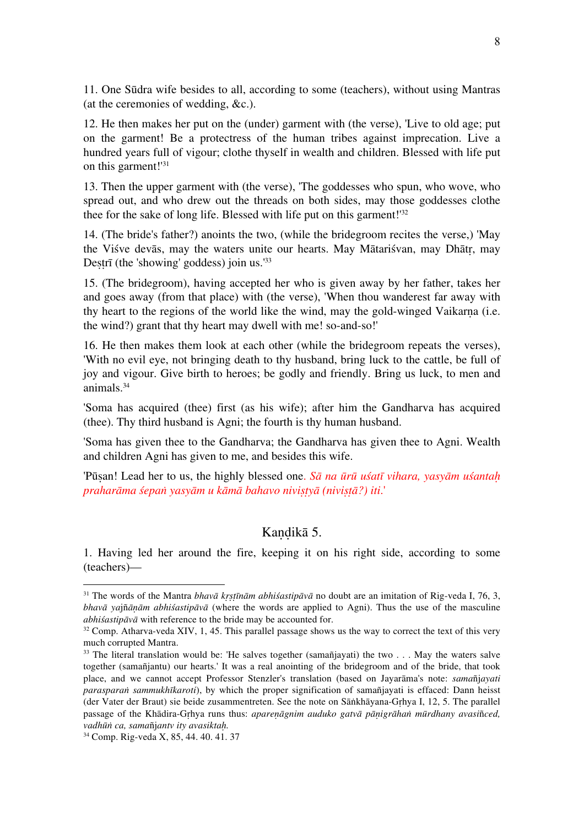11. One Sūdra wife besides to all, according to some (teachers), without using Mantras (at the ceremonies of wedding, &c.).

12. He then makes her put on the (under) garment with (the verse), 'Live to old age; put on the garment! Be a protectress of the human tribes against imprecation. Live a hundred years full of vigour; clothe thyself in wealth and children. Blessed with life put on this garment!<sup>'31</sup>

13. Then the upper garment with (the verse), 'The goddesses who spun, who wove, who spread out, and who drew out the threads on both sides, may those goddesses clothe thee for the sake of long life. Blessed with life put on this garment!'32

14. (The bride's father?) anoints the two, (while the bridegroom recites the verse,) 'May the Viśve devās, may the waters unite our hearts. May Mātariśvan, may Dhātṛ, may Destrī (the 'showing' goddess) join us.<sup>'33</sup>

15. (The bridegroom), having accepted her who is given away by her father, takes her and goes away (from that place) with (the verse), 'When thou wanderest far away with thy heart to the regions of the world like the wind, may the gold-winged Vaikarṇa (i.e. the wind?) grant that thy heart may dwell with me! so-and-so!'

16. He then makes them look at each other (while the bridegroom repeats the verses), 'With no evil eye, not bringing death to thy husband, bring luck to the cattle, be full of joy and vigour. Give birth to heroes; be godly and friendly. Bring us luck, to men and animals.34

'Soma has acquired (thee) first (as his wife); after him the Gandharva has acquired (thee). Thy third husband is Agni; the fourth is thy human husband.

'Soma has given thee to the Gandharva; the Gandharva has given thee to Agni. Wealth and children Agni has given to me, and besides this wife.

'Pūṣan! Lead her to us, the highly blessed one. *Sā na ūrū uśatī vihara, yasyām uśantaḥ praharāma śepaṅ yasyām u kāmā bahavo niviṣṭyā (niviṣṭā?) iti*.'

## Kandikā 5.

1. Having led her around the fire, keeping it on his right side, according to some (teachers)—

<sup>31</sup> The words of the Mantra *bhavā kṛṣṭīnām abhiśastipāvā* no doubt are an imitation of Rig-veda I, 76, 3, *bhavā ya*jñ*āṇām abhiśastipāvā* (where the words are applied to Agni). Thus the use of the masculine *abhiśastipāvā* with reference to the bride may be accounted for.

 $32$  Comp. Atharva-veda XIV, 1, 45. This parallel passage shows us the way to correct the text of this very much corrupted Mantra.

 $33$  The literal translation would be: 'He salves together (samañjayati) the two . . . May the waters salve together (samañjantu) our hearts.' It was a real anointing of the bridegroom and of the bride, that took place, and we cannot accept Professor Stenzler's translation (based on Jayarāma's note: *sama*ñj*ayati parasparaṅ sammukhīkaroti*), by which the proper signification of samañjayati is effaced: Dann heisst (der Vater der Braut) sie beide zusammentreten. See the note on Sāṅkhāyana-Gṛhya I, 12, 5. The parallel passage of the Khādira-Gṛhya runs thus: *apareṇāgnim auduko gatvā pāṇigrāhaṅ mūrdhany avasi*ñ*ced, vadhūṅ ca, sama*ñj*antv ity avasiktaḥ.*

<sup>34</sup> Comp. Rig-veda X, 85, 44. 40. 41. 37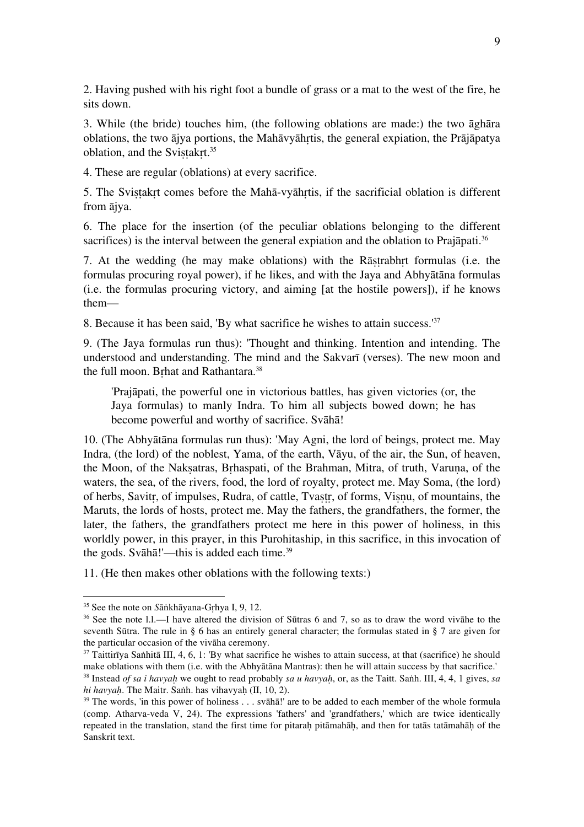2. Having pushed with his right foot a bundle of grass or a mat to the west of the fire, he sits down.

3. While (the bride) touches him, (the following oblations are made:) the two āghāra oblations, the two ājya portions, the Mahāvyāhṛtis, the general expiation, the Prājāpatya oblation, and the Svistakrt.<sup>35</sup>

4. These are regular (oblations) at every sacrifice.

5. The Svistakrt comes before the Mahā-vyāhrtis, if the sacrificial oblation is different from ājya.

6. The place for the insertion (of the peculiar oblations belonging to the different sacrifices) is the interval between the general expiation and the oblation to Prajāpati.<sup>36</sup>

7. At the wedding (he may make oblations) with the Rāṣṭrabhṛt formulas (i.e. the formulas procuring royal power), if he likes, and with the Jaya and Abhyātāna formulas (i.e. the formulas procuring victory, and aiming [at the hostile powers]), if he knows them—

8. Because it has been said, 'By what sacrifice he wishes to attain success.'37

9. (The Jaya formulas run thus): 'Thought and thinking. Intention and intending. The understood and understanding. The mind and the Sakvarī (verses). The new moon and the full moon. Brhat and Rathantara.<sup>38</sup>

'Prajāpati, the powerful one in victorious battles, has given victories (or, the Jaya formulas) to manly Indra. To him all subjects bowed down; he has become powerful and worthy of sacrifice. Svāhā!

10. (The Abhyātāna formulas run thus): 'May Agni, the lord of beings, protect me. May Indra, (the lord) of the noblest, Yama, of the earth, Vāyu, of the air, the Sun, of heaven, the Moon, of the Naksatras, Brhaspati, of the Brahman, Mitra, of truth, Varuna, of the waters, the sea, of the rivers, food, the lord of royalty, protect me. May Soma, (the lord) of herbs, Savitr, of impulses, Rudra, of cattle, Tvastr, of forms, Visnu, of mountains, the Maruts, the lords of hosts, protect me. May the fathers, the grandfathers, the former, the later, the fathers, the grandfathers protect me here in this power of holiness, in this worldly power, in this prayer, in this Purohitaship, in this sacrifice, in this invocation of the gods. Svāhā!'—this is added each time.<sup>39</sup>

11. (He then makes other oblations with the following texts:)

<sup>35</sup> See the note on *S*āṅkhāyana-Gṛhya I, 9, 12.

<sup>36</sup> See the note l.l.—I have altered the division of Sūtras 6 and 7, so as to draw the word vivāhe to the seventh Sūtra. The rule in § 6 has an entirely general character; the formulas stated in § 7 are given for the particular occasion of the vivāha ceremony.

 $37$  Taittirīya Saṅhitā III, 4, 6, 1: 'By what sacrifice he wishes to attain success, at that (sacrifice) he should make oblations with them (i.e. with the Abhyātāna Mantras): then he will attain success by that sacrifice.'

<sup>38</sup> Instead *of sa i havyaḥ* we ought to read probably *sa u havyaḥ*, or, as the Taitt. Saṅh. III, 4, 4, 1 gives, *sa hi havyaḥ*. The Maitr. Saṅh. has vihavyaḥ (II, 10, 2).

 $39$  The words, 'in this power of holiness . . . svāhā!' are to be added to each member of the whole formula (comp. Atharva-veda V, 24). The expressions 'fathers' and 'grandfathers,' which are twice identically repeated in the translation, stand the first time for pitarah pitāmahāh, and then for tatās tatāmahāh of the Sanskrit text.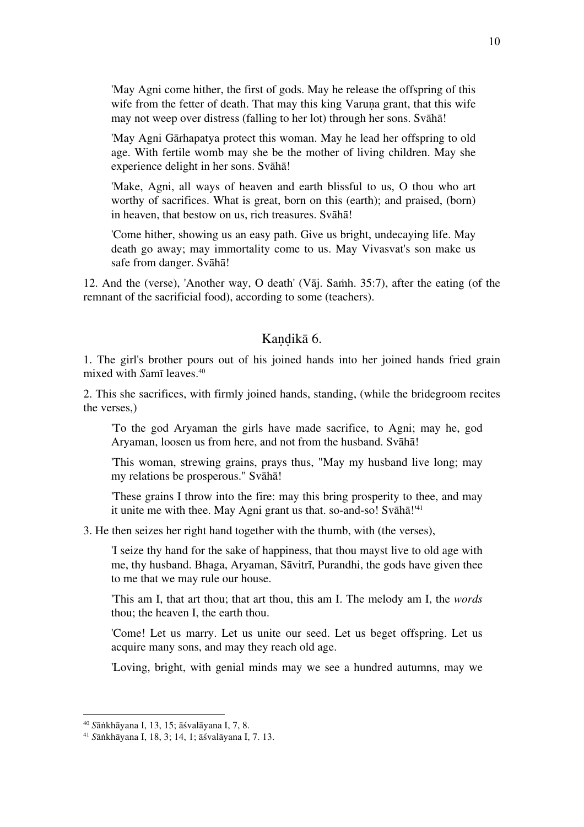'May Agni come hither, the first of gods. May he release the offspring of this wife from the fetter of death. That may this king Varuna grant, that this wife may not weep over distress (falling to her lot) through her sons. Svāhā!

'May Agni Gārhapatya protect this woman. May he lead her offspring to old age. With fertile womb may she be the mother of living children. May she experience delight in her sons. Svāhā!

'Make, Agni, all ways of heaven and earth blissful to us, O thou who art worthy of sacrifices. What is great, born on this (earth); and praised, (born) in heaven, that bestow on us, rich treasures. Svāhā!

'Come hither, showing us an easy path. Give us bright, undecaying life. May death go away; may immortality come to us. May Vivasvat's son make us safe from danger. Svāhā!

12. And the (verse), 'Another way, O death' (Vāj. Saṁh. 35:7), after the eating (of the remnant of the sacrificial food), according to some (teachers).

## Kandikā 6.

1. The girl's brother pours out of his joined hands into her joined hands fried grain mixed with *S*amī leaves.40

2. This she sacrifices, with firmly joined hands, standing, (while the bridegroom recites the verses,)

'To the god Aryaman the girls have made sacrifice, to Agni; may he, god Aryaman, loosen us from here, and not from the husband. Svāhā!

'This woman, strewing grains, prays thus, "May my husband live long; may my relations be prosperous." Svāhā!

'These grains I throw into the fire: may this bring prosperity to thee, and may it unite me with thee. May Agni grant us that. so-and-so! Svāhā!'41

3. He then seizes her right hand together with the thumb, with (the verses),

'I seize thy hand for the sake of happiness, that thou mayst live to old age with me, thy husband. Bhaga, Aryaman, Sāvitrī, Purandhi, the gods have given thee to me that we may rule our house.

'This am I, that art thou; that art thou, this am I. The melody am I, the *words* thou; the heaven I, the earth thou.

'Come! Let us marry. Let us unite our seed. Let us beget offspring. Let us acquire many sons, and may they reach old age.

'Loving, bright, with genial minds may we see a hundred autumns, may we

<sup>40</sup> *S*āṅkhāyana I, 13, 15; āśvalāyana I, 7, 8.

<sup>41</sup> *S*āṅkhāyana I, 18, 3; 14, 1; āśvalāyana I, 7. 13.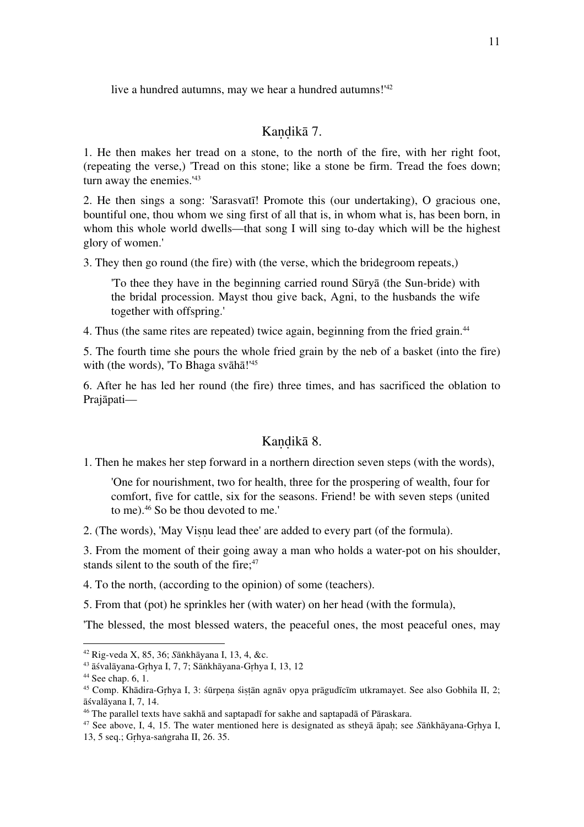live a hundred autumns, may we hear a hundred autumns!'42

#### Kandikā 7.

1. He then makes her tread on a stone, to the north of the fire, with her right foot, (repeating the verse,) 'Tread on this stone; like a stone be firm. Tread the foes down; turn away the enemies.<sup>'43</sup>

2. He then sings a song: 'Sarasvatī! Promote this (our undertaking), O gracious one, bountiful one, thou whom we sing first of all that is, in whom what is, has been born, in whom this whole world dwells—that song I will sing to-day which will be the highest glory of women.'

3. They then go round (the fire) with (the verse, which the bridegroom repeats,)

'To thee they have in the beginning carried round Sūryā (the Sun-bride) with the bridal procession. Mayst thou give back, Agni, to the husbands the wife together with offspring.'

4. Thus (the same rites are repeated) twice again, beginning from the fried grain.44

5. The fourth time she pours the whole fried grain by the neb of a basket (into the fire) with (the words), 'To Bhaga svāhā!'<sup>45</sup>

6. After he has led her round (the fire) three times, and has sacrificed the oblation to Prajāpati—

#### Kaṇḍikā 8.

1. Then he makes her step forward in a northern direction seven steps (with the words),

'One for nourishment, two for health, three for the prospering of wealth, four for comfort, five for cattle, six for the seasons. Friend! be with seven steps (united to me).46 So be thou devoted to me.'

2. (The words), 'May Viṣṇu lead thee' are added to every part (of the formula).

3. From the moment of their going away a man who holds a water-pot on his shoulder, stands silent to the south of the fire;<sup>47</sup>

4. To the north, (according to the opinion) of some (teachers).

5. From that (pot) he sprinkles her (with water) on her head (with the formula),

'The blessed, the most blessed waters, the peaceful ones, the most peaceful ones, may

 $\overline{a}$ 

<sup>47</sup> See above, I, 4, 15. The water mentioned here is designated as stheyā āpaḥ; see *S*āṅkhāyana-Gṛhya I, 13, 5 seq.; Gṛhya-saṅgraha II, 26. 35.

<sup>42</sup> Rig-veda X, 85, 36; *S*āṅkhāyana I, 13, 4, &c.

<sup>43</sup> āśvalāyana-Gṛhya I, 7, 7; Sāṅkhāyana-Gṛhya I, 13, 12

 $44$  See chap. 6, 1.

<sup>&</sup>lt;sup>45</sup> Comp. Khādira-Grhya I, 3: śūrpena śistān agnāv opya prāgudīcīm utkramayet. See also Gobhila II, 2; āśvalāyana I, 7, 14.

<sup>46</sup> The parallel texts have sakhā and saptapadī for sakhe and saptapadā of Pāraskara.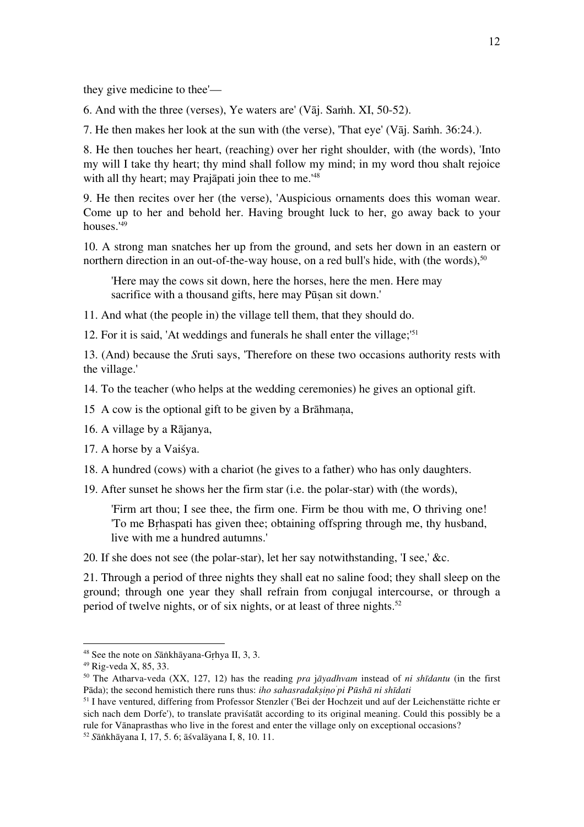they give medicine to thee'—

6. And with the three (verses), Ye waters are' (Vāj. Saṁh. XI, 50-52).

7. He then makes her look at the sun with (the verse), 'That eye' (Vāj. Saṁh. 36:24.).

8. He then touches her heart, (reaching) over her right shoulder, with (the words), 'Into my will I take thy heart; thy mind shall follow my mind; in my word thou shalt rejoice with all thy heart; may Prajāpati join thee to me.<sup>'48</sup>

9. He then recites over her (the verse), 'Auspicious ornaments does this woman wear. Come up to her and behold her. Having brought luck to her, go away back to your houses.'49

10. A strong man snatches her up from the ground, and sets her down in an eastern or northern direction in an out-of-the-way house, on a red bull's hide, with (the words),<sup>50</sup>

'Here may the cows sit down, here the horses, here the men. Here may sacrifice with a thousand gifts, here may Pūsan sit down.'

11. And what (the people in) the village tell them, that they should do.

12. For it is said, 'At weddings and funerals he shall enter the village;'51

13. (And) because the *S*ruti says, 'Therefore on these two occasions authority rests with the village.'

14. To the teacher (who helps at the wedding ceremonies) he gives an optional gift.

15 A cow is the optional gift to be given by a Brāhmaṇa,

16. A village by a Rājanya,

17. A horse by a Vaiśya.

18. A hundred (cows) with a chariot (he gives to a father) who has only daughters.

19. After sunset he shows her the firm star (i.e. the polar-star) with (the words),

'Firm art thou; I see thee, the firm one. Firm be thou with me, O thriving one! 'To me Bṛhaspati has given thee; obtaining offspring through me, thy husband, live with me a hundred autumns.'

20. If she does not see (the polar-star), let her say notwithstanding, 'I see,' &c.

21. Through a period of three nights they shall eat no saline food; they shall sleep on the ground; through one year they shall refrain from conjugal intercourse, or through a period of twelve nights, or of six nights, or at least of three nights.<sup>52</sup>

<sup>48</sup> See the note on *S*āṅkhāyana-Gṛhya II, 3, 3.

<sup>49</sup> Rig-veda X, 85, 33.

<sup>50</sup> The Atharva-veda (XX, 127, 12) has the reading *pra* j*āyadhvam* instead of *ni shīdantu* (in the first Pāda); the second hemistich there runs thus: *iho sahasradakṣiṇo' pi Pūshā ni shīdati*

<sup>51</sup> I have ventured, differing from Professor Stenzler ('Bei der Hochzeit und auf der Leichenstätte richte er sich nach dem Dorfe'), to translate praviśatāt according to its original meaning. Could this possibly be a rule for Vānaprasthas who live in the forest and enter the village only on exceptional occasions? <sup>52</sup> *S*āṅkhāyana I, 17, 5. 6; āśvalāyana I, 8, 10. 11.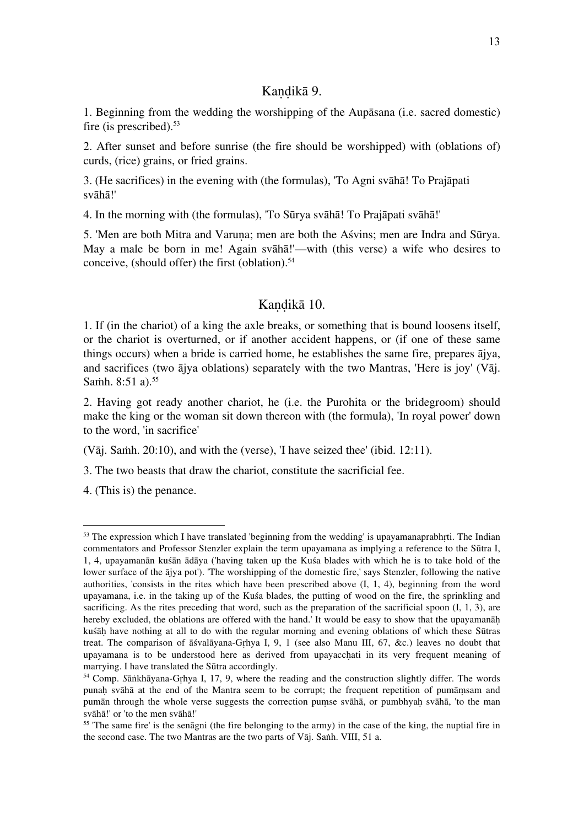#### Kandikā 9.

1. Beginning from the wedding the worshipping of the Aupāsana (i.e. sacred domestic) fire (is prescribed).<sup>53</sup>

2. After sunset and before sunrise (the fire should be worshipped) with (oblations of) curds, (rice) grains, or fried grains.

3. (He sacrifices) in the evening with (the formulas), 'To Agni svāhā! To Prajāpati svāhā!'

4. In the morning with (the formulas), 'To Sūrya svāhā! To Prajāpati svāhā!'

5. 'Men are both Mitra and Varuṇa; men are both the Aśvins; men are Indra and Sūrya. May a male be born in me! Again svāhā!'—with (this verse) a wife who desires to conceive, (should offer) the first (oblation). $54$ 

#### Kandikā 10.

1. If (in the chariot) of a king the axle breaks, or something that is bound loosens itself, or the chariot is overturned, or if another accident happens, or (if one of these same things occurs) when a bride is carried home, he establishes the same fire, prepares ājya, and sacrifices (two ājya oblations) separately with the two Mantras, 'Here is joy' (Vāj. Samh. 8:51 a).<sup>55</sup>

2. Having got ready another chariot, he (i.e. the Purohita or the bridegroom) should make the king or the woman sit down thereon with (the formula), 'In royal power' down to the word, 'in sacrifice'

(Vāj. Saṁh. 20:10), and with the (verse), 'I have seized thee' (ibid. 12:11).

3. The two beasts that draw the chariot, constitute the sacrificial fee.

4. (This is) the penance.

<sup>&</sup>lt;sup>53</sup> The expression which I have translated 'beginning from the wedding' is upayamanaprabhrti. The Indian commentators and Professor Stenzler explain the term upayamana as implying a reference to the Sūtra I, 1, 4, upayamanān kuśān ādāya ('having taken up the Kuśa blades with which he is to take hold of the lower surface of the ājya pot'). 'The worshipping of the domestic fire,' says Stenzler, following the native authorities, 'consists in the rites which have been prescribed above (I, 1, 4), beginning from the word upayamana, i.e. in the taking up of the Kuśa blades, the putting of wood on the fire, the sprinkling and sacrificing. As the rites preceding that word, such as the preparation of the sacrificial spoon (I, 1, 3), are hereby excluded, the oblations are offered with the hand.' It would be easy to show that the upayamanah kuśāḥ have nothing at all to do with the regular morning and evening oblations of which these Sūtras treat. The comparison of āśvalāyana-Gṛhya I, 9, 1 (see also Manu III, 67, &c.) leaves no doubt that upayamana is to be understood here as derived from upayacchati in its very frequent meaning of marrying. I have translated the Sūtra accordingly.

<sup>54</sup> Comp. *S*āṅkhāyana-Gṛhya I, 17, 9, where the reading and the construction slightly differ. The words punaḥ svāhā at the end of the Mantra seem to be corrupt; the frequent repetition of pumāṃsam and pumān through the whole verse suggests the correction pumse svāhā, or pumbhyah svāhā, 'to the man svāhā!' or 'to the men svāhā!'

<sup>&</sup>lt;sup>55</sup> 'The same fire' is the senāgni (the fire belonging to the army) in the case of the king, the nuptial fire in the second case. The two Mantras are the two parts of Vāj. Saṅh. VIII, 51 a.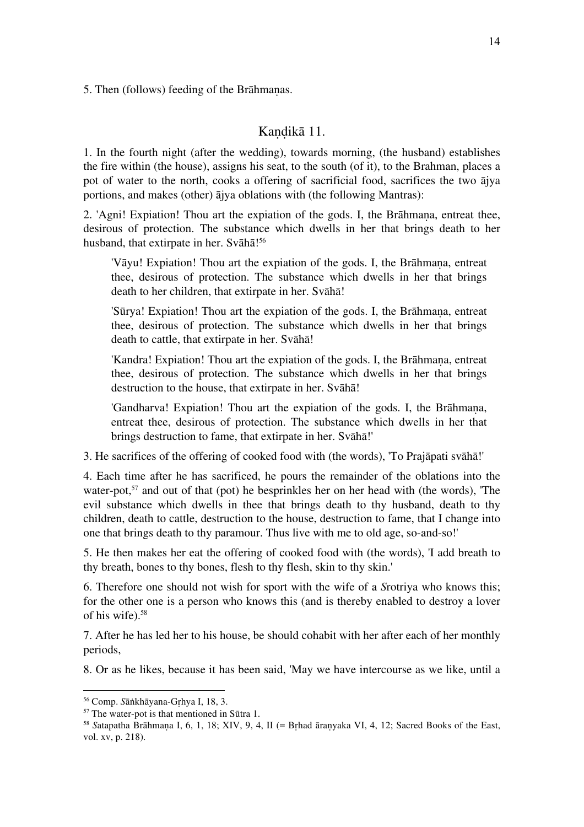5. Then (follows) feeding of the Brāhmaṇas.

## Kandikā 11.

1. In the fourth night (after the wedding), towards morning, (the husband) establishes the fire within (the house), assigns his seat, to the south (of it), to the Brahman, places a pot of water to the north, cooks a offering of sacrificial food, sacrifices the two ājya portions, and makes (other) ājya oblations with (the following Mantras):

2. 'Agni! Expiation! Thou art the expiation of the gods. I, the Brāhmana, entreat thee, desirous of protection. The substance which dwells in her that brings death to her husband, that extirpate in her. Svāhā! 56

'Vāyu! Expiation! Thou art the expiation of the gods. I, the Brāhmana, entreat thee, desirous of protection. The substance which dwells in her that brings death to her children, that extirpate in her. Svāhā!

'Sūrya! Expiation! Thou art the expiation of the gods. I, the Brāhmaṇa, entreat thee, desirous of protection. The substance which dwells in her that brings death to cattle, that extirpate in her. Svāhā!

'Kandra! Expiation! Thou art the expiation of the gods. I, the Brāhmaṇa, entreat thee, desirous of protection. The substance which dwells in her that brings destruction to the house, that extirpate in her. Svāhā!

'Gandharva! Expiation! Thou art the expiation of the gods. I, the Brāhmana, entreat thee, desirous of protection. The substance which dwells in her that brings destruction to fame, that extirpate in her. Svāhā!'

3. He sacrifices of the offering of cooked food with (the words), 'To Prajāpati svāhā!'

4. Each time after he has sacrificed, he pours the remainder of the oblations into the water-pot,<sup>57</sup> and out of that (pot) he besprinkles her on her head with (the words), 'The evil substance which dwells in thee that brings death to thy husband, death to thy children, death to cattle, destruction to the house, destruction to fame, that I change into one that brings death to thy paramour. Thus live with me to old age, so-and-so!'

5. He then makes her eat the offering of cooked food with (the words), 'I add breath to thy breath, bones to thy bones, flesh to thy flesh, skin to thy skin.'

6. Therefore one should not wish for sport with the wife of a *S*rotriya who knows this; for the other one is a person who knows this (and is thereby enabled to destroy a lover of his wife).58

7. After he has led her to his house, be should cohabit with her after each of her monthly periods,

8. Or as he likes, because it has been said, 'May we have intercourse as we like, until a

<sup>56</sup> Comp. *S*āṅkhāyana-Gṛhya I, 18, 3.

<sup>57</sup> The water-pot is that mentioned in Sūtra 1.

<sup>&</sup>lt;sup>58</sup> Satapatha Brāhmana I, 6, 1, 18; XIV, 9, 4, II (= Brhad āranyaka VI, 4, 12; Sacred Books of the East, vol. xv, p. 218).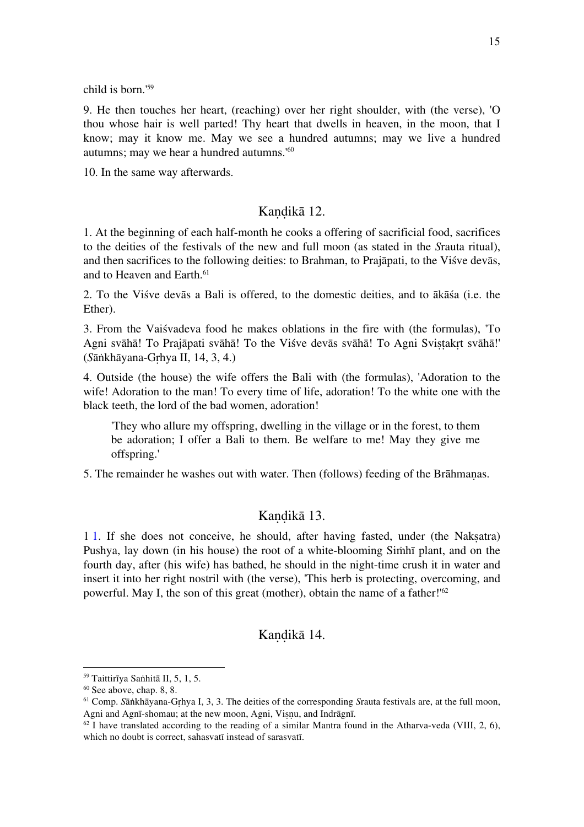child is born.'59

9. He then touches her heart, (reaching) over her right shoulder, with (the verse), 'O thou whose hair is well parted! Thy heart that dwells in heaven, in the moon, that I know; may it know me. May we see a hundred autumns; may we live a hundred autumns; may we hear a hundred autumns.'60

10. In the same way afterwards.

## Kandikā 12.

1. At the beginning of each half-month he cooks a offering of sacrificial food, sacrifices to the deities of the festivals of the new and full moon (as stated in the *S*rauta ritual), and then sacrifices to the following deities: to Brahman, to Prajāpati, to the Viśve devās, and to Heaven and Earth.<sup>61</sup>

2. To the Viśve devās a Bali is offered, to the domestic deities, and to ākāśa (i.e. the Ether).

3. From the Vaiśvadeva food he makes oblations in the fire with (the formulas), 'To Agni svāhā! To Prajāpati svāhā! To the Viśve devās svāhā! To Agni Svistakrt svāhā!' (*S*āṅkhāyana-Gṛhya II, 14, 3, 4.)

4. Outside (the house) the wife offers the Bali with (the formulas), 'Adoration to the wife! Adoration to the man! To every time of life, adoration! To the white one with the black teeth, the lord of the bad women, adoration!

'They who allure my offspring, dwelling in the village or in the forest, to them be adoration; I offer a Bali to them. Be welfare to me! May they give me offspring.'

5. The remainder he washes out with water. Then (follows) feeding of the Brāhmaṇas.

#### Kandikā 13.

1 1. If she does not conceive, he should, after having fasted, under (the Nakṣatra) Pushya, lay down (in his house) the root of a white-blooming Siṁhī plant, and on the fourth day, after (his wife) has bathed, he should in the night-time crush it in water and insert it into her right nostril with (the verse), 'This herb is protecting, overcoming, and powerful. May I, the son of this great (mother), obtain the name of a father!'62

#### Kandikā 14.

<sup>59</sup> Taittirīya Saṅhitā II, 5, 1, 5.

 $60$  See above, chap. 8, 8.

<sup>61</sup> Comp. *S*āṅkhāyana-Gṛhya I, 3, 3. The deities of the corresponding *S*rauta festivals are, at the full moon, Agni and Agnī-shomau; at the new moon, Agni, Visnu, and Indrāgnī.

 $62$  I have translated according to the reading of a similar Mantra found in the Atharva-veda (VIII, 2, 6), which no doubt is correct, sahasvatī instead of sarasvatī.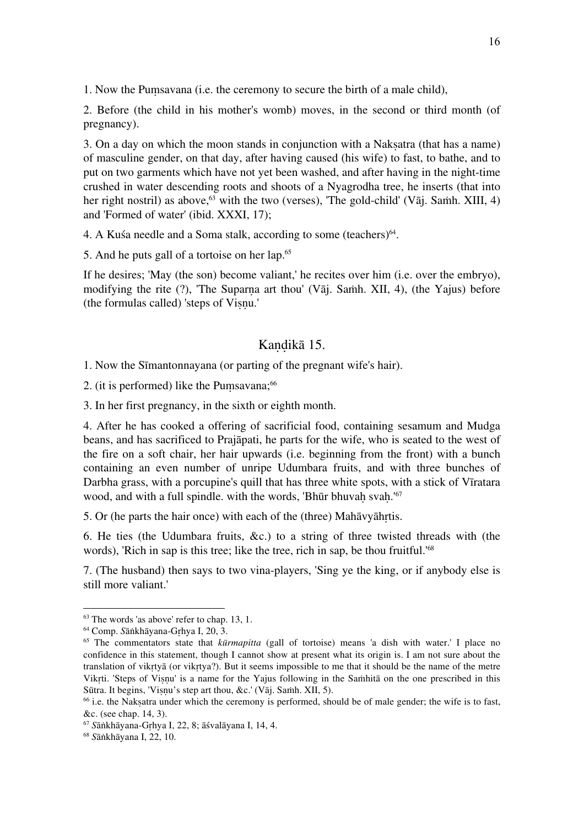1. Now the Puṃsavana (i.e. the ceremony to secure the birth of a male child),

2. Before (the child in his mother's womb) moves, in the second or third month (of pregnancy).

3. On a day on which the moon stands in conjunction with a Nakṣatra (that has a name) of masculine gender, on that day, after having caused (his wife) to fast, to bathe, and to put on two garments which have not yet been washed, and after having in the night-time crushed in water descending roots and shoots of a Nyagrodha tree, he inserts (that into her right nostril) as above,<sup>63</sup> with the two (verses), 'The gold-child' (V $\bar{a}$ j. Samh. XIII, 4) and 'Formed of water' (ibid. XXXI, 17);

4. A Kusa needle and a Soma stalk, according to some (teachers) $64$ .

5. And he puts gall of a tortoise on her lap.65

If he desires; 'May (the son) become valiant,' he recites over him (i.e. over the embryo), modifying the rite  $(?)$ , 'The Suparna art thou' (Vāj. Samh. XII, 4), (the Yajus) before (the formulas called) 'steps of Visnu.'

#### Kandikā 15.

1. Now the Sīmantonnayana (or parting of the pregnant wife's hair).

2. (it is performed) like the Pumsavana;<sup>66</sup>

3. In her first pregnancy, in the sixth or eighth month.

4. After he has cooked a offering of sacrificial food, containing sesamum and Mudga beans, and has sacrificed to Prajāpati, he parts for the wife, who is seated to the west of the fire on a soft chair, her hair upwards (i.e. beginning from the front) with a bunch containing an even number of unripe Udumbara fruits, and with three bunches of Darbha grass, with a porcupine's quill that has three white spots, with a stick of Vīratara wood, and with a full spindle. with the words, 'Bhūr bhuvah svah.'<sup>67</sup>

5. Or (he parts the hair once) with each of the (three) Mahāvyāhṛtis.

6. He ties (the Udumbara fruits, &c.) to a string of three twisted threads with (the words), 'Rich in sap is this tree; like the tree, rich in sap, be thou fruitful.'68

7. (The husband) then says to two vina-players, 'Sing ye the king, or if anybody else is still more valiant.'

 $63$  The words 'as above' refer to chap. 13, 1.

<sup>64</sup> Comp. *S*āṅkhāyana-Gṛhya I, 20, 3.

<sup>65</sup> The commentators state that *kūrmapitta* (gall of tortoise) means 'a dish with water.' I place no confidence in this statement, though I cannot show at present what its origin is. I am not sure about the translation of vikṛtyā (or vikṛtya?). But it seems impossible to me that it should be the name of the metre Vikṛti. 'Steps of Viṣṇu' is a name for the Yajus following in the Saṁhitā on the one prescribed in this Sūtra. It begins, 'Viṣṇu's step art thou, &c.' (Vāj. Saṁh. XII, 5).

<sup>&</sup>lt;sup>66</sup> i.e. the Naksatra under which the ceremony is performed, should be of male gender; the wife is to fast, &c. (see chap. 14, 3).

<sup>67</sup> *S*āṅkhāyana-Gṛhya I, 22, 8; āśvalāyana I, 14, 4.

<sup>68</sup> *S*āṅkhāyana I, 22, 10.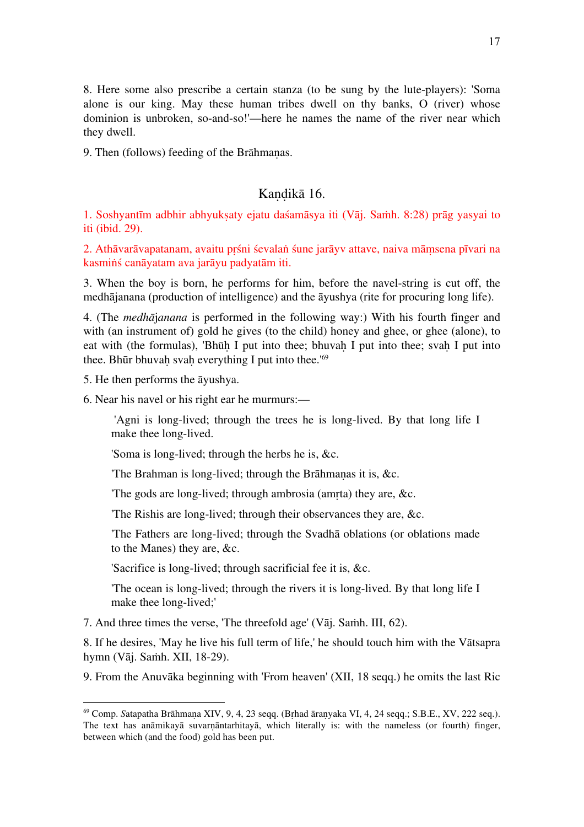8. Here some also prescribe a certain stanza (to be sung by the lute-players): 'Soma alone is our king. May these human tribes dwell on thy banks, O (river) whose dominion is unbroken, so-and-so!'—here he names the name of the river near which they dwell.

9. Then (follows) feeding of the Brāhmanas.

#### Kandikā 16.

1. Soshyantīm adbhir abhyukṣaty ejatu daśamāsya iti (Vāj. Saṁh. 8:28) prāg yasyai to iti (ibid. 29).

2. Athāvarāvapatanam, avaitu pṛśni śevalaṅ śune jarāyv attave, naiva māṃsena pīvari na kasmiṅś canāyatam ava jarāyu padyatām iti.

3. When the boy is born, he performs for him, before the navel-string is cut off, the medhājanana (production of intelligence) and the āyushya (rite for procuring long life).

4. (The *medhā*j*anana* is performed in the following way:) With his fourth finger and with (an instrument of) gold he gives (to the child) honey and ghee, or ghee (alone), to eat with (the formulas), 'Bhūh I put into thee; bhuvah I put into thee; svah I put into thee. Bhūr bhuvah svah everything I put into thee.<sup>'69</sup>

5. He then performs the āyushya.

 $\overline{a}$ 

6. Near his navel or his right ear he murmurs:—

 'Agni is long-lived; through the trees he is long-lived. By that long life I make thee long-lived.

'Soma is long-lived; through the herbs he is, &c.

'The Brahman is long-lived; through the Brāhmaṇas it is, &c.

'The gods are long-lived; through ambrosia (amṛta) they are, &c.

'The Rishis are long-lived; through their observances they are, &c.

'The Fathers are long-lived; through the Svadhā oblations (or oblations made to the Manes) they are, &c.

'Sacrifice is long-lived; through sacrificial fee it is, &c.

'The ocean is long-lived; through the rivers it is long-lived. By that long life I make thee long-lived;'

7. And three times the verse, 'The threefold age' (Vāj. Saṁh. III, 62).

8. If he desires, 'May he live his full term of life,' he should touch him with the Vātsapra hymn (Vāj. Saṁh. XII, 18-29).

9. From the Anuvāka beginning with 'From heaven' (XII, 18 seqq.) he omits the last Ric

<sup>69</sup> Comp. *S*atapatha Brāhmaṇa XIV, 9, 4, 23 seqq. (Bṛhad āraṇyaka VI, 4, 24 seqq.; S.B.E., XV, 222 seq.). The text has anāmikayā suvarnāntarhitayā, which literally is: with the nameless (or fourth) finger, between which (and the food) gold has been put.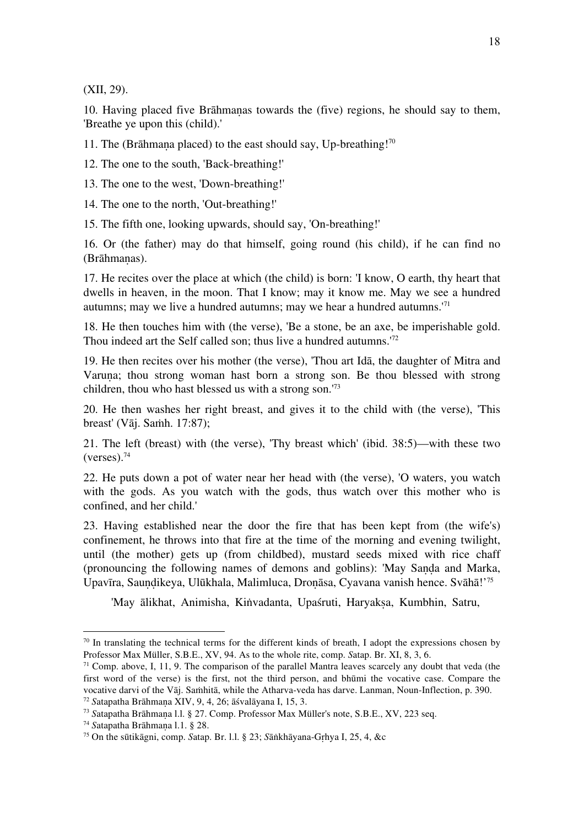(XII, 29).

10. Having placed five Brāhmaṇas towards the (five) regions, he should say to them, 'Breathe ye upon this (child).'

11. The (Brāhmana placed) to the east should say, Up-breathing!<sup>70</sup>

12. The one to the south, 'Back-breathing!'

13. The one to the west, 'Down-breathing!'

14. The one to the north, 'Out-breathing!'

15. The fifth one, looking upwards, should say, 'On-breathing!'

16. Or (the father) may do that himself, going round (his child), if he can find no (Brāhmanas).

17. He recites over the place at which (the child) is born: 'I know, O earth, thy heart that dwells in heaven, in the moon. That I know; may it know me. May we see a hundred autumns; may we live a hundred autumns; may we hear a hundred autumns.'71

18. He then touches him with (the verse), 'Be a stone, be an axe, be imperishable gold. Thou indeed art the Self called son; thus live a hundred autumns.<sup>'72</sup>

19. He then recites over his mother (the verse), 'Thou art Idā, the daughter of Mitra and Varuna; thou strong woman hast born a strong son. Be thou blessed with strong children, thou who hast blessed us with a strong son.'73

20. He then washes her right breast, and gives it to the child with (the verse), 'This breast' (Vāj. Saṁh. 17:87);

21. The left (breast) with (the verse), 'Thy breast which' (ibid. 38:5)—with these two  $(verses).<sup>74</sup>$ 

22. He puts down a pot of water near her head with (the verse), 'O waters, you watch with the gods. As you watch with the gods, thus watch over this mother who is confined, and her child.'

23. Having established near the door the fire that has been kept from (the wife's) confinement, he throws into that fire at the time of the morning and evening twilight, until (the mother) gets up (from childbed), mustard seeds mixed with rice chaff (pronouncing the following names of demons and goblins): 'May Saṇḍa and Marka, Upavīra, Sauṇḍikeya, Ulūkhala, Malimluca, Droṇāsa, Cyavana vanish hence. Svāhā!' 75

'May ālikhat, Animisha, Kiṅvadanta, Upaśruti, Haryaksa, Kumbhin, Satru,

 $70$  In translating the technical terms for the different kinds of breath, I adopt the expressions chosen by Professor Max Müller, S.B.E., XV, 94. As to the whole rite, comp. *S*atap. Br. XI, 8, 3, 6.

<sup>&</sup>lt;sup>71</sup> Comp. above, I, 11, 9. The comparison of the parallel Mantra leaves scarcely any doubt that veda (the first word of the verse) is the first, not the third person, and bhūmi the vocative case. Compare the vocative darvi of the Vāj. Saṁhitā, while the Atharva-veda has darve. Lanman, Noun-Inflection, p. 390. <sup>72</sup> *S*atapatha Brāhmaṇa XIV, 9, 4, 26; āśvalāyana I, 15, 3.

<sup>73</sup> *S*atapatha Brāhmaṇa l.l. § 27. Comp. Professor Max Müller's note, S.B.E., XV, 223 seq.

<sup>74</sup> *S*atapatha Brāhmaṇa l.1. § 28.

<sup>75</sup> On the sūtikāgni, comp. *S*atap. Br. l.l. § 23; *S*āṅkhāyana-Gṛhya I, 25, 4, &c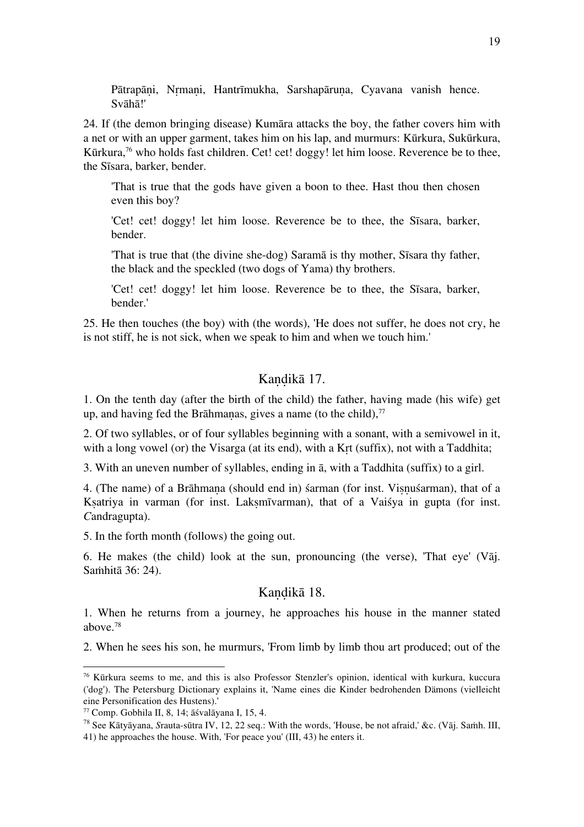Pātrapāni, Nrmani, Hantrīmukha, Sarshapāruna, Cyavana vanish hence. Svāhā!'

24. If (the demon bringing disease) Kumāra attacks the boy, the father covers him with a net or with an upper garment, takes him on his lap, and murmurs: Kūrkura, Sukūrkura, Kūrkura,<sup>76</sup> who holds fast children. Cet! cet! doggy! let him loose. Reverence be to thee, the Sīsara, barker, bender.

'That is true that the gods have given a boon to thee. Hast thou then chosen even this boy?

'Cet! cet! doggy! let him loose. Reverence be to thee, the Sīsara, barker, bender.

'That is true that (the divine she-dog) Saramā is thy mother, Sīsara thy father, the black and the speckled (two dogs of Yama) thy brothers.

'Cet! cet! doggy! let him loose. Reverence be to thee, the Sīsara, barker, bender.'

25. He then touches (the boy) with (the words), 'He does not suffer, he does not cry, he is not stiff, he is not sick, when we speak to him and when we touch him.'

#### Kandikā 17.

1. On the tenth day (after the birth of the child) the father, having made (his wife) get up, and having fed the Brāhmanas, gives a name (to the child), $\frac{7}{7}$ 

2. Of two syllables, or of four syllables beginning with a sonant, with a semivowel in it, with a long vowel (or) the Visarga (at its end), with a Krt (suffix), not with a Taddhita;

3. With an uneven number of syllables, ending in ā, with a Taddhita (suffix) to a girl.

4. (The name) of a Brāhmaṇa (should end in) śarman (for inst. Viṣṇuśarman), that of a Ksatriya in varman (for inst. Laksmīvarman), that of a Vaisya in gupta (for inst. *C*andragupta).

5. In the forth month (follows) the going out.

6. He makes (the child) look at the sun, pronouncing (the verse), 'That eye' (Vāj. Saṁhitā 36: 24).

#### Kandikā 18.

1. When he returns from a journey, he approaches his house in the manner stated above.78

2. When he sees his son, he murmurs, 'From limb by limb thou art produced; out of the

<sup>76</sup> Kūrkura seems to me, and this is also Professor Stenzler's opinion, identical with kurkura, kuccura ('dog'). The Petersburg Dictionary explains it, 'Name eines die Kinder bedrohenden Dämons (vielleicht eine Personification des Hustens).'<br><sup>77</sup> Comp. Gobhila II, 8, 14; āśvalāyana I, 15, 4.

<sup>&</sup>lt;sup>78</sup> See Kātyāyana, *Srauta-sūtra IV*, 12, 22 seq.: With the words, 'House, be not afraid,' &c. (Vāj. Saṁh. III, 41) he approaches the house. With, 'For peace you' (III, 43) he enters it.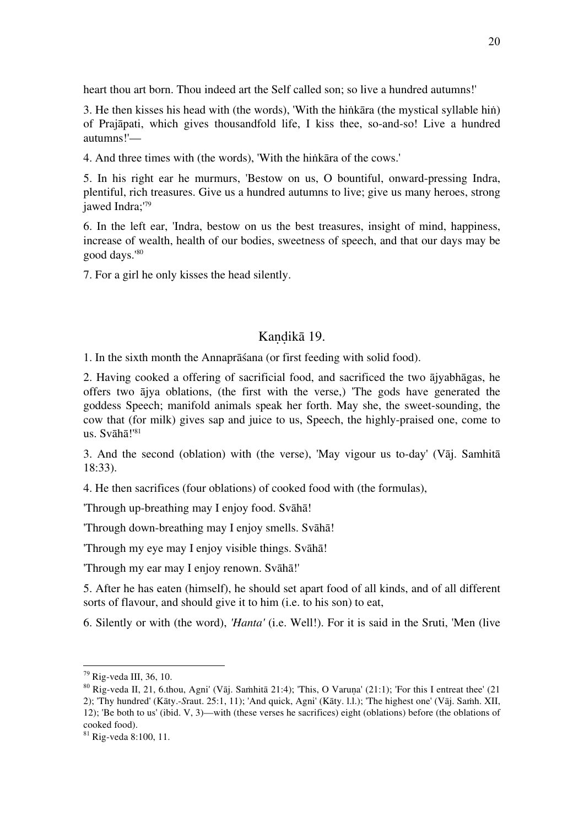heart thou art born. Thou indeed art the Self called son; so live a hundred autumns!'

3. He then kisses his head with (the words), 'With the hiṅkāra (the mystical syllable hiṅ) of Prajāpati, which gives thousandfold life, I kiss thee, so-and-so! Live a hundred autumns!'—

4. And three times with (the words), 'With the hiṅkāra of the cows.'

5. In his right ear he murmurs, 'Bestow on us, O bountiful, onward-pressing Indra, plentiful, rich treasures. Give us a hundred autumns to live; give us many heroes, strong jawed Indra;<sup>'79</sup>

6. In the left ear, 'Indra, bestow on us the best treasures, insight of mind, happiness, increase of wealth, health of our bodies, sweetness of speech, and that our days may be good days.'80

7. For a girl he only kisses the head silently.

#### Kandikā 19.

1. In the sixth month the Annaprāśana (or first feeding with solid food).

2. Having cooked a offering of sacrificial food, and sacrificed the two ājyabhāgas, he offers two ājya oblations, (the first with the verse,) 'The gods have generated the goddess Speech; manifold animals speak her forth. May she, the sweet-sounding, the cow that (for milk) gives sap and juice to us, Speech, the highly-praised one, come to us. Svāhā!'81

3. And the second (oblation) with (the verse), 'May vigour us to-day' (Vāj. Samhitā 18:33).

4. He then sacrifices (four oblations) of cooked food with (the formulas),

'Through up-breathing may I enjoy food. Svāhā!

'Through down-breathing may I enjoy smells. Svāhā!

'Through my eye may I enjoy visible things. Svāhā!

'Through my ear may I enjoy renown. Svāhā!'

5. After he has eaten (himself), he should set apart food of all kinds, and of all different sorts of flavour, and should give it to him (i.e. to his son) to eat,

6. Silently or with (the word), *'Hanta'* (i.e. Well!). For it is said in the Sruti, 'Men (live

<sup>&</sup>lt;sup>79</sup> Rig-veda III, 36, 10.<br><sup>80</sup> Rig-veda II, 21, 6.thou, Agni' (Vāi, Saṁhitā 21:4); 'This, O Varuna' (21:1); 'For this I entreat thee' (21 2); 'Thy hundred' (Kāty.-*S*raut. 25:1, 11); 'And quick, Agni' (Kāty. l.l.); 'The highest one' (Vāj. Saṁh. XII, 12); 'Be both to us' (ibid. V, 3)—with (these verses he sacrifices) eight (oblations) before (the oblations of cooked food).

 $81$  Rig-veda 8:100, 11.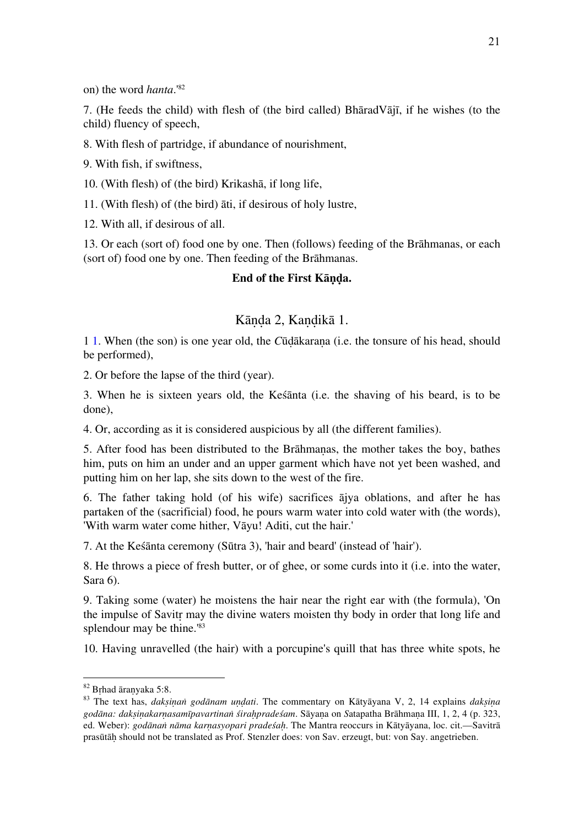on) the word *hanta*.'82

7. (He feeds the child) with flesh of (the bird called) BhāradVājī, if he wishes (to the child) fluency of speech,

8. With flesh of partridge, if abundance of nourishment,

9. With fish, if swiftness,

10. (With flesh) of (the bird) Krikashā, if long life,

11. (With flesh) of (the bird) āti, if desirous of holy lustre,

12. With all, if desirous of all.

13. Or each (sort of) food one by one. Then (follows) feeding of the Brāhmanas, or each (sort of) food one by one. Then feeding of the Brāhmanas.

#### **End of the First Kāṇḍa.**

## Kāṇḍa 2, Kaṇḍikā 1.

1 1. When (the son) is one year old, the *C*ūḍākaraṇa (i.e. the tonsure of his head, should be performed),

2. Or before the lapse of the third (year).

3. When he is sixteen years old, the Keśānta (i.e. the shaving of his beard, is to be done),

4. Or, according as it is considered auspicious by all (the different families).

5. After food has been distributed to the Brāhmaṇas, the mother takes the boy, bathes him, puts on him an under and an upper garment which have not yet been washed, and putting him on her lap, she sits down to the west of the fire.

6. The father taking hold (of his wife) sacrifices ājya oblations, and after he has partaken of the (sacrificial) food, he pours warm water into cold water with (the words), 'With warm water come hither, Vāyu! Aditi, cut the hair.'

7. At the Keśānta ceremony (Sūtra 3), 'hair and beard' (instead of 'hair').

8. He throws a piece of fresh butter, or of ghee, or some curds into it (i.e. into the water, Sara 6).

9. Taking some (water) he moistens the hair near the right ear with (the formula), 'On the impulse of Savitṛ may the divine waters moisten thy body in order that long life and splendour may be thine.<sup>'83</sup>

10. Having unravelled (the hair) with a porcupine's quill that has three white spots, he

<sup>&</sup>lt;sup>82</sup> Brhad āranyaka 5:8.<br><sup>83</sup> The text has, *daksinan godānam undati*. The commentary on Kātyāyana V, 2, 14 explains *daksina* godāna: daksinakarnasamīpavartinan śirahpradeśam. Sāyana on Satapatha Brāhmana III, 1, 2, 4 (p. 323, ed. Weber): *godānaṅ nāma karṇasyopari pradeśaḥ*. The Mantra reoccurs in Kātyāyana, loc. cit.—Savitrā prasūtāḥ should not be translated as Prof. Stenzler does: von Sav. erzeugt, but: von Say. angetrieben.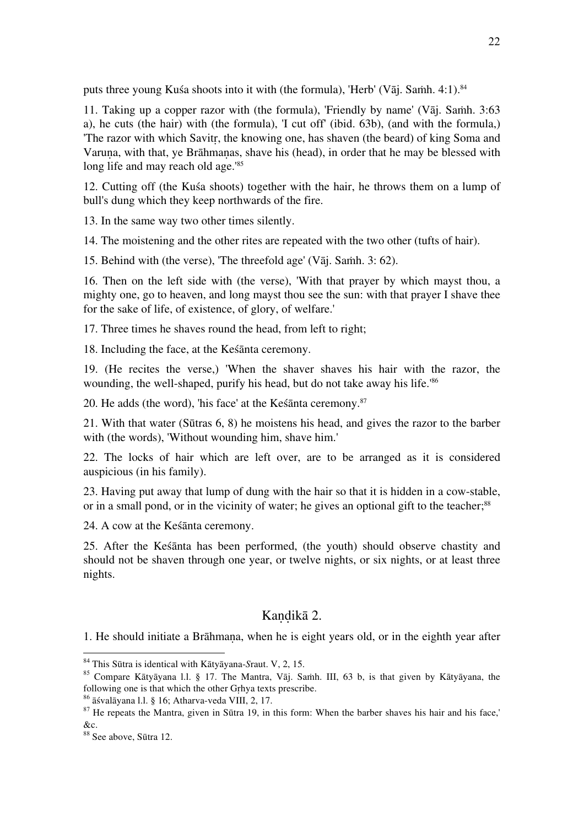puts three young Kuśa shoots into it with (the formula), 'Herb' (Vāj. Samh. 4:1). $84$ 

11. Taking up a copper razor with (the formula), 'Friendly by name' (Vāj. Samh.  $3:63$ ) a), he cuts (the hair) with (the formula), 'I cut off' (ibid. 63b), (and with the formula,) 'The razor with which Savitṛ, the knowing one, has shaven (the beard) of king Soma and Varuṇa, with that, ye Brāhmaṇas, shave his (head), in order that he may be blessed with long life and may reach old age.<sup>'85</sup>

12. Cutting off (the Kuśa shoots) together with the hair, he throws them on a lump of bull's dung which they keep northwards of the fire.

13. In the same way two other times silently.

14. The moistening and the other rites are repeated with the two other (tufts of hair).

15. Behind with (the verse), 'The threefold age' (Vāj. Saṁh. 3: 62).

16. Then on the left side with (the verse), 'With that prayer by which mayst thou, a mighty one, go to heaven, and long mayst thou see the sun: with that prayer I shave thee for the sake of life, of existence, of glory, of welfare.'

17. Three times he shaves round the head, from left to right;

18. Including the face, at the Keśānta ceremony.

19. (He recites the verse,) 'When the shaver shaves his hair with the razor, the wounding, the well-shaped, purify his head, but do not take away his life.'86

20. He adds (the word), 'his face' at the Kes $\bar{a}$ nta ceremony.<sup>87</sup>

21. With that water (Sūtras 6, 8) he moistens his head, and gives the razor to the barber with (the words), 'Without wounding him, shave him.'

22. The locks of hair which are left over, are to be arranged as it is considered auspicious (in his family).

23. Having put away that lump of dung with the hair so that it is hidden in a cow-stable, or in a small pond, or in the vicinity of water; he gives an optional gift to the teacher;<sup>88</sup>

24. A cow at the Keśānta ceremony.

25. After the Keśānta has been performed, (the youth) should observe chastity and should not be shaven through one year, or twelve nights, or six nights, or at least three nights.

## Kandikā 2.

1. He should initiate a Brāhmaṇa, when he is eight years old, or in the eighth year after

<sup>&</sup>lt;sup>84</sup> This Sūtra is identical with Kātyāyana-*Sraut. V, 2, 15.*<br><sup>85</sup> Compare Kātyāyana l.l. § 17. The Mantra, Vāj. Saṁh. III, 63 b, is that given by Kātyāyana, the following one is that which the other Grhya texts prescribe

<sup>&</sup>lt;sup>86</sup> āśvalāyana l.l. § 16; Atharva-veda VIII, 2, 17.<br><sup>87</sup> He repeats the Mantra, given in Sūtra 19, in this form: When the barber shaves his hair and his face,' &c.

<sup>88</sup> See above, Sūtra 12.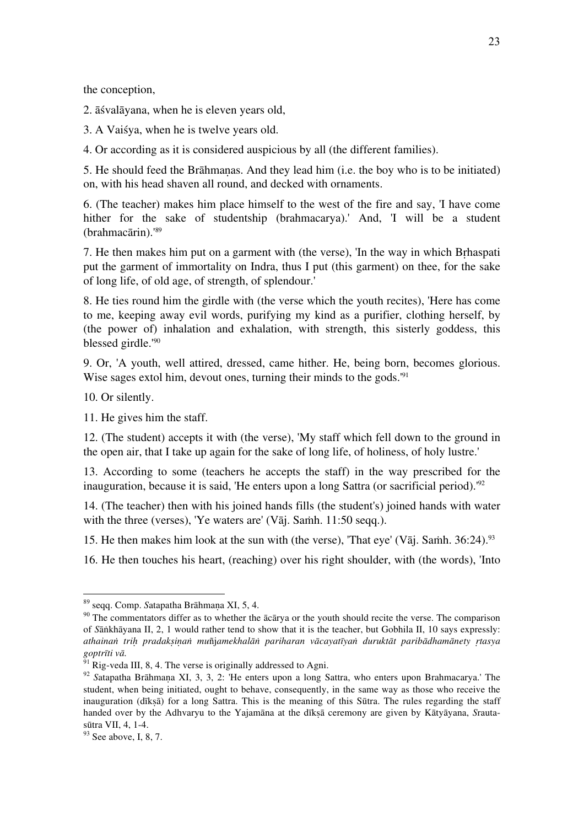the conception,

2. āśvalāyana, when he is eleven years old,

3. A Vaiśya, when he is twelve years old.

4. Or according as it is considered auspicious by all (the different families).

5. He should feed the Brāhmaṇas. And they lead him (i.e. the boy who is to be initiated) on, with his head shaven all round, and decked with ornaments.

6. (The teacher) makes him place himself to the west of the fire and say, 'I have come hither for the sake of studentship (brahmacarya).' And, 'I will be a student (brahmacārin).'89

7. He then makes him put on a garment with (the verse), 'In the way in which Bṛhaspati put the garment of immortality on Indra, thus I put (this garment) on thee, for the sake of long life, of old age, of strength, of splendour.'

8. He ties round him the girdle with (the verse which the youth recites), 'Here has come to me, keeping away evil words, purifying my kind as a purifier, clothing herself, by (the power of) inhalation and exhalation, with strength, this sisterly goddess, this blessed girdle.'90

9. Or, 'A youth, well attired, dressed, came hither. He, being born, becomes glorious. Wise sages extol him, devout ones, turning their minds to the gods.<sup>'91</sup>

10. Or silently.

11. He gives him the staff.

12. (The student) accepts it with (the verse), 'My staff which fell down to the ground in the open air, that I take up again for the sake of long life, of holiness, of holy lustre.'

13. According to some (teachers he accepts the staff) in the way prescribed for the inauguration, because it is said, 'He enters upon a long Sattra (or sacrificial period).'92

14. (The teacher) then with his joined hands fills (the student's) joined hands with water with the three (verses), 'Ye waters are' (Vāj. Samh. 11:50 seqq.).

15. He then makes him look at the sun with (the verse), 'That eye' (Vāi, Samh.  $36:24$ )<sup>93</sup>

16. He then touches his heart, (reaching) over his right shoulder, with (the words), 'Into

<sup>&</sup>lt;sup>89</sup> seqq. Comp. *Satapatha Brāhmaṇa XI*, 5, 4.<br><sup>90</sup> The commentators differ as to whether the ācārya or the youth should recite the verse. The comparison of *S*āṅkhāyana II, 2, 1 would rather tend to show that it is the teacher, but Gobhila II, 10 says expressly: athainan trih pradaksinan muñjamekhalān pariharan vācayatīyan duruktāt paribādhamānety rtasya *goptrīti vā*.<br><sup>91</sup> Rig-veda III, 8, 4. The verse is originally addressed to Agni.<br><sup>92</sup> *S*atapatha Brāhmana XI, 3, 3, 2: 'He enters upon a long Sattra, who enters upon Brahmacarya.' The

student, when being initiated, ought to behave, consequently, in the same way as those who receive the inauguration (dīkṣā) for a long Sattra. This is the meaning of this Sūtra. The rules regarding the staff handed over by the Adhvaryu to the Yajamāna at the dīkṣā ceremony are given by Kātyāyana, *S*rauta-

 $93$  See above, I, 8, 7.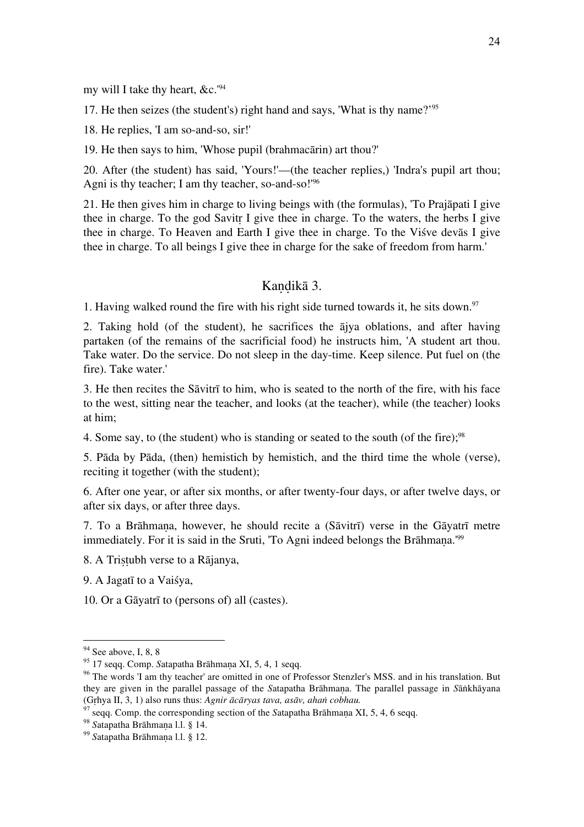my will I take thy heart, &c.'94

17. He then seizes (the student's) right hand and says, 'What is thy name?' 95

18. He replies, 'I am so-and-so, sir!'

19. He then says to him, 'Whose pupil (brahmacārin) art thou?'

20. After (the student) has said, 'Yours!'—(the teacher replies,) 'Indra's pupil art thou; Agni is thy teacher; I am thy teacher, so-and-so!<sup>'96</sup>

21. He then gives him in charge to living beings with (the formulas), 'To Prajāpati I give thee in charge. To the god Savitṛ I give thee in charge. To the waters, the herbs I give thee in charge. To Heaven and Earth I give thee in charge. To the Viśve devās I give thee in charge. To all beings I give thee in charge for the sake of freedom from harm.'

#### Kaṇḍikā 3.

1. Having walked round the fire with his right side turned towards it, he sits down.<sup>97</sup>

2. Taking hold (of the student), he sacrifices the ājya oblations, and after having partaken (of the remains of the sacrificial food) he instructs him, 'A student art thou. Take water. Do the service. Do not sleep in the day-time. Keep silence. Put fuel on (the fire). Take water.'

3. He then recites the Sāvitrī to him, who is seated to the north of the fire, with his face to the west, sitting near the teacher, and looks (at the teacher), while (the teacher) looks at him;

4. Some say, to (the student) who is standing or seated to the south (of the fire);<sup>98</sup>

5. Pāda by Pāda, (then) hemistich by hemistich, and the third time the whole (verse), reciting it together (with the student);

6. After one year, or after six months, or after twenty-four days, or after twelve days, or after six days, or after three days.

7. To a Brāhmaṇa, however, he should recite a (Sāvitrī) verse in the Gāyatrī metre immediately. For it is said in the Sruti, 'To Agni indeed belongs the Brāhmana.'<sup>99</sup>

8. A Triṣṭubh verse to a Rājanya,

9. A Jagatī to a Vaiśya,

10. Or a Gāyatrī to (persons of) all (castes).

<sup>&</sup>lt;sup>94</sup> See above, I, 8, 8<br><sup>95</sup> 17 seqq. Comp. *Satapatha Brāhmaṇa XI*, 5, 4, 1 seqq.<br><sup>96</sup> The words 'I am thy teacher' are omitted in one of Professor Stenzler's MSS. and in his translation. But they are given in the parallel passage of the *S*atapatha Brāhmaṇa. The parallel passage in *S*āṅkhāyana

<sup>&</sup>lt;sup>97</sup> seqq. Comp. the corresponding section of the Satapatha Brāhmaṇa XI, 5, 4, 6 seqq. <sup>98</sup> Satapatha Brāhmaṇa 1.1. § 14.<br><sup>99</sup> Satapatha Brāhmaṇa 1.1. § 12.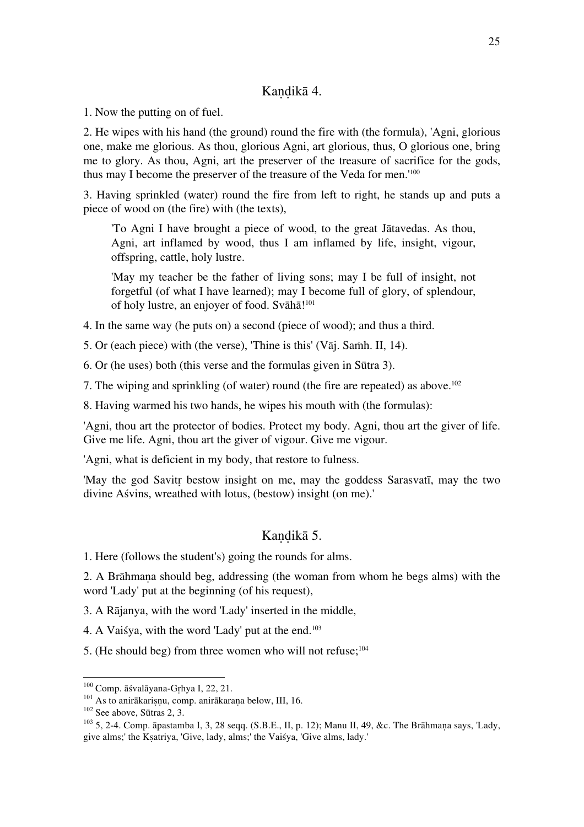## Kandikā 4.

1. Now the putting on of fuel.

2. He wipes with his hand (the ground) round the fire with (the formula), 'Agni, glorious one, make me glorious. As thou, glorious Agni, art glorious, thus, O glorious one, bring me to glory. As thou, Agni, art the preserver of the treasure of sacrifice for the gods, thus may I become the preserver of the treasure of the Veda for men.'100

3. Having sprinkled (water) round the fire from left to right, he stands up and puts a piece of wood on (the fire) with (the texts),

'To Agni I have brought a piece of wood, to the great Jātavedas. As thou, Agni, art inflamed by wood, thus I am inflamed by life, insight, vigour, offspring, cattle, holy lustre.

'May my teacher be the father of living sons; may I be full of insight, not forgetful (of what I have learned); may I become full of glory, of splendour, of holy lustre, an enjoyer of food. Svāhā!<sup>101</sup>

4. In the same way (he puts on) a second (piece of wood); and thus a third.

5. Or (each piece) with (the verse), 'Thine is this' (V $\bar{a}$ j. Samh. II, 14).

6. Or (he uses) both (this verse and the formulas given in Sūtra 3).

7. The wiping and sprinkling (of water) round (the fire are repeated) as above.<sup>102</sup>

8. Having warmed his two hands, he wipes his mouth with (the formulas):

'Agni, thou art the protector of bodies. Protect my body. Agni, thou art the giver of life. Give me life. Agni, thou art the giver of vigour. Give me vigour.

'Agni, what is deficient in my body, that restore to fulness.

'May the god Savitṛ bestow insight on me, may the goddess Sarasvatī, may the two divine Aśvins, wreathed with lotus, (bestow) insight (on me).'

## Kandikā 5.

1. Here (follows the student's) going the rounds for alms.

2. A Brāhmaṇa should beg, addressing (the woman from whom he begs alms) with the word 'Lady' put at the beginning (of his request),

3. A Rājanya, with the word 'Lady' inserted in the middle,

4. A Vaiśya, with the word 'Lady' put at the end.103

5. (He should beg) from three women who will not refuse; $^{104}$ 

<sup>&</sup>lt;sup>100</sup> Comp. āśvalāyana-Gṛhya I, 22, 21.<br><sup>101</sup> As to anirākarisņu, comp. anirākaraņa below, III, 16.<br><sup>102</sup> See above, Sūtras 2, 3.<br><sup>103</sup> 5, 2-4. Comp. āpastamba I, 3, 28 seqq. (S.B.E., II, p. 12); Manu II, 49, &c. The Brāh give alms;' the Kṣatriya, 'Give, lady, alms;' the Vaiśya, 'Give alms, lady.'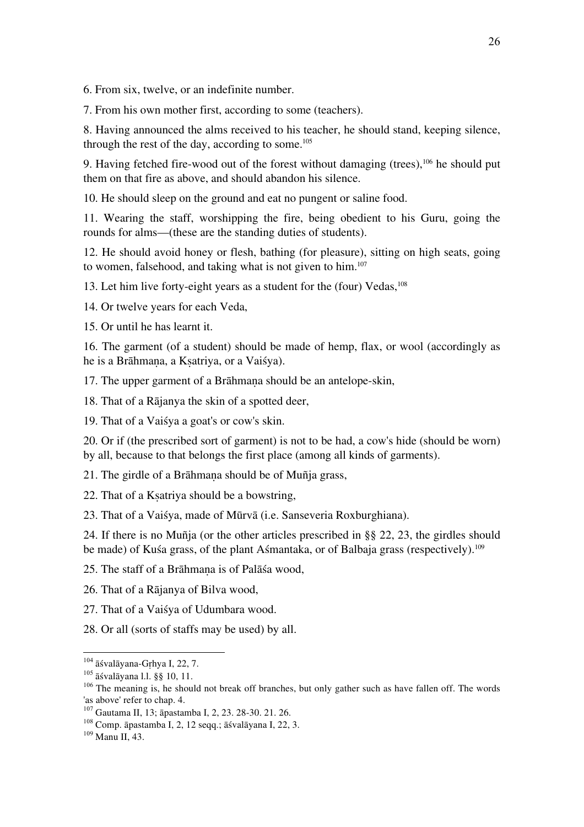6. From six, twelve, or an indefinite number.

7. From his own mother first, according to some (teachers).

8. Having announced the alms received to his teacher, he should stand, keeping silence, through the rest of the day, according to some.<sup>105</sup>

9. Having fetched fire-wood out of the forest without damaging (trees), $106$  he should put them on that fire as above, and should abandon his silence.

10. He should sleep on the ground and eat no pungent or saline food.

11. Wearing the staff, worshipping the fire, being obedient to his Guru, going the rounds for alms—(these are the standing duties of students).

12. He should avoid honey or flesh, bathing (for pleasure), sitting on high seats, going to women, falsehood, and taking what is not given to him. $107$ 

13. Let him live forty-eight years as a student for the (four) Vedas, <sup>108</sup>

14. Or twelve years for each Veda,

15. Or until he has learnt it.

16. The garment (of a student) should be made of hemp, flax, or wool (accordingly as he is a Brāhmana, a Ksatriya, or a Vaisya).

17. The upper garment of a Brāhmana should be an antelope-skin,

18. That of a Rājanya the skin of a spotted deer,

19. That of a Vaiśya a goat's or cow's skin.

20. Or if (the prescribed sort of garment) is not to be had, a cow's hide (should be worn) by all, because to that belongs the first place (among all kinds of garments).

21. The girdle of a Brāhmaṇa should be of Muñja grass,

22. That of a Kṣatriya should be a bowstring,

23. That of a Vaiśya, made of Mūrvā (i.e. Sanseveria Roxburghiana).

24. If there is no Muñja (or the other articles prescribed in §§ 22, 23, the girdles should be made) of Kuśa grass, of the plant Aśmantaka, or of Balbaja grass (respectively).<sup>109</sup>

25. The staff of a Brāhmaṇa is of Palāśa wood,

26. That of a Rājanya of Bilva wood,

27. That of a Vaiśya of Udumbara wood.

28. Or all (sorts of staffs may be used) by all.

<sup>&</sup>lt;sup>104</sup> āśvalāyana-Gṛhya I, 22, 7.<br><sup>105</sup> āśvalāyana l.l. §§ 10, 11.<br><sup>106</sup> The meaning is, he should not break off branches, but only gather such as have fallen off. The words 'as above' refer to chap. 4.

<sup>&</sup>lt;sup>107</sup> Gautama II, 13; āpastamba I, 2, 23. 28-30. 21. 26.<br><sup>108</sup> Comp. āpastamba I, 2, 12 seqq.; āśvalāyana I, 22, 3. <sup>109</sup> Manu II, 43.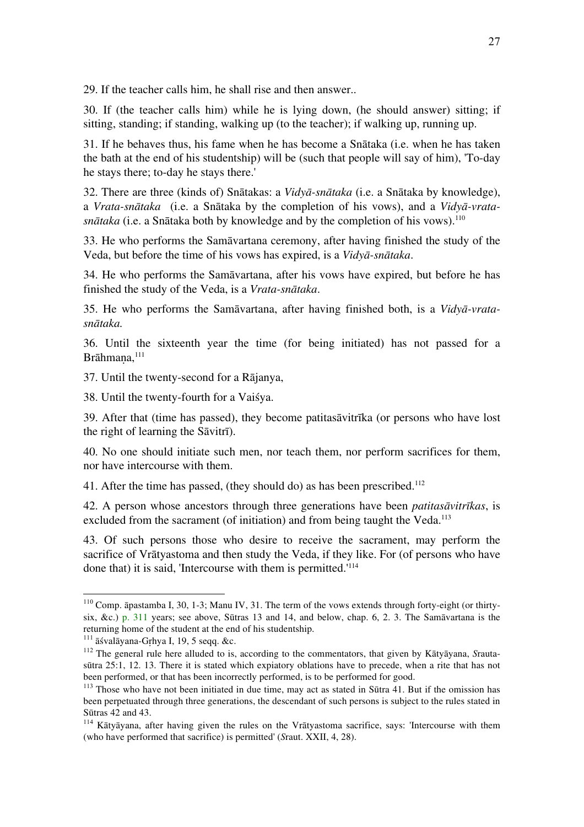29. If the teacher calls him, he shall rise and then answer..

30. If (the teacher calls him) while he is lying down, (he should answer) sitting; if sitting, standing; if standing, walking up (to the teacher); if walking up, running up.

31. If he behaves thus, his fame when he has become a Snātaka (i.e. when he has taken the bath at the end of his studentship) will be (such that people will say of him), 'To-day he stays there; to-day he stays there.'

32. There are three (kinds of) Snātakas: a *Vidyā-snātaka* (i.e. a Snātaka by knowledge), a *Vrata-snātaka* (i.e. a Snātaka by the completion of his vows), and a *Vidyā-vratasnātaka* (i.e. a Snātaka both by knowledge and by the completion of his vows).110

33. He who performs the Samāvartana ceremony, after having finished the study of the Veda, but before the time of his vows has expired, is a *Vidyā-snātaka*.

34. He who performs the Samāvartana, after his vows have expired, but before he has finished the study of the Veda, is a *Vrata-snātaka*.

35. He who performs the Samāvartana, after having finished both, is a *Vidyā-vratasnātaka.*

36. Until the sixteenth year the time (for being initiated) has not passed for a Brāhmana,<sup>111</sup>

37. Until the twenty-second for a Rājanya,

38. Until the twenty-fourth for a Vaiśya.

39. After that (time has passed), they become patitasāvitrīka (or persons who have lost the right of learning the Sāvitrī).

40. No one should initiate such men, nor teach them, nor perform sacrifices for them, nor have intercourse with them.

41. After the time has passed, (they should do) as has been prescribed.<sup>112</sup>

42. A person whose ancestors through three generations have been *patitasāvitrīkas*, is excluded from the sacrament (of initiation) and from being taught the Veda.<sup>113</sup>

43. Of such persons those who desire to receive the sacrament, may perform the sacrifice of Vrātyastoma and then study the Veda, if they like. For (of persons who have done that) it is said, 'Intercourse with them is permitted.'<sup>114</sup>

<sup>&</sup>lt;sup>110</sup> Comp. āpastamba I, 30, 1-3; Manu IV, 31. The term of the vows extends through forty-eight (or thirtysix, &c.) p. 311 years; see above, Sūtras 13 and 14, and below, chap. 6, 2. 3. The Samāvartana is the returning home of the student at the end of his studentship.<br><sup>111</sup> āśvalāyana-Grhya I, 19, 5 seqq. &c.

<sup>&</sup>lt;sup>112</sup> The general rule here alluded to is, according to the commentators, that given by Kātyāyana, *Srauta*sūtra 25:1, 12. 13. There it is stated which expiatory oblations have to precede, when a rite that has not been performed, or that has been incorrectly performed, is to be performed for good.

<sup>&</sup>lt;sup>113</sup> Those who have not been initiated in due time, may act as stated in Sūtra 41. But if the omission has been perpetuated through three generations, the descendant of such persons is subject to the rules stated in Sūtras 42 and 43.

 $114$  Kātvāvana, after having given the rules on the Vrātyastoma sacrifice, says: 'Intercourse with them (who have performed that sacrifice) is permitted' (*S*raut. XXII, 4, 28).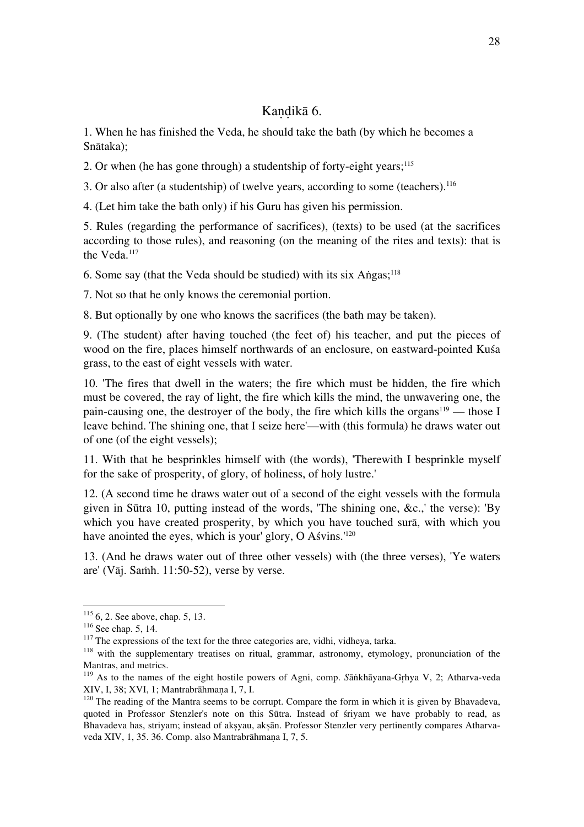## Kandikā 6.

1. When he has finished the Veda, he should take the bath (by which he becomes a Snātaka);

2. Or when (he has gone through) a studentship of forty-eight years;<sup>115</sup>

3. Or also after (a studentship) of twelve years, according to some (teachers).116

4. (Let him take the bath only) if his Guru has given his permission.

5. Rules (regarding the performance of sacrifices), (texts) to be used (at the sacrifices according to those rules), and reasoning (on the meaning of the rites and texts): that is the Veda.117

6. Some say (that the Veda should be studied) with its six Añgas;  $118$ 

7. Not so that he only knows the ceremonial portion.

8. But optionally by one who knows the sacrifices (the bath may be taken).

9. (The student) after having touched (the feet of) his teacher, and put the pieces of wood on the fire, places himself northwards of an enclosure, on eastward-pointed Kuśa grass, to the east of eight vessels with water.

10. 'The fires that dwell in the waters; the fire which must be hidden, the fire which must be covered, the ray of light, the fire which kills the mind, the unwavering one, the pain-causing one, the destroyer of the body, the fire which kills the organs<sup>119</sup> — those I leave behind. The shining one, that I seize here'—with (this formula) he draws water out of one (of the eight vessels);

11. With that he besprinkles himself with (the words), 'Therewith I besprinkle myself for the sake of prosperity, of glory, of holiness, of holy lustre.'

12. (A second time he draws water out of a second of the eight vessels with the formula given in Sūtra 10, putting instead of the words, 'The shining one, &c.,' the verse): 'By which you have created prosperity, by which you have touched surā, with which you have anointed the eyes, which is your' glory, O Aśvins.<sup>'120</sup>

13. (And he draws water out of three other vessels) with (the three verses), 'Ye waters are' (Vāj. Saṁh. 11:50-52), verse by verse.

<sup>&</sup>lt;sup>115</sup> 6, 2. See above, chap. 5, 13.<br><sup>116</sup> See chap. 5, 14.<br><sup>117</sup> The expressions of the text for the three categories are, vidhi, vidheya, tarka.<br><sup>118</sup> with the supplementary treatises on ritual, grammar, astronomy, etymo Mantras, and metrics.

<sup>&</sup>lt;sup>119</sup> As to the names of the eight hostile powers of Agni, comp. *S*āṅkhāyana-Gṛhya V, 2; Atharva-veda XIV, I, 38; XVI, 1; Mantrabrāhmana I, 7, I,

 $^{120}$  The reading of the Mantra seems to be corrupt. Compare the form in which it is given by Bhavadeva, quoted in Professor Stenzler's note on this Sūtra. Instead of śriyam we have probably to read, as Bhavadeva has, striyam; instead of aksyau, aksān. Professor Stenzler very pertinently compares Atharvaveda XIV, 1, 35. 36. Comp. also Mantrabrāhmaṇa I, 7, 5.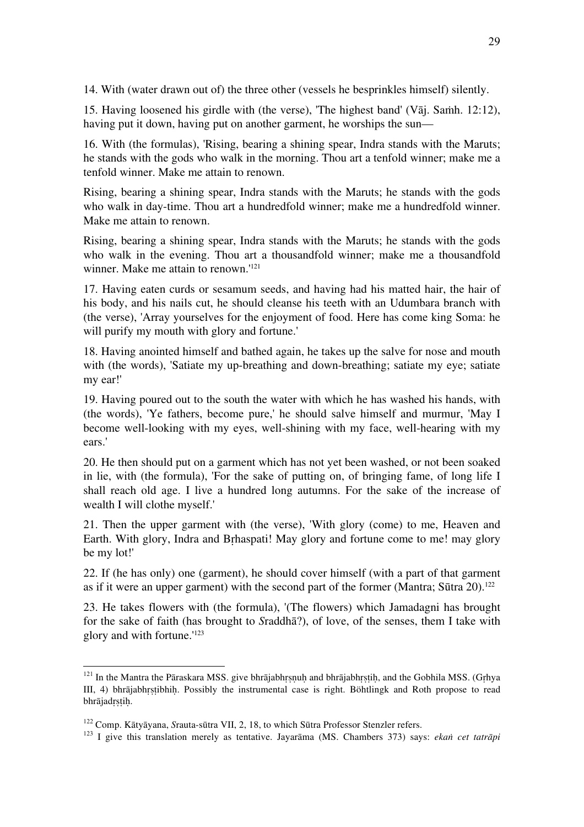14. With (water drawn out of) the three other (vessels he besprinkles himself) silently.

15. Having loosened his girdle with (the verse), 'The highest band' (Vāj. Saṁh. 12:12), having put it down, having put on another garment, he worships the sun—

16. With (the formulas), 'Rising, bearing a shining spear, Indra stands with the Maruts; he stands with the gods who walk in the morning. Thou art a tenfold winner; make me a tenfold winner. Make me attain to renown.

Rising, bearing a shining spear, Indra stands with the Maruts; he stands with the gods who walk in day-time. Thou art a hundredfold winner; make me a hundredfold winner. Make me attain to renown.

Rising, bearing a shining spear, Indra stands with the Maruts; he stands with the gods who walk in the evening. Thou art a thousandfold winner; make me a thousandfold winner. Make me attain to renown.<sup>'121</sup>

17. Having eaten curds or sesamum seeds, and having had his matted hair, the hair of his body, and his nails cut, he should cleanse his teeth with an Udumbara branch with (the verse), 'Array yourselves for the enjoyment of food. Here has come king Soma: he will purify my mouth with glory and fortune.'

18. Having anointed himself and bathed again, he takes up the salve for nose and mouth with (the words), 'Satiate my up-breathing and down-breathing; satiate my eye; satiate my ear!'

19. Having poured out to the south the water with which he has washed his hands, with (the words), 'Ye fathers, become pure,' he should salve himself and murmur, 'May I become well-looking with my eyes, well-shining with my face, well-hearing with my ears.'

20. He then should put on a garment which has not yet been washed, or not been soaked in lie, with (the formula), 'For the sake of putting on, of bringing fame, of long life I shall reach old age. I live a hundred long autumns. For the sake of the increase of wealth I will clothe myself.'

21. Then the upper garment with (the verse), 'With glory (come) to me, Heaven and Earth. With glory, Indra and Bṛhaspati! May glory and fortune come to me! may glory be my lot!'

22. If (he has only) one (garment), he should cover himself (with a part of that garment as if it were an upper garment) with the second part of the former (Mantra: Sūtra  $20$ ).<sup>122</sup>

23. He takes flowers with (the formula), '(The flowers) which Jamadagni has brought for the sake of faith (has brought to *S*raddhā?), of love, of the senses, them I take with glory and with fortune.'123

<sup>&</sup>lt;sup>121</sup> In the Mantra the Pāraskara MSS. give bhrājabhrsnuh and bhrājabhrṣṭiḥ, and the Gobhila MSS. (Gṛhya III, 4) bhrājabhrstibhih. Possibly the instrumental case is right. Böhtlingk and Roth propose to read bhrājadṛṣṭiḥ.

<sup>&</sup>lt;sup>122</sup> Comp. Kātyāyana, Srauta-sūtra VII, 2, 18, to which Sūtra Professor Stenzler refers.<br><sup>123</sup> I give this translation merely as tentative. Jayarāma (MS. Chambers 373) says: *ekan cet tatrāpi*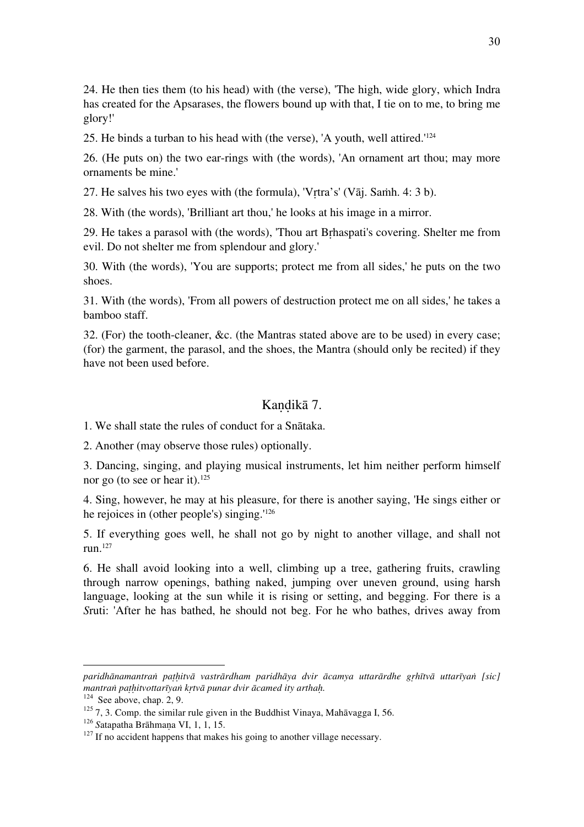24. He then ties them (to his head) with (the verse), 'The high, wide glory, which Indra has created for the Apsarases, the flowers bound up with that, I tie on to me, to bring me glory!'

25. He binds a turban to his head with (the verse), 'A youth, well attired.'124

26. (He puts on) the two ear-rings with (the words), 'An ornament art thou; may more ornaments be mine.'

27. He salves his two eyes with (the formula), 'Vṛtra's' (Vāj. Saṁh. 4: 3 b).

28. With (the words), 'Brilliant art thou,' he looks at his image in a mirror.

29. He takes a parasol with (the words), 'Thou art Bṛhaspati's covering. Shelter me from evil. Do not shelter me from splendour and glory.'

30. With (the words), 'You are supports; protect me from all sides,' he puts on the two shoes.

31. With (the words), 'From all powers of destruction protect me on all sides,' he takes a bamboo staff.

32. (For) the tooth-cleaner, &c. (the Mantras stated above are to be used) in every case; (for) the garment, the parasol, and the shoes, the Mantra (should only be recited) if they have not been used before.

## Kandikā 7.

1. We shall state the rules of conduct for a Snātaka.

2. Another (may observe those rules) optionally.

3. Dancing, singing, and playing musical instruments, let him neither perform himself nor go (to see or hear it).125

4. Sing, however, he may at his pleasure, for there is another saying, 'He sings either or he rejoices in (other people's) singing.'126

5. If everything goes well, he shall not go by night to another village, and shall not run.127

6. He shall avoid looking into a well, climbing up a tree, gathering fruits, crawling through narrow openings, bathing naked, jumping over uneven ground, using harsh language, looking at the sun while it is rising or setting, and begging. For there is a *S*ruti: 'After he has bathed, he should not beg. For he who bathes, drives away from

paridhānamantran pathitvā vastrārdham paridhāya dvir ācamya uttarārdhe grhītvā uttarīyan [sic]<br>mantran pathitvottarīyan krtvā punar dvir ācamed ity arthah.

<sup>&</sup>lt;sup>124</sup> See above, chap. 2, 9.<br><sup>125</sup> 7, 3. Comp. the similar rule given in the Buddhist Vinaya, Mahāvagga I, 56.<br><sup>126</sup> Satapatha Brāhmaṇa VI, 1, 1, 15.<br><sup>127</sup> If no accident happens that makes his going to another village ne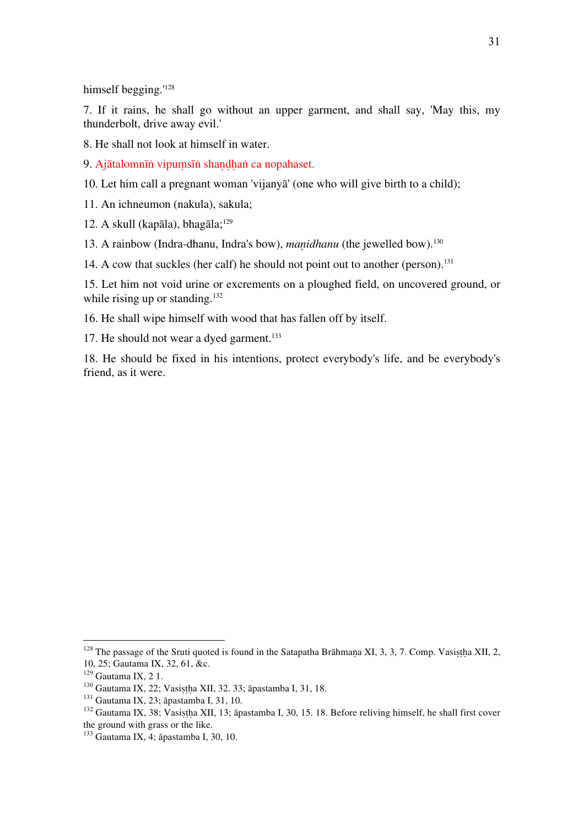himself begging.<sup>'128</sup>

7. If it rains, he shall go without an upper garment, and shall say, 'May this, my thunderbolt, drive away evil.'

8. He shall not look at himself in water.

9. Ajātalomnīṅ vipumsīṅ shandhaṅ ca nopahaset.

10. Let him call a pregnant woman 'vijanyā' (one who will give birth to a child);

11. An ichneumon (nakula), sakula;

12. A skull (kapāla), bhagāla; $129$ 

13. A rainbow (Indra-dhanu, Indra's bow), *manidhanu* (the jewelled bow).<sup>130</sup>

14. A cow that suckles (her calf) he should not point out to another (person).<sup>131</sup>

15. Let him not void urine or excrements on a ploughed field, on uncovered ground, or while rising up or standing. $132$ 

16. He shall wipe himself with wood that has fallen off by itself.

17. He should not wear a dyed garment.<sup>133</sup>

18. He should be fixed in his intentions, protect everybody's life, and be everybody's friend, as it were.

<sup>&</sup>lt;sup>128</sup> The passage of the Sruti quoted is found in the Satapatha Brāhmana XI, 3, 3, 7. Comp. Vasistha XII, 2, 10, 25; Gautama IX, 32, 61, &c.

<sup>&</sup>lt;sup>130</sup> Gautama IX, 22; Vasistha XII, 32. 33; āpastamba I, 31, 18.<br><sup>131</sup> Gautama IX, 23; āpastamba I, 31, 10.<br><sup>132</sup> Gautama IX, 38; Vasistha XII, 13; āpastamba I, 30, 15. 18. Before reliving himself, he shall first cover the ground with grass or the like.

<sup>133</sup> Gautama IX, 4; āpastamba I, 30, 10.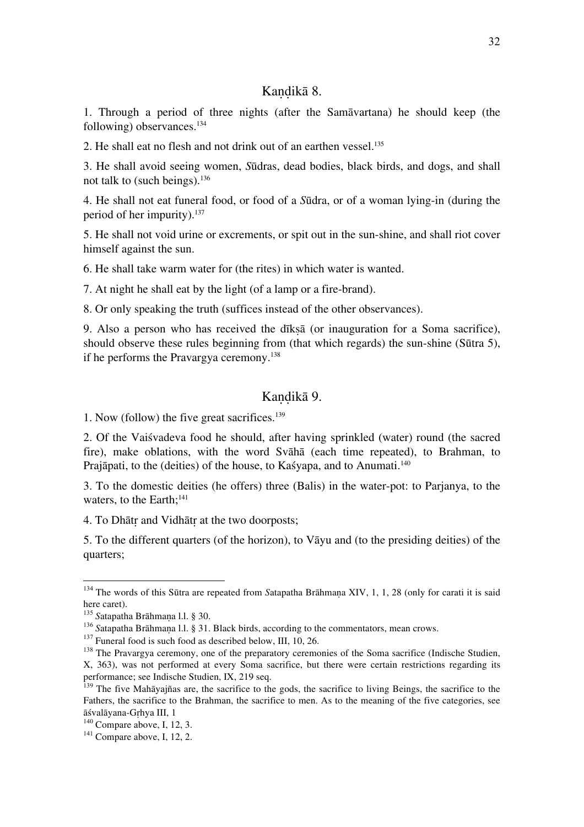## Kandikā 8.

1. Through a period of three nights (after the Samāvartana) he should keep (the following) observances.134

2. He shall eat no flesh and not drink out of an earthen vessel.<sup>135</sup>

3. He shall avoid seeing women, *S*ūdras, dead bodies, black birds, and dogs, and shall not talk to (such beings).136

4. He shall not eat funeral food, or food of a *S*ūdra, or of a woman lying-in (during the period of her impurity).137

5. He shall not void urine or excrements, or spit out in the sun-shine, and shall riot cover himself against the sun.

6. He shall take warm water for (the rites) in which water is wanted.

7. At night he shall eat by the light (of a lamp or a fire-brand).

8. Or only speaking the truth (suffices instead of the other observances).

9. Also a person who has received the dīkṣā (or inauguration for a Soma sacrifice), should observe these rules beginning from (that which regards) the sun-shine (Sūtra 5), if he performs the Pravargya ceremony.138

## Kandikā 9.

1. Now (follow) the five great sacrifices.139

2. Of the Vaiśvadeva food he should, after having sprinkled (water) round (the sacred fire), make oblations, with the word Svāhā (each time repeated), to Brahman, to Prajāpati, to the (deities) of the house, to Kaśyapa, and to Anumati.<sup>140</sup>

3. To the domestic deities (he offers) three (Balis) in the water-pot: to Parjanya, to the waters, to the Earth; $141$ 

4. To Dhātṛ and Vidhātṛ at the two doorposts;

5. To the different quarters (of the horizon), to Vāyu and (to the presiding deities) of the quarters;

<sup>&</sup>lt;sup>134</sup> The words of this Sūtra are repeated from *Satapatha Brāhmaṇa XIV*, 1, 1, 28 (only for carati it is said here caret).<br><sup>135</sup> Satapatha Brāhmana l.l. § 30.

<sup>&</sup>lt;sup>136</sup> Satapatha Brāhmaṇa l.l. § 31. Black birds, according to the commentators, mean crows.<br><sup>137</sup> Funeral food is such food as described below, III, 10, 26.<br><sup>138</sup> The Pravargya ceremony, one of the preparatory ceremonies

X, 363), was not performed at every Soma sacrifice, but there were certain restrictions regarding its performance; see Indische Studien, IX, 219 seq.

 $139$  The five Mahāyajñas are, the sacrifice to the gods, the sacrifice to living Beings, the sacrifice to the Fathers, the sacrifice to the Brahman, the sacrifice to men. As to the meaning of the five categories, see āśvalāyana-Gṛhya III, 1 <sup>140</sup> Compare above, I, 12, 3. <sup>141</sup> Compare above, I, 12, 2.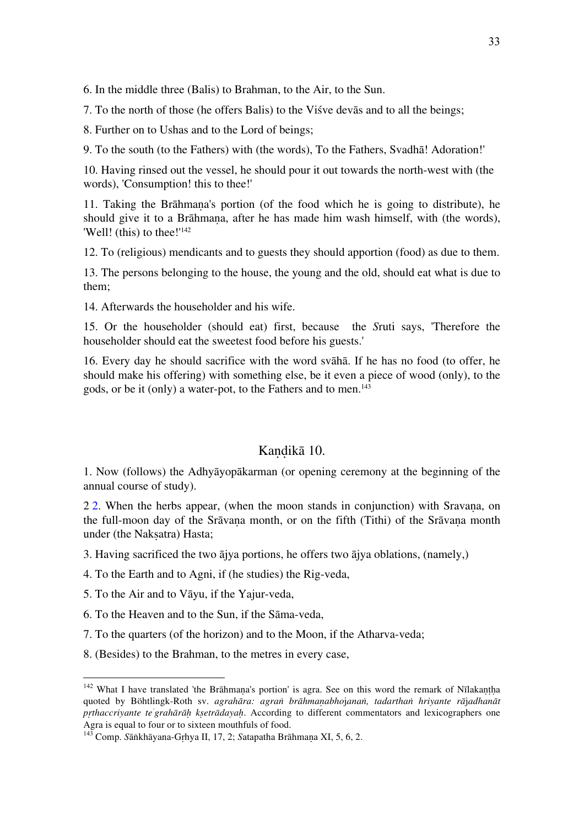6. In the middle three (Balis) to Brahman, to the Air, to the Sun.

7. To the north of those (he offers Balis) to the Viśve devās and to all the beings;

8. Further on to Ushas and to the Lord of beings;

9. To the south (to the Fathers) with (the words), To the Fathers, Svadhā! Adoration!'

10. Having rinsed out the vessel, he should pour it out towards the north-west with (the words), 'Consumption! this to thee!'

11. Taking the Brāhmaṇa's portion (of the food which he is going to distribute), he should give it to a Brāhmana, after he has made him wash himself, with (the words), 'Well! (this) to thee!'<sup>142</sup>

12. To (religious) mendicants and to guests they should apportion (food) as due to them.

13. The persons belonging to the house, the young and the old, should eat what is due to them;

14. Afterwards the householder and his wife.

15. Or the householder (should eat) first, because the *S*ruti says, 'Therefore the householder should eat the sweetest food before his guests.'

16. Every day he should sacrifice with the word svāhā. If he has no food (to offer, he should make his offering) with something else, be it even a piece of wood (only), to the gods, or be it (only) a water-pot, to the Fathers and to men.<sup>143</sup>

#### Kandikā 10.

1. Now (follows) the Adhyāyopākarman (or opening ceremony at the beginning of the annual course of study).

2 2. When the herbs appear, (when the moon stands in conjunction) with Sravana, on the full-moon day of the Srāvana month, or on the fifth (Tithi) of the Srāvana month under (the Naksatra) Hasta:

3. Having sacrificed the two ājya portions, he offers two ājya oblations, (namely,)

4. To the Earth and to Agni, if (he studies) the Rig-veda,

5. To the Air and to Vāyu, if the Yajur-veda,

- 6. To the Heaven and to the Sun, if the Sāma-veda,
- 7. To the quarters (of the horizon) and to the Moon, if the Atharva-veda;
- 8. (Besides) to the Brahman, to the metres in every case,

<sup>&</sup>lt;sup>142</sup> What I have translated 'the Brāhmana's portion' is agra. See on this word the remark of Nīlakantha quoted by Böhtlingk-Roth sv. *agrahāra: agraṅ brāhmaṇabho*j*anaṅ, tadarthaṅ hriyante rā*j*adhanāt pṛthaccriyante te' grahārāḥ kṣetrādayaḥ*. According to different commentators and lexicographers one Agra is equal to four or to sixteen mouthfuls of food. <sup>143</sup> Comp. *S*āṅkhāyana-Gṛhya II, 17, 2; *S*atapatha Brāhmaṇa XI, 5, 6, 2.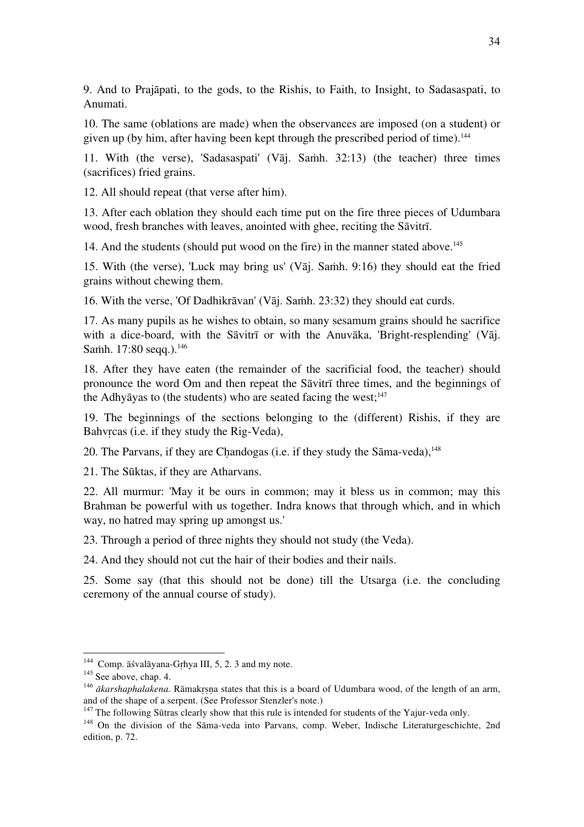9. And to Prajāpati, to the gods, to the Rishis, to Faith, to Insight, to Sadasaspati, to Anumati.

10. The same (oblations are made) when the observances are imposed (on a student) or given up (by him, after having been kept through the prescribed period of time).<sup>144</sup>

11. With (the verse), 'Sadasaspati' (Vāj. Saṁh. 32:13) (the teacher) three times (sacrifices) fried grains.

12. All should repeat (that verse after him).

13. After each oblation they should each time put on the fire three pieces of Udumbara wood, fresh branches with leaves, anointed with ghee, reciting the Sāvitrī.

14. And the students (should put wood on the fire) in the manner stated above.<sup>145</sup>

15. With (the verse), 'Luck may bring us' (V $\bar{a}$ j. Samh. 9:16) they should eat the fried grains without chewing them.

16. With the verse, 'Of Dadhikrāvan' (Vāj. Saṁh. 23:32) they should eat curds.

17. As many pupils as he wishes to obtain, so many sesamum grains should he sacrifice with a dice-board, with the Sāvitrī or with the Anuvāka, 'Bright-resplending' (Vāj. Samh. 17:80 seqq.).<sup>146</sup>

18. After they have eaten (the remainder of the sacrificial food, the teacher) should pronounce the word Om and then repeat the Sāvitrī three times, and the beginnings of the Adhyāyas to (the students) who are seated facing the west; $147$ 

19. The beginnings of the sections belonging to the (different) Rishis, if they are Bahvrcas (i.e. if they study the Rig-Veda),

20. The Parvans, if they are Chandogas (i.e. if they study the Sāma-veda), <sup>148</sup>

21. The Sūktas, if they are Atharvans.

22. All murmur: 'May it be ours in common; may it bless us in common; may this Brahman be powerful with us together. Indra knows that through which, and in which way, no hatred may spring up amongst us.'

23. Through a period of three nights they should not study (the Veda).

24. And they should not cut the hair of their bodies and their nails.

25. Some say (that this should not be done) till the Utsarga (i.e. the concluding ceremony of the annual course of study).

<sup>&</sup>lt;sup>144</sup> Comp. āśvalāyana-Gṛhya III, 5, 2. 3 and my note.<br><sup>145</sup> See above, chap. 4.<br><sup>146</sup> *ākarshaphalakena*. Rāmakrsna states that this is a board of Udumbara wood, of the length of an arm, and of the shape of a serpent. (See Professor Stenzler's note.)<br><sup>147</sup> The following Sūtras clearly show that this rule is intended for students of the Yajur-veda only.

 $148$  On the division of the Sāma-veda into Parvans, comp. Weber, Indische Literaturgeschichte, 2nd edition, p. 72.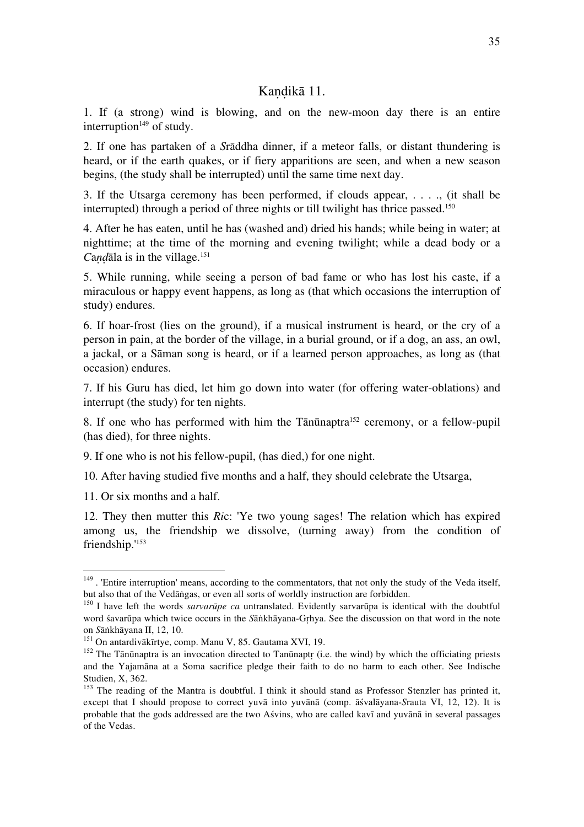#### Kandikā 11.

1. If (a strong) wind is blowing, and on the new-moon day there is an entire interruption $149$  of study.

2. If one has partaken of a *S*rāddha dinner, if a meteor falls, or distant thundering is heard, or if the earth quakes, or if fiery apparitions are seen, and when a new season begins, (the study shall be interrupted) until the same time next day.

3. If the Utsarga ceremony has been performed, if clouds appear, . . . ., (it shall be interrupted) through a period of three nights or till twilight has thrice passed.150

4. After he has eaten, until he has (washed and) dried his hands; while being in water; at nighttime; at the time of the morning and evening twilight; while a dead body or a *Candala* is in the village.<sup>151</sup>

5. While running, while seeing a person of bad fame or who has lost his caste, if a miraculous or happy event happens, as long as (that which occasions the interruption of study) endures.

6. If hoar-frost (lies on the ground), if a musical instrument is heard, or the cry of a person in pain, at the border of the village, in a burial ground, or if a dog, an ass, an owl, a jackal, or a Sāman song is heard, or if a learned person approaches, as long as (that occasion) endures.

7. If his Guru has died, let him go down into water (for offering water-oblations) and interrupt (the study) for ten nights.

8. If one who has performed with him the Tānūnaptra<sup>152</sup> ceremony, or a fellow-pupil (has died), for three nights.

9. If one who is not his fellow-pupil, (has died,) for one night.

10. After having studied five months and a half, they should celebrate the Utsarga,

11. Or six months and a half.

12. They then mutter this *Ri*c: 'Ye two young sages! The relation which has expired among us, the friendship we dissolve, (turning away) from the condition of friendship.'153

<sup>&</sup>lt;sup>149</sup>. 'Entire interruption' means, according to the commentators, that not only the study of the Veda itself, but also that of the Vedāngas, or even all sorts of worldly instruction are forbidden.

 $b<sup>150</sup>$  I have left the words *sarvarūpe ca* untranslated. Evidently sarvarūpa is identical with the doubtful word śavarūpa which twice occurs in the *S*āṅkhāyana-Gṛhya. See the discussion on that word in the note

<sup>&</sup>lt;sup>151</sup> On antardivākīrtye, comp. Manu V, 85. Gautama XVI, 19.<br><sup>152</sup> The Tānūnaptra is an invocation directed to Tanūnaptr (i.e. the wind) by which the officiating priests and the Yajamāna at a Soma sacrifice pledge their faith to do no harm to each other. See Indische Studien, X, 362.

<sup>&</sup>lt;sup>153</sup> The reading of the Mantra is doubtful. I think it should stand as Professor Stenzler has printed it, except that I should propose to correct yuvā into yuvānā (comp. āśvalāyana-*S*rauta VI, 12, 12). It is probable that the gods addressed are the two Aśvins, who are called kavī and yuvānā in several passages of the Vedas.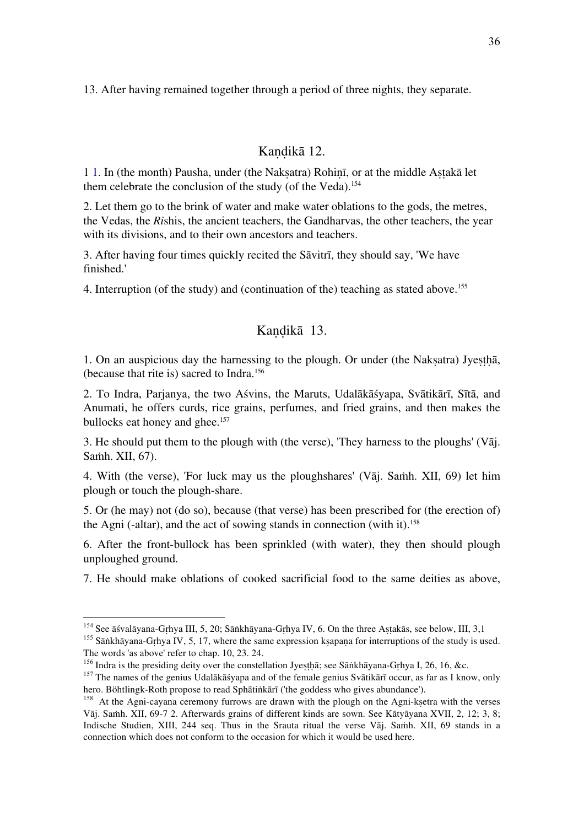13. After having remained together through a period of three nights, they separate.

## Kandikā 12.

1 1. In (the month) Pausha, under (the Nakṣatra) Rohiṇī, or at the middle Aṣṭakā let them celebrate the conclusion of the study (of the Veda).<sup>154</sup>

2. Let them go to the brink of water and make water oblations to the gods, the metres, the Vedas, the *Ri*shis, the ancient teachers, the Gandharvas, the other teachers, the year with its divisions, and to their own ancestors and teachers.

3. After having four times quickly recited the Sāvitrī, they should say, 'We have finished.'

4. Interruption (of the study) and (continuation of the) teaching as stated above.155

#### Kandikā 13.

1. On an auspicious day the harnessing to the plough. Or under (the Naksatra) Jyestha, (because that rite is) sacred to Indra.156

2. To Indra, Parjanya, the two Aśvins, the Maruts, Udalākāśyapa, Svātikārī, Sītā, and Anumati, he offers curds, rice grains, perfumes, and fried grains, and then makes the bullocks eat honey and ghee.<sup>157</sup>

3. He should put them to the plough with (the verse), 'They harness to the ploughs' (Vāj. Saṁh. XII, 67).

4. With (the verse), 'For luck may us the ploughshares' (Vāj. Saṁh. XII, 69) let him plough or touch the plough-share.

5. Or (he may) not (do so), because (that verse) has been prescribed for (the erection of) the Agni (-altar), and the act of sowing stands in connection (with it).158

6. After the front-bullock has been sprinkled (with water), they then should plough unploughed ground.

7. He should make oblations of cooked sacrificial food to the same deities as above,

<sup>&</sup>lt;sup>154</sup> See āśvalāyana-Gṛhya III, 5, 20; Sāṅkhāyana-Gṛhya IV, 6. On the three Aṣṭakās, see below, III, 3,1 <sup>155</sup> Sāṅkhāyana-Gṛhya IV, 5, 17, where the same expression kṣapaṇa for interruptions of the study is used. The word

<sup>&</sup>lt;sup>156</sup> Indra is the presiding deity over the constellation Jyesthā; see Sānkhāyana-Grhya I, 26, 16, &c.<br><sup>157</sup> The names of the genius Udalākāšyapa and of the female genius Svātikārī occur, as far as I know, only<br>hero. Böht

 $h<sup>158</sup>$  At the Agni-cayana ceremony furrows are drawn with the plough on the Agni-ksetra with the verses Vāj. Saṁh. XII, 69-7 2. Afterwards grains of different kinds are sown. See Kātyāyana XVII, 2, 12; 3, 8; Indische Studien, XIII, 244 seq. Thus in the Srauta ritual the verse Vāj. Saṁh. XII, 69 stands in a connection which does not conform to the occasion for which it would be used here.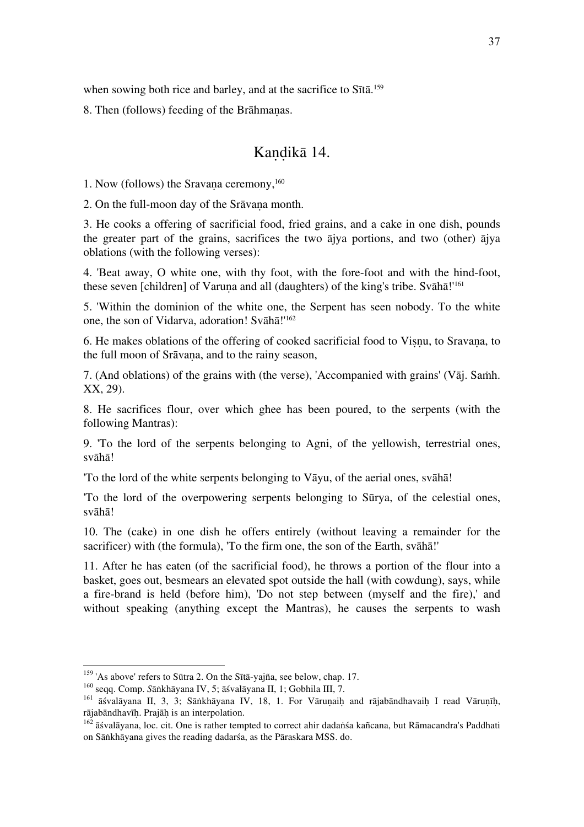when sowing both rice and barley, and at the sacrifice to Sītā.<sup>159</sup>

8. Then (follows) feeding of the Brāhmaṇas.

## Kaṇḍikā 14.

1. Now (follows) the Sravana ceremony, <sup>160</sup>

2. On the full-moon day of the Srāvana month.

3. He cooks a offering of sacrificial food, fried grains, and a cake in one dish, pounds the greater part of the grains, sacrifices the two ājya portions, and two (other) ājya oblations (with the following verses):

4. 'Beat away, O white one, with thy foot, with the fore-foot and with the hind-foot, these seven [children] of Varuna and all (daughters) of the king's tribe. Svāhā!<sup>'161</sup>

5. 'Within the dominion of the white one, the Serpent has seen nobody. To the white one, the son of Vidarva, adoration! Svāhā!'162

6. He makes oblations of the offering of cooked sacrificial food to Viṣṇu, to Sravaṇa, to the full moon of Srāvana, and to the rainy season,

7. (And oblations) of the grains with (the verse), 'Accompanied with grains' (Vāj. Saṁh. XX, 29).

8. He sacrifices flour, over which ghee has been poured, to the serpents (with the following Mantras):

9. 'To the lord of the serpents belonging to Agni, of the yellowish, terrestrial ones, svāhā!

'To the lord of the white serpents belonging to Vāyu, of the aerial ones, svāhā!

'To the lord of the overpowering serpents belonging to Sūrya, of the celestial ones, svāhā!

10. The (cake) in one dish he offers entirely (without leaving a remainder for the sacrificer) with (the formula), 'To the firm one, the son of the Earth, svāhā!'

11. After he has eaten (of the sacrificial food), he throws a portion of the flour into a basket, goes out, besmears an elevated spot outside the hall (with cowdung), says, while a fire-brand is held (before him), 'Do not step between (myself and the fire),' and without speaking (anything except the Mantras), he causes the serpents to wash

<sup>&</sup>lt;sup>159</sup> 'As above' refers to Sūtra 2. On the Sītā-yajña, see below, chap. 17.<br><sup>160</sup> seqq. Comp. Sānkhāyana IV, 5; āśvalāyana II, 1; Gobhila III, 7.<br><sup>161</sup> āśvalāyana II, 3, 3; Sānkhāyana IV, 18, 1. For Vāruṇaiḥ and rājabāndh

 $\frac{162}{162}$  āśvalāyana, loc. cit. One is rather tempted to correct ahir dadaṅśa kañcana, but Rāmacandra's Paddhati on Sāṅkhāyana gives the reading dadarśa, as the Pāraskara MSS. do.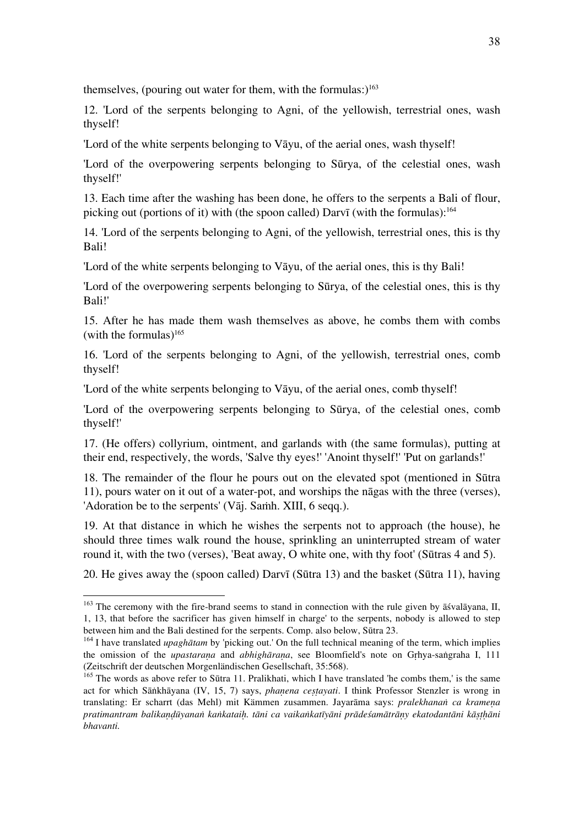themselves, (pouring out water for them, with the formulas:)<sup>163</sup>

12. 'Lord of the serpents belonging to Agni, of the yellowish, terrestrial ones, wash thyself!

'Lord of the white serpents belonging to Vāyu, of the aerial ones, wash thyself!

'Lord of the overpowering serpents belonging to Sūrya, of the celestial ones, wash thyself!'

13. Each time after the washing has been done, he offers to the serpents a Bali of flour, picking out (portions of it) with (the spoon called) Darvī (with the formulas):<sup>164</sup>

14. 'Lord of the serpents belonging to Agni, of the yellowish, terrestrial ones, this is thy Bali!

'Lord of the white serpents belonging to Vāyu, of the aerial ones, this is thy Bali!

'Lord of the overpowering serpents belonging to Sūrya, of the celestial ones, this is thy Bali!'

15. After he has made them wash themselves as above, he combs them with combs (with the formulas) $165$ 

16. 'Lord of the serpents belonging to Agni, of the yellowish, terrestrial ones, comb thyself!

'Lord of the white serpents belonging to Vāyu, of the aerial ones, comb thyself!

'Lord of the overpowering serpents belonging to Sūrya, of the celestial ones, comb thyself!'

17. (He offers) collyrium, ointment, and garlands with (the same formulas), putting at their end, respectively, the words, 'Salve thy eyes!' 'Anoint thyself!' 'Put on garlands!'

18. The remainder of the flour he pours out on the elevated spot (mentioned in Sūtra 11), pours water on it out of a water-pot, and worships the nāgas with the three (verses), 'Adoration be to the serpents' (Vāj. Samh. XIII, 6 seqq.).

19. At that distance in which he wishes the serpents not to approach (the house), he should three times walk round the house, sprinkling an uninterrupted stream of water round it, with the two (verses), 'Beat away, O white one, with thy foot' (Sūtras 4 and 5).

20. He gives away the (spoon called) Darvī (Sūtra 13) and the basket (Sūtra 11), having

<sup>&</sup>lt;sup>163</sup> The ceremony with the fire-brand seems to stand in connection with the rule given by āśvalāyana, II, 1, 13, that before the sacrificer has given himself in charge' to the serpents, nobody is allowed to step

 $164$  I have translated *upaghātam* by 'picking out.' On the full technical meaning of the term, which implies the omission of the *upastaraṇa* and *abhighāraṇa*, see Bloomfield's note on Gṛhya-saṅgraha I, 111 (Zeitschrift der deutschen Morgenländischen Gesellschaft, 35:568).

<sup>&</sup>lt;sup>165</sup> The words as above refer to Sūtra 11. Pralikhati, which I have translated 'he combs them,' is the same act for which Sāṅkhāyana (IV, 15, 7) says, *phanena cestayati*. I think Professor Stenzler is wrong in translating: Er scharrt (das Mehl) mit Kämmen zusammen. Jayarāma says: *pralekhanaṅ ca krameṇa*  pratimantram balikandūyanan kankataih. tāni ca vaikankatīyāni prādeśamātrāny ekatodantāni kāsthāni *bhavanti.*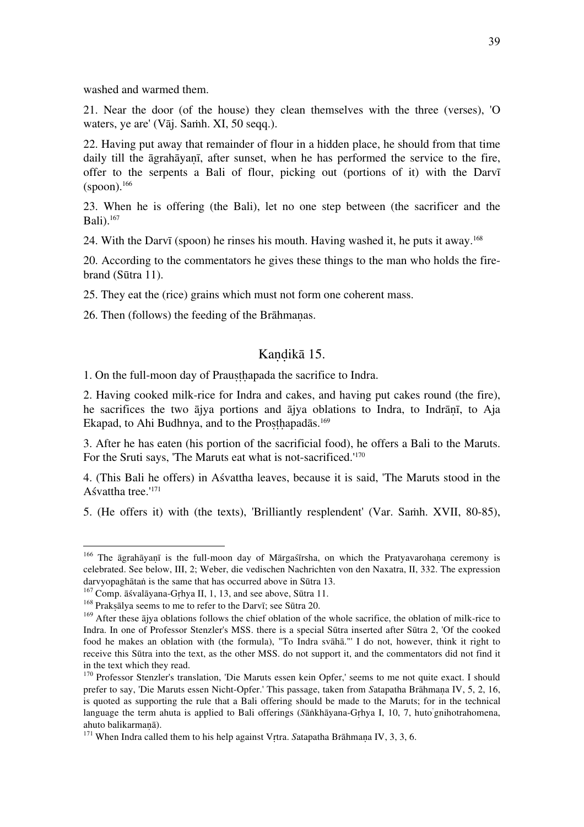washed and warmed them.

21. Near the door (of the house) they clean themselves with the three (verses), 'O waters, ye are' (Vāj. Saṁh. XI, 50 seqq.).

22. Having put away that remainder of flour in a hidden place, he should from that time daily till the āgrahāyanī, after sunset, when he has performed the service to the fire, offer to the serpents a Bali of flour, picking out (portions of it) with the Darvī  $(spoon).$ <sup>166</sup>

23. When he is offering (the Bali), let no one step between (the sacrificer and the Bali).167

24. With the Darvī (spoon) he rinses his mouth. Having washed it, he puts it away.168

20. According to the commentators he gives these things to the man who holds the firebrand (Sūtra 11).

25. They eat the (rice) grains which must not form one coherent mass.

26. Then (follows) the feeding of the Brāhmaṇas.

#### Kandikā 15.

1. On the full-moon day of Prausthapada the sacrifice to Indra.

2. Having cooked milk-rice for Indra and cakes, and having put cakes round (the fire), he sacrifices the two ājya portions and ājya oblations to Indra, to Indrānī, to Aja Ekapad, to Ahi Budhnya, and to the Prosthapadās.<sup>169</sup>

3. After he has eaten (his portion of the sacrificial food), he offers a Bali to the Maruts. For the Sruti says, 'The Maruts eat what is not-sacrificed.'<sup>170</sup>

4. (This Bali he offers) in Aśvattha leaves, because it is said, 'The Maruts stood in the Aśvattha tree.'171

5. (He offers it) with (the texts), 'Brilliantly resplendent' (Var. Saṁh. XVII, 80-85),

<sup>&</sup>lt;sup>166</sup> The āgrahāyaṇī is the full-moon day of Mārgaśīrsha, on which the Pratyavarohaṇa ceremony is celebrated. See below, III, 2; Weber, die vedischen Nachrichten von den Naxatra, II, 332. The expression darvyopaghātan is the same that has occurred above in Sūtra 13.<br><sup>167</sup> Comp. āśvalāyana-Grhya II, 1, 13, and see above, Sūtra 11.<br><sup>168</sup> Prakṣālya seems to me to refer to the Darvī; see Sūtra 20.<br><sup>169</sup> After these ājya oblat

Indra. In one of Professor Stenzler's MSS. there is a special Sūtra inserted after Sūtra 2, 'Of the cooked food he makes an oblation with (the formula), "To Indra svāhā."' I do not, however, think it right to receive this Sūtra into the text, as the other MSS. do not support it, and the commentators did not find it in the text which they read.

<sup>&</sup>lt;sup>170</sup> Professor Stenzler's translation, 'Die Maruts essen kein Opfer,' seems to me not quite exact. I should prefer to say, 'Die Maruts essen Nicht-Opfer.' This passage, taken from *S*atapatha Brāhmaṇa IV, 5, 2, 16, is quoted as supporting the rule that a Bali offering should be made to the Maruts; for in the technical language the term ahuta is applied to Bali offerings (*S*āṅkhāyana-Gṛhya I, 10, 7, huto' gnihotrahomena, ahuto balikarmaṇā).<br><sup>171</sup> When Indra called them to his help against Vrtra. *Satapatha Brāhmana IV*, 3, 3, 6.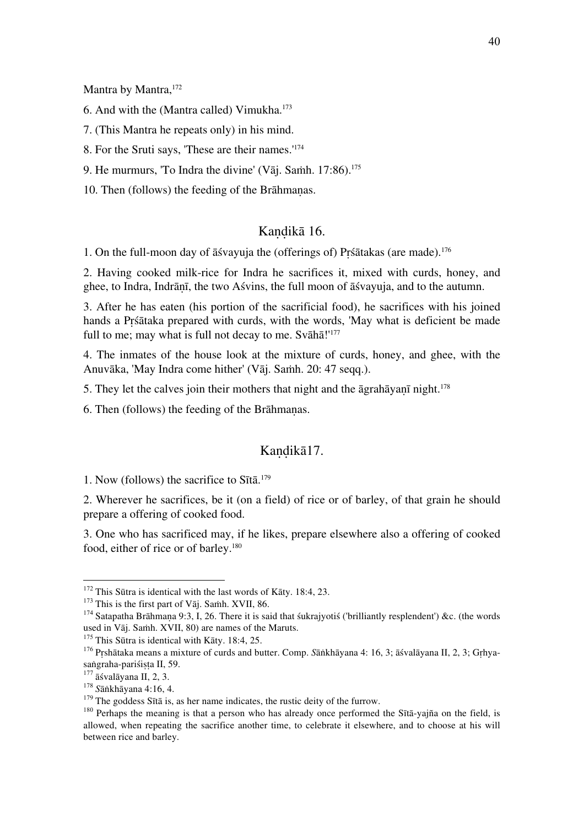Mantra by Mantra,<sup>172</sup>

6. And with the (Mantra called) Vimukha.173

7. (This Mantra he repeats only) in his mind.

8. For the Sruti says, 'These are their names.'174

9. He murmurs, 'To Indra the divine' (Vāj. Samh.  $17:86$ ).<sup>175</sup>

10. Then (follows) the feeding of the Brāhmaṇas.

## Kaṇḍikā 16.

1. On the full-moon day of āśvayuja the (offerings of) Pṛśātakas (are made).176

2. Having cooked milk-rice for Indra he sacrifices it, mixed with curds, honey, and ghee, to Indra, Indrāṇī, the two Aśvins, the full moon of āśvayuja, and to the autumn.

3. After he has eaten (his portion of the sacrificial food), he sacrifices with his joined hands a Pṛśātaka prepared with curds, with the words, 'May what is deficient be made full to me; may what is full not decay to me. Svāhā!'<sup>177</sup>

4. The inmates of the house look at the mixture of curds, honey, and ghee, with the Anuvāka, 'May Indra come hither' (Vāj. Saṁh. 20: 47 seqq.).

5. They let the calves join their mothers that night and the  $\bar{a}$ grah $\bar{a}$ yan $\bar{n}$  night.<sup>178</sup>

6. Then (follows) the feeding of the Brāhmaṇas.

## Kandikā17.

1. Now (follows) the sacrifice to Sītā. 179

2. Wherever he sacrifices, be it (on a field) of rice or of barley, of that grain he should prepare a offering of cooked food.

3. One who has sacrificed may, if he likes, prepare elsewhere also a offering of cooked food, either of rice or of barley.<sup>180</sup>

<sup>&</sup>lt;sup>172</sup> This Sūtra is identical with the last words of Kāty. 18:4, 23.<br><sup>173</sup> This is the first part of Vāj. Samh. XVII, 86.<br><sup>174</sup> Satapatha Brāhmaṇa 9:3, I, 26. There it is said that śukrajyotiś ('brilliantly resplendent')

<sup>&</sup>lt;sup>175</sup> This Sūtra is identical with Kāty. 18:4, 25.<br><sup>176</sup> Pṛshātaka means a mixture of curds and butter. Comp. *S*āṅkhāyana 4: 16, 3; āśvalāyana II, 2, 3; Gṛhya-saṅgraha-pariśiṣṭa II, 59.<br><sup>177</sup> āśvalāyana II, 2, 3.

<sup>&</sup>lt;sup>178</sup> Sānkhāyana 4:16, 4.<br><sup>179</sup> The goddess Sītā is, as her name indicates, the rustic deity of the furrow.<br><sup>179</sup> Perhaps the meaning is that a person who has already once performed the Sītā-yajña on the field, is allowed, when repeating the sacrifice another time, to celebrate it elsewhere, and to choose at his will between rice and barley.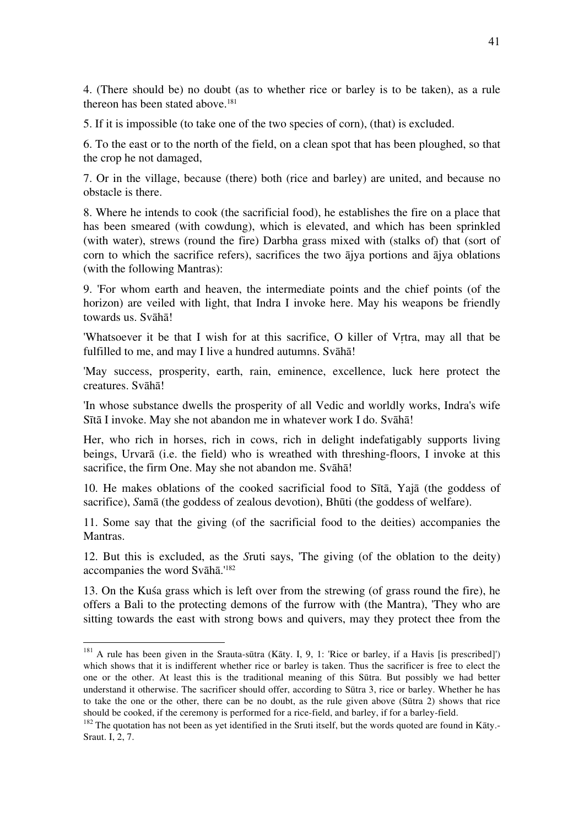4. (There should be) no doubt (as to whether rice or barley is to be taken), as a rule thereon has been stated above.<sup>181</sup>

5. If it is impossible (to take one of the two species of corn), (that) is excluded.

6. To the east or to the north of the field, on a clean spot that has been ploughed, so that the crop he not damaged,

7. Or in the village, because (there) both (rice and barley) are united, and because no obstacle is there.

8. Where he intends to cook (the sacrificial food), he establishes the fire on a place that has been smeared (with cowdung), which is elevated, and which has been sprinkled (with water), strews (round the fire) Darbha grass mixed with (stalks of) that (sort of corn to which the sacrifice refers), sacrifices the two ājya portions and ājya oblations (with the following Mantras):

9. 'For whom earth and heaven, the intermediate points and the chief points (of the horizon) are veiled with light, that Indra I invoke here. May his weapons be friendly towards us. Svāhā!

'Whatsoever it be that I wish for at this sacrifice, O killer of Vṛtra, may all that be fulfilled to me, and may I live a hundred autumns. Svāhā!

'May success, prosperity, earth, rain, eminence, excellence, luck here protect the creatures. Svāhā!

'In whose substance dwells the prosperity of all Vedic and worldly works, Indra's wife Sītā I invoke. May she not abandon me in whatever work I do. Svāhā!

Her, who rich in horses, rich in cows, rich in delight indefatigably supports living beings, Urvarā (i.e. the field) who is wreathed with threshing-floors, I invoke at this sacrifice, the firm One. May she not abandon me. Svāhā!

10. He makes oblations of the cooked sacrificial food to Sītā, Yajā (the goddess of sacrifice), *S*amā (the goddess of zealous devotion), Bhūti (the goddess of welfare).

11. Some say that the giving (of the sacrificial food to the deities) accompanies the Mantras.

12. But this is excluded, as the *S*ruti says, 'The giving (of the oblation to the deity) accompanies the word Svāhā.'182

13. On the Kuśa grass which is left over from the strewing (of grass round the fire), he offers a Bali to the protecting demons of the furrow with (the Mantra), 'They who are sitting towards the east with strong bows and quivers, may they protect thee from the

 <sup>181</sup> A rule has been given in the Srauta-sūtra (Kāty. I, 9, 1: 'Rice or barley, if a Havis [is prescribed]') which shows that it is indifferent whether rice or barley is taken. Thus the sacrificer is free to elect the one or the other. At least this is the traditional meaning of this Sūtra. But possibly we had better understand it otherwise. The sacrificer should offer, according to Sūtra 3, rice or barley. Whether he has to take the one or the other, there can be no doubt, as the rule given above (Sūtra 2) shows that rice should be cooked, if the ceremony is performed for a rice-field, and barley, if for a barley-field.

 $182$  The auotation has not been as yet identified in the Sruti itself, but the words quoted are found in Kāty.-Sraut. I, 2, 7.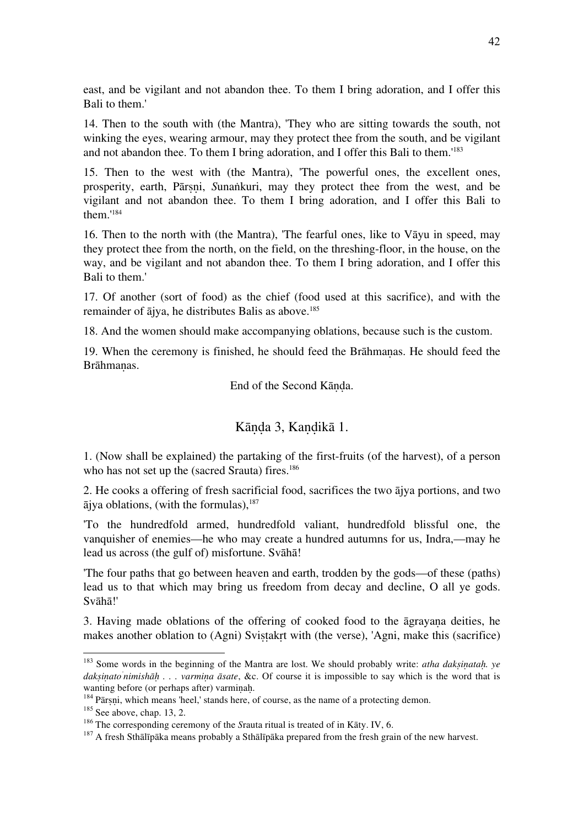east, and be vigilant and not abandon thee. To them I bring adoration, and I offer this Bali to them.'

14. Then to the south with (the Mantra), 'They who are sitting towards the south, not winking the eyes, wearing armour, may they protect thee from the south, and be vigilant and not abandon thee. To them I bring adoration, and I offer this Bali to them.'183

15. Then to the west with (the Mantra), 'The powerful ones, the excellent ones, prosperity, earth, Pārṣṇi, *S*unaṅkuri, may they protect thee from the west, and be vigilant and not abandon thee. To them I bring adoration, and I offer this Bali to them.'184

16. Then to the north with (the Mantra), 'The fearful ones, like to Vāyu in speed, may they protect thee from the north, on the field, on the threshing-floor, in the house, on the way, and be vigilant and not abandon thee. To them I bring adoration, and I offer this Bali to them.'

17. Of another (sort of food) as the chief (food used at this sacrifice), and with the remainder of  $\overline{a}$ jya, he distributes Balis as above.<sup>185</sup>

18. And the women should make accompanying oblations, because such is the custom.

19. When the ceremony is finished, he should feed the Brāhmaṇas. He should feed the Brāhmanas.

End of the Second Kāṇḍa.

#### Kāṇḍa 3, Kaṇḍikā 1.

1. (Now shall be explained) the partaking of the first-fruits (of the harvest), of a person who has not set up the (sacred Srauta) fires.<sup>186</sup>

2. He cooks a offering of fresh sacrificial food, sacrifices the two ājya portions, and two  $\overline{a}$  iva oblations, (with the formulas),  $187$ 

'To the hundredfold armed, hundredfold valiant, hundredfold blissful one, the vanquisher of enemies—he who may create a hundred autumns for us, Indra,—may he lead us across (the gulf of) misfortune. Svāhā!

'The four paths that go between heaven and earth, trodden by the gods—of these (paths) lead us to that which may bring us freedom from decay and decline, O all ye gods. Svāhā!'

3. Having made oblations of the offering of cooked food to the āgrayaṇa deities, he makes another oblation to (Agni) Svistakrt with (the verse), 'Agni, make this (sacrifice)

 <sup>183</sup> Some words in the beginning of the Mantra are lost. We should probably write: *atha dakṣiṇataḥ. ye dakṣiṇato' nimishāḥ . . . varmiṇa āsate*, &c. Of course it is impossible to say which is the word that is wanting before (or perhaps after) varminah.<br><sup>184</sup> Pārṣṇi, which means 'heel,' stands here, of course, as the name of a protecting demon.<br><sup>185</sup> See above, chap. 13, 2.<br><sup>186</sup> The corresponding ceremony of the *Srauta* ritua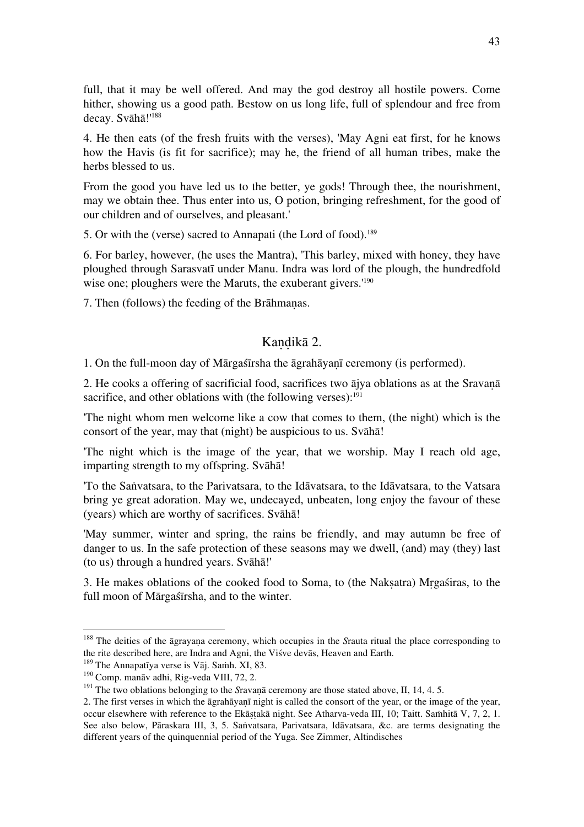full, that it may be well offered. And may the god destroy all hostile powers. Come hither, showing us a good path. Bestow on us long life, full of splendour and free from decay. Svāhā!'188

4. He then eats (of the fresh fruits with the verses), 'May Agni eat first, for he knows how the Havis (is fit for sacrifice); may he, the friend of all human tribes, make the herbs blessed to us.

From the good you have led us to the better, ye gods! Through thee, the nourishment, may we obtain thee. Thus enter into us, O potion, bringing refreshment, for the good of our children and of ourselves, and pleasant.'

5. Or with the (verse) sacred to Annapati (the Lord of food).<sup>189</sup>

6. For barley, however, (he uses the Mantra), 'This barley, mixed with honey, they have ploughed through Sarasvatī under Manu. Indra was lord of the plough, the hundredfold wise one; ploughers were the Maruts, the exuberant givers.<sup>'190</sup>

7. Then (follows) the feeding of the Brāhmaṇas.

## Kandikā 2.

1. On the full-moon day of Mārgaśīrsha the āgrahāyaṇī ceremony (is performed).

2. He cooks a offering of sacrificial food, sacrifices two ājya oblations as at the Sravaṇā sacrifice, and other oblations with (the following verses):<sup>191</sup>

'The night whom men welcome like a cow that comes to them, (the night) which is the consort of the year, may that (night) be auspicious to us. Svāhā!

'The night which is the image of the year, that we worship. May I reach old age, imparting strength to my offspring. Svāhā!

'To the Saṅvatsara, to the Parivatsara, to the Idāvatsara, to the Idāvatsara, to the Vatsara bring ye great adoration. May we, undecayed, unbeaten, long enjoy the favour of these (years) which are worthy of sacrifices. Svāhā!

'May summer, winter and spring, the rains be friendly, and may autumn be free of danger to us. In the safe protection of these seasons may we dwell, (and) may (they) last (to us) through a hundred years. Svāhā!'

3. He makes oblations of the cooked food to Soma, to (the Nakṣatra) Mṛgaśiras, to the full moon of Mārgaśīrsha, and to the winter.

<sup>&</sup>lt;sup>188</sup> The deities of the āgrayaṇa ceremony, which occupies in the *Srauta ritual the place corresponding to* the rite described here, are Indra and Agni, the Visve devās, Heaven and Earth.

<sup>&</sup>lt;sup>189</sup> The Annapatīya verse is Vāj. Samh. XI, 83.<br><sup>190</sup> Comp. manāv adhi, Rig-veda VIII, 72, 2.<br><sup>191</sup> The two oblations belonging to the *Sravanā ceremony are those stated above*, II, 14, 4. 5.

<sup>2.</sup> The first verses in which the āgrahāyaṇī night is called the consort of the year, or the image of the year, occur elsewhere with reference to the Ekāstakā night. See Atharva-veda III, 10; Taitt. Samhitā V, 7, 2, 1. See also below, Pāraskara III, 3, 5. Saṅvatsara, Parivatsara, Idāvatsara, &c. are terms designating the different years of the quinquennial period of the Yuga. See Zimmer, Altindisches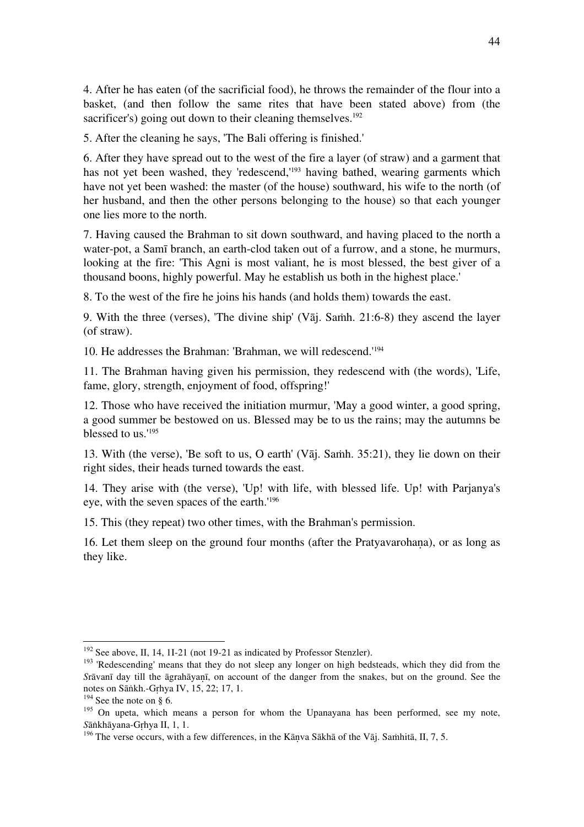4. After he has eaten (of the sacrificial food), he throws the remainder of the flour into a basket, (and then follow the same rites that have been stated above) from (the sacrificer's) going out down to their cleaning themselves.<sup>192</sup>

5. After the cleaning he says, 'The Bali offering is finished.'

6. After they have spread out to the west of the fire a layer (of straw) and a garment that has not yet been washed, they 'redescend,'<sup>193</sup> having bathed, wearing garments which have not yet been washed: the master (of the house) southward, his wife to the north (of her husband, and then the other persons belonging to the house) so that each younger one lies more to the north.

7. Having caused the Brahman to sit down southward, and having placed to the north a water-pot, a Samī branch, an earth-clod taken out of a furrow, and a stone, he murmurs, looking at the fire: 'This Agni is most valiant, he is most blessed, the best giver of a thousand boons, highly powerful. May he establish us both in the highest place.'

8. To the west of the fire he joins his hands (and holds them) towards the east.

9. With the three (verses), 'The divine ship' (Vāj. Saṁh. 21:6-8) they ascend the layer (of straw).

10. He addresses the Brahman: 'Brahman, we will redescend.'194

11. The Brahman having given his permission, they redescend with (the words), 'Life, fame, glory, strength, enjoyment of food, offspring!'

12. Those who have received the initiation murmur, 'May a good winter, a good spring, a good summer be bestowed on us. Blessed may be to us the rains; may the autumns be blessed to us.'195

13. With (the verse), 'Be soft to us, O earth' (Vāj. Saṁh. 35:21), they lie down on their right sides, their heads turned towards the east.

14. They arise with (the verse), 'Up! with life, with blessed life. Up! with Parjanya's eye, with the seven spaces of the earth.'196

15. This (they repeat) two other times, with the Brahman's permission.

16. Let them sleep on the ground four months (after the Pratyavarohaṇa), or as long as they like.

<sup>&</sup>lt;sup>192</sup> See above, II, 14, 1I-21 (not 19-21 as indicated by Professor Stenzler).<br><sup>193</sup> 'Redescending' means that they do not sleep any longer on high bedsteads, which they did from the *S*rāvanī day till the āgrahāyaṇī, on account of the danger from the snakes, but on the ground. See the

<sup>&</sup>lt;sup>194</sup> See the note on § 6.<br><sup>195</sup> On upeta, which means a person for whom the Upanayana has been performed, see my note, Sankhayana-Grhya II, 1, 1.

<sup>&</sup>lt;sup>196</sup> The verse occurs, with a few differences, in the Kānva Sākhā of the Vāj. Saṁhitā, II, 7, 5.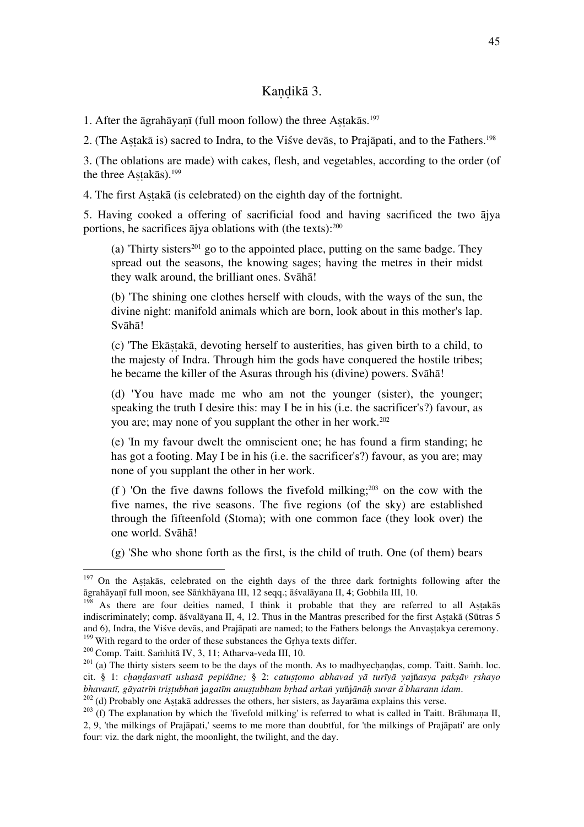## Kandikā 3.

1. After the āgrahāyaṇī (full moon follow) the three Aṣṭakās.197

2. (The Astakā is) sacred to Indra, to the Visve devās, to Prajāpati, and to the Fathers.<sup>198</sup>

3. (The oblations are made) with cakes, flesh, and vegetables, according to the order (of the three Astakās).<sup>199</sup>

4. The first Aṣṭakā (is celebrated) on the eighth day of the fortnight.

5. Having cooked a offering of sacrificial food and having sacrificed the two ājya portions, he sacrifices ājya oblations with (the texts):200

(a) Thirty sisters<sup>201</sup> go to the appointed place, putting on the same badge. They spread out the seasons, the knowing sages; having the metres in their midst they walk around, the brilliant ones. Svāhā!

(b) 'The shining one clothes herself with clouds, with the ways of the sun, the divine night: manifold animals which are born, look about in this mother's lap. Svāhā!

(c) 'The Ekāṣṭakā, devoting herself to austerities, has given birth to a child, to the majesty of Indra. Through him the gods have conquered the hostile tribes; he became the killer of the Asuras through his (divine) powers. Svāhā!

(d) 'You have made me who am not the younger (sister), the younger; speaking the truth I desire this: may I be in his (i.e. the sacrificer's?) favour, as you are; may none of you supplant the other in her work.<sup>202</sup>

(e) 'In my favour dwelt the omniscient one; he has found a firm standing; he has got a footing. May I be in his (i.e. the sacrificer's?) favour, as you are; may none of you supplant the other in her work.

(f) 'On the five dawns follows the fivefold milking;<sup>203</sup> on the cow with the five names, the rive seasons. The five regions (of the sky) are established through the fifteenfold (Stoma); with one common face (they look over) the one world. Svāhā!

(g) 'She who shone forth as the first, is the child of truth. One (of them) bears

<sup>&</sup>lt;sup>197</sup> On the Aṣṭakās, celebrated on the eighth days of the three dark fortnights following after the āgrahāyanī full moon, see Sāṅkhāyana III, 12 seqq.; āśvalāyana II, 4; Gobhila III, 10.

<sup>&</sup>lt;sup>198</sup> As there are four deities named, I think it probable that they are referred to all Astakas indiscriminately; comp. āśvalāyana II, 4, 12. Thus in the Mantras prescribed for the first Aṣṭakā (Sūtras 5 and 6), Indra, the Viśve devās, and Prajāpati are named; to the Fathers belongs the Anvastakya ceremony. <sup>199</sup> With regard to the order of these substances the Grhya texts differ.<br><sup>200</sup> Comp. Taitt. Samhitā IV, 3, 11; Atharva-veda III, 10.<br><sup>201</sup> (a) The thirty sisters seem to be the days of the month. As to madhyechandas, co

cit. § 1: chandasvatī ushasā pepiśāne; § 2: catustomo abhavad yā turīyā yajñasya paksāv rshayo bhavantī, gāyatrīn tristubhan jagatīm anustubham brhad arkan vuñjānāh suvar ā bharann idam.

<sup>&</sup>lt;sup>202</sup> (d) Probably one Astakā addresses the others, her sisters, as Jayarāma explains this verse.<br><sup>203</sup> (f) The explanation by which the 'fivefold milking' is referred to what is called in Taitt. Brāhmana II, 2, 9, 'the milkings of Prajāpati,' seems to me more than doubtful, for 'the milkings of Prajāpati' are only four: viz. the dark night, the moonlight, the twilight, and the day.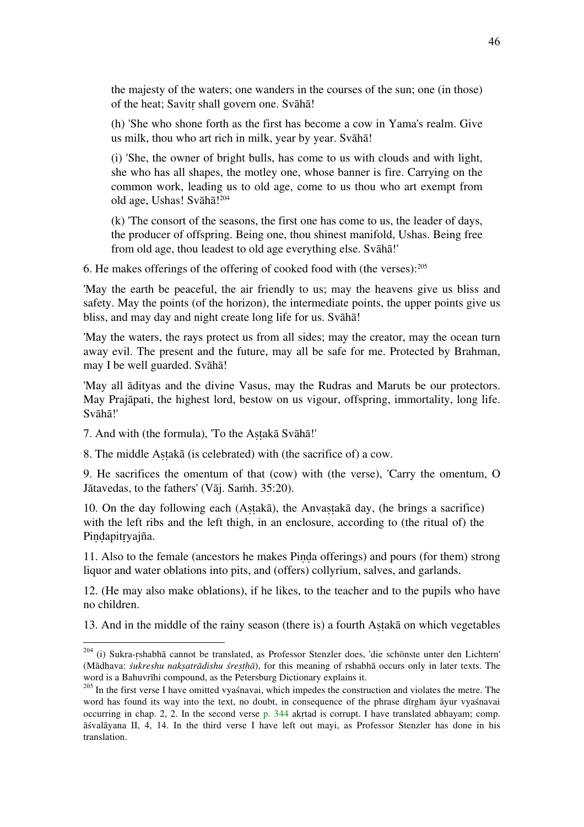the majesty of the waters; one wanders in the courses of the sun; one (in those) of the heat; Savitṛ shall govern one. Svāhā!

(h) 'She who shone forth as the first has become a cow in Yama's realm. Give us milk, thou who art rich in milk, year by year. Svāhā!

(i) 'She, the owner of bright bulls, has come to us with clouds and with light, she who has all shapes, the motley one, whose banner is fire. Carrying on the common work, leading us to old age, come to us thou who art exempt from old age, Ushas! Svāhā!<sup>204</sup>

(k) 'The consort of the seasons, the first one has come to us, the leader of days, the producer of offspring. Being one, thou shinest manifold, Ushas. Being free from old age, thou leadest to old age everything else. Svāhā!'

6. He makes offerings of the offering of cooked food with (the verses): $205$ 

'May the earth be peaceful, the air friendly to us; may the heavens give us bliss and safety. May the points (of the horizon), the intermediate points, the upper points give us bliss, and may day and night create long life for us. Svāhā!

'May the waters, the rays protect us from all sides; may the creator, may the ocean turn away evil. The present and the future, may all be safe for me. Protected by Brahman, may I be well guarded. Svāhā!

'May all ādityas and the divine Vasus, may the Rudras and Maruts be our protectors. May Prajāpati, the highest lord, bestow on us vigour, offspring, immortality, long life. Svāhā!'

7. And with (the formula), 'To the Aṣṭakā Svāhā!'

8. The middle Aṣṭakā (is celebrated) with (the sacrifice of) a cow.

9. He sacrifices the omentum of that (cow) with (the verse), 'Carry the omentum, O Jātavedas, to the fathers' (Vāj. Saṁh. 35:20).

10. On the day following each (Aṣṭakā), the Anvaṣṭakā day, (he brings a sacrifice) with the left ribs and the left thigh, in an enclosure, according to (the ritual of) the Pindapitryajña.

11. Also to the female (ancestors he makes Piṇḍa offerings) and pours (for them) strong liquor and water oblations into pits, and (offers) collyrium, salves, and garlands.

12. (He may also make oblations), if he likes, to the teacher and to the pupils who have no children.

13. And in the middle of the rainy season (there is) a fourth Aṣṭakā on which vegetables

<sup>&</sup>lt;sup>204</sup> (i) Sukra-rshabhā cannot be translated, as Professor Stenzler does, 'die schönste unter den Lichtern' (Mādhava: *śukreshu nakṣatrādishu śreṣṭḥā*), for this meaning of ṛshabhā occurs only in later texts. The

<sup>&</sup>lt;sup>205</sup> In the first verse I have omitted vyaśnavai, which impedes the construction and violates the metre. The word has found its way into the text, no doubt, in consequence of the phrase dīrgham āyur vyaśnavai occurring in chap. 2, 2. In the second verse p. 344 akṛtad is corrupt. I have translated abhayam; comp. āśvalāyana II, 4, 14. In the third verse I have left out mayi, as Professor Stenzler has done in his translation.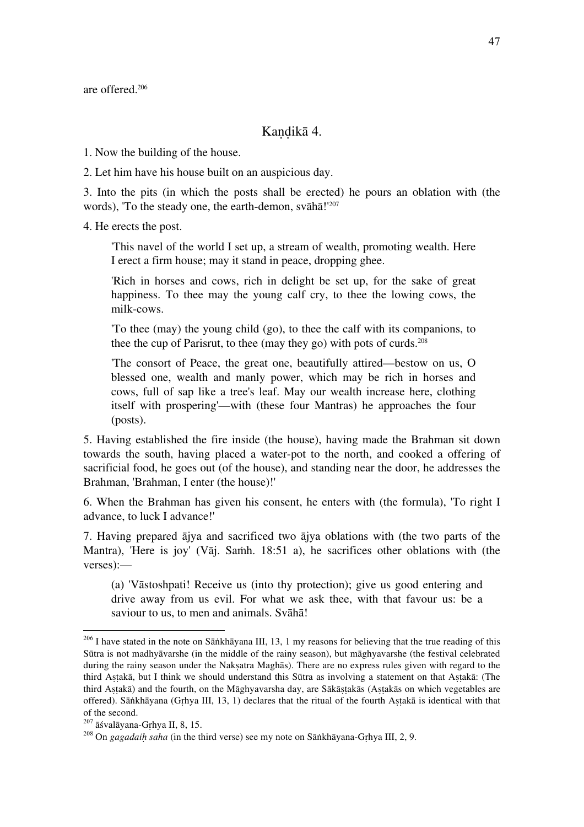are offered.206

#### Kandikā 4.

1. Now the building of the house.

2. Let him have his house built on an auspicious day.

3. Into the pits (in which the posts shall be erected) he pours an oblation with (the words), 'To the steady one, the earth-demon, svāhā!'<sup>207</sup>

4. He erects the post.

'This navel of the world I set up, a stream of wealth, promoting wealth. Here I erect a firm house; may it stand in peace, dropping ghee.

'Rich in horses and cows, rich in delight be set up, for the sake of great happiness. To thee may the young calf cry, to thee the lowing cows, the milk-cows.

'To thee (may) the young child (go), to thee the calf with its companions, to thee the cup of Parisrut, to thee (may they go) with pots of curds.<sup>208</sup>

'The consort of Peace, the great one, beautifully attired—bestow on us, O blessed one, wealth and manly power, which may be rich in horses and cows, full of sap like a tree's leaf. May our wealth increase here, clothing itself with prospering'—with (these four Mantras) he approaches the four (posts).

5. Having established the fire inside (the house), having made the Brahman sit down towards the south, having placed a water-pot to the north, and cooked a offering of sacrificial food, he goes out (of the house), and standing near the door, he addresses the Brahman, 'Brahman, I enter (the house)!'

6. When the Brahman has given his consent, he enters with (the formula), 'To right I advance, to luck I advance!'

7. Having prepared ājya and sacrificed two ājya oblations with (the two parts of the Mantra), 'Here is joy' (Vāj. Saṁh. 18:51 a), he sacrifices other oblations with (the verses):—

(a) 'Vāstoshpati! Receive us (into thy protection); give us good entering and drive away from us evil. For what we ask thee, with that favour us: be a saviour to us, to men and animals. Svāhā!

<sup>&</sup>lt;sup>206</sup> I have stated in the note on Sāṅkhāyana III, 13, 1 my reasons for believing that the true reading of this Sūtra is not madhyāvarshe (in the middle of the rainy season), but māghyavarshe (the festival celebrated during the rainy season under the Naksatra Maghās). There are no express rules given with regard to the third Aṣṭakā, but I think we should understand this Sūtra as involving a statement on that Aṣṭakā: (The third Astakā) and the fourth, on the Māghyavarsha day, are Sākāstakās (Astakās on which vegetables are offered). Sāṅkhāyana (Gṛhya III, 13, 1) declares that the ritual of the fourth Aṣṭakā is identical with that of the second.<br> $^{207}$   $\bar{a}$ śvalāyana-Grhya II, 8, 15.

<sup>&</sup>lt;sup>208</sup> On *gagadaih saha* (in the third verse) see my note on Sāṅkhāyana-Grhya III, 2, 9.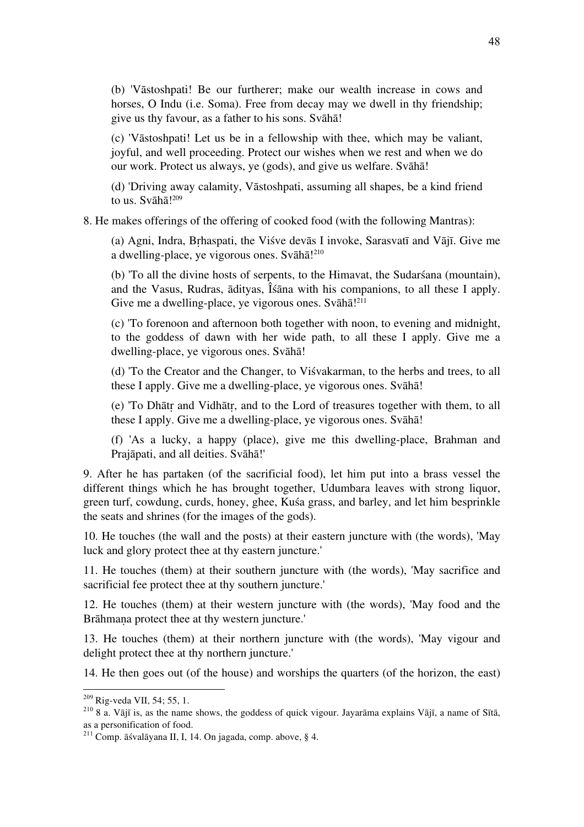(b) 'Vāstoshpati! Be our furtherer; make our wealth increase in cows and horses, O Indu (i.e. Soma). Free from decay may we dwell in thy friendship; give us thy favour, as a father to his sons. Svāhā!

(c) 'Vāstoshpati! Let us be in a fellowship with thee, which may be valiant, joyful, and well proceeding. Protect our wishes when we rest and when we do our work. Protect us always, ye (gods), and give us welfare. Svāhā!

(d) 'Driving away calamity, Vāstoshpati, assuming all shapes, be a kind friend to us. Svāhā!<sup>209</sup>

#### 8. He makes offerings of the offering of cooked food (with the following Mantras):

(a) Agni, Indra, Bṛhaspati, the Viśve devās I invoke, Sarasvatī and Vājī. Give me a dwelling-place, ye vigorous ones. Svāhā! 210

(b) 'To all the divine hosts of serpents, to the Himavat, the Sudarśana (mountain), and the Vasus, Rudras, ādityas, Îśāna with his companions, to all these I apply. Give me a dwelling-place, ye vigorous ones. Svāhā!<sup>211</sup>

(c) 'To forenoon and afternoon both together with noon, to evening and midnight, to the goddess of dawn with her wide path, to all these I apply. Give me a dwelling-place, ye vigorous ones. Svāhā!

(d) 'To the Creator and the Changer, to Viśvakarman, to the herbs and trees, to all these I apply. Give me a dwelling-place, ye vigorous ones. Svāhā!

(e) 'To Dhātṛ and Vidhātṛ, and to the Lord of treasures together with them, to all these I apply. Give me a dwelling-place, ye vigorous ones. Svāhā!

(f) 'As a lucky, a happy (place), give me this dwelling-place, Brahman and Prajāpati, and all deities. Svāhā!'

9. After he has partaken (of the sacrificial food), let him put into a brass vessel the different things which he has brought together, Udumbara leaves with strong liquor, green turf, cowdung, curds, honey, ghee, Kuśa grass, and barley, and let him besprinkle the seats and shrines (for the images of the gods).

10. He touches (the wall and the posts) at their eastern juncture with (the words), 'May luck and glory protect thee at thy eastern juncture.'

11. He touches (them) at their southern juncture with (the words), 'May sacrifice and sacrificial fee protect thee at thy southern juncture.'

12. He touches (them) at their western juncture with (the words), 'May food and the Brāhmana protect thee at thy western juncture.'

13. He touches (them) at their northern juncture with (the words), 'May vigour and delight protect thee at thy northern juncture.'

14. He then goes out (of the house) and worships the quarters (of the horizon, the east)

<sup>&</sup>lt;sup>209</sup> Rig-veda VII, 54; 55, 1.<br><sup>210</sup> 8 a. Vājī is, as the name shows, the goddess of quick vigour. Jayarāma explains Vājī, a name of Sītā, as a personification of food.

 $2^{11}$  Comp. āśvalāyana II, I, 14. On jagada, comp. above, § 4.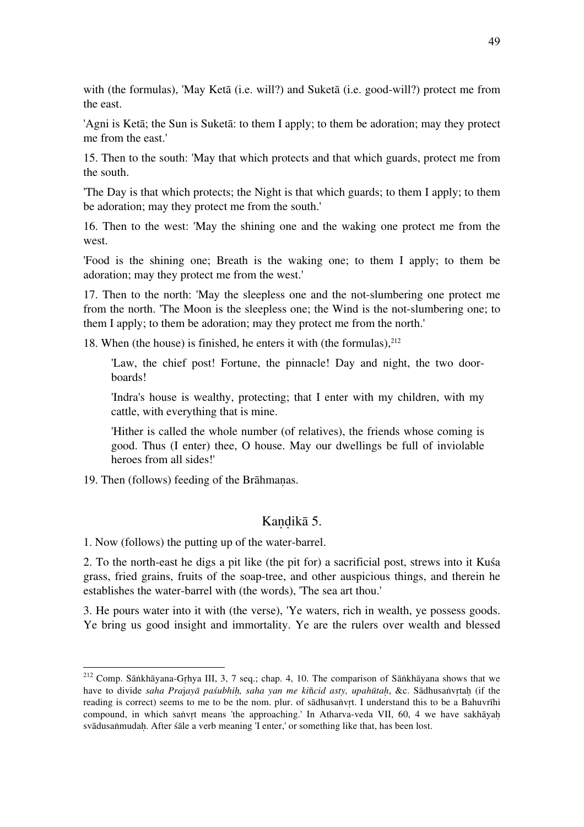with (the formulas), 'May Ketā (i.e. will?) and Suketā (i.e. good-will?) protect me from the east.

'Agni is Ketā; the Sun is Suketā: to them I apply; to them be adoration; may they protect me from the east.'

15. Then to the south: 'May that which protects and that which guards, protect me from the south.

'The Day is that which protects; the Night is that which guards; to them I apply; to them be adoration; may they protect me from the south.'

16. Then to the west: 'May the shining one and the waking one protect me from the west.

'Food is the shining one; Breath is the waking one; to them I apply; to them be adoration; may they protect me from the west.'

17. Then to the north: 'May the sleepless one and the not-slumbering one protect me from the north. 'The Moon is the sleepless one; the Wind is the not-slumbering one; to them I apply; to them be adoration; may they protect me from the north.'

18. When (the house) is finished, he enters it with (the formulas), $^{212}$ 

'Law, the chief post! Fortune, the pinnacle! Day and night, the two doorboards!

'Indra's house is wealthy, protecting; that I enter with my children, with my cattle, with everything that is mine.

'Hither is called the whole number (of relatives), the friends whose coming is good. Thus (I enter) thee, O house. May our dwellings be full of inviolable heroes from all sides!'

19. Then (follows) feeding of the Brāhmaṇas.

#### Kandikā 5.

1. Now (follows) the putting up of the water-barrel.

2. To the north-east he digs a pit like (the pit for) a sacrificial post, strews into it Kuśa grass, fried grains, fruits of the soap-tree, and other auspicious things, and therein he establishes the water-barrel with (the words), 'The sea art thou.'

3. He pours water into it with (the verse), 'Ye waters, rich in wealth, ye possess goods. Ye bring us good insight and immortality. Ye are the rulers over wealth and blessed

 <sup>212</sup> Comp. Sāṅkhāyana-Gṛhya III, 3, 7 seq.; chap. 4, 10. The comparison of Sāṅkhāyana shows that we have to divide *saha Pra*j*ayā paśubhiḥ, saha yan me ki*ñ*cid asty, upahūtaḥ*, &c. Sādhusaṅvṛtaḥ (if the reading is correct) seems to me to be the nom. plur. of sādhusaṅvṛt. I understand this to be a Bahuvrīhi compound, in which saṅvṛt means 'the approaching.' In Atharva-veda VII, 60, 4 we have sakhāyaḥ svādusaṅmudah. After śāle a verb meaning 'I enter,' or something like that, has been lost.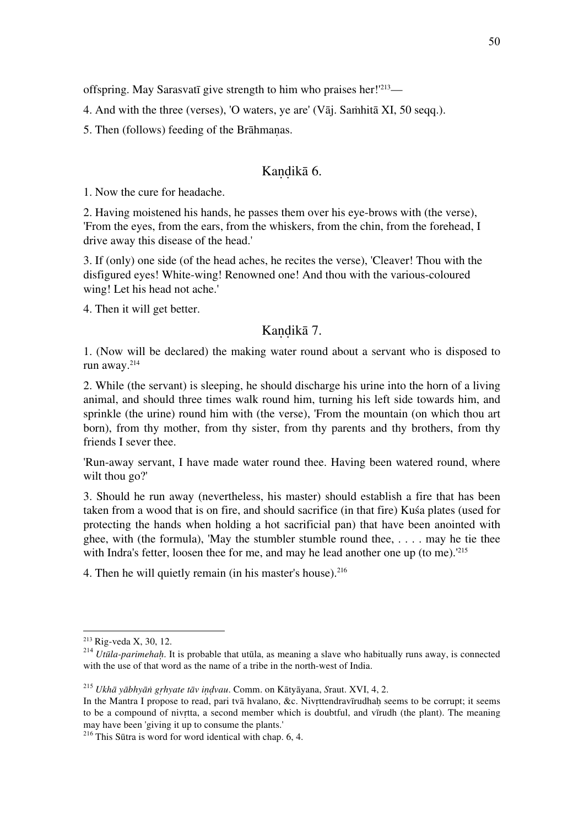offspring. May Sarasvatī give strength to him who praises her!'<sup>213</sup>—

4. And with the three (verses), 'O waters, ye are' (Vāj. Saṁhitā XI, 50 seqq.).

5. Then (follows) feeding of the Brāhmaṇas.

## Kandikā 6.

1. Now the cure for headache.

2. Having moistened his hands, he passes them over his eye-brows with (the verse), 'From the eyes, from the ears, from the whiskers, from the chin, from the forehead, I drive away this disease of the head.'

3. If (only) one side (of the head aches, he recites the verse), 'Cleaver! Thou with the disfigured eyes! White-wing! Renowned one! And thou with the various-coloured wing! Let his head not ache.'

4. Then it will get better.

#### Kandikā 7.

1. (Now will be declared) the making water round about a servant who is disposed to run away.214

2. While (the servant) is sleeping, he should discharge his urine into the horn of a living animal, and should three times walk round him, turning his left side towards him, and sprinkle (the urine) round him with (the verse), 'From the mountain (on which thou art born), from thy mother, from thy sister, from thy parents and thy brothers, from thy friends I sever thee.

'Run-away servant, I have made water round thee. Having been watered round, where wilt thou go?'

3. Should he run away (nevertheless, his master) should establish a fire that has been taken from a wood that is on fire, and should sacrifice (in that fire) Kuśa plates (used for protecting the hands when holding a hot sacrificial pan) that have been anointed with ghee, with (the formula), 'May the stumbler stumble round thee,  $\dots$  may he tie thee with Indra's fetter, loosen thee for me, and may he lead another one up (to me).<sup>'215</sup>

4. Then he will quietly remain (in his master's house). $216$ 

<sup>&</sup>lt;sup>213</sup> Rig-veda X, 30, 12.<br><sup>214</sup> *Utūla-parimehah*. It is probable that utūla, as meaning a slave who habitually runs away, is connected with the use of that word as the name of a tribe in the north-west of India.

<sup>215</sup> *Ukhā yābhyāṅ gṛhyate tāv iṇḍvau*. Comm. on Kātyāyana, *S*raut. XVI, 4, 2.

In the Mantra I propose to read, pari tvā hvalano, &c. Nivrttendravīrudhah seems to be corrupt; it seems to be a compound of nivṛtta, a second member which is doubtful, and vīrudh (the plant). The meaning may have been 'giving it up to consume the plants.'

 $216$  This Sūtra is word for word identical with chap. 6, 4.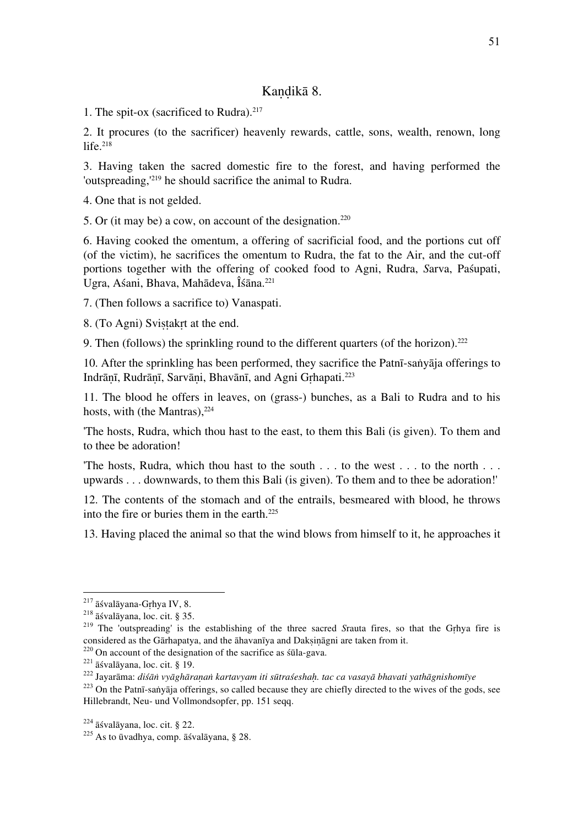## Kandikā 8.

1. The spit-ox (sacrificed to Rudra).<sup>217</sup>

2. It procures (to the sacrificer) heavenly rewards, cattle, sons, wealth, renown, long life. $218$ 

3. Having taken the sacred domestic fire to the forest, and having performed the 'outspreading,'219 he should sacrifice the animal to Rudra.

4. One that is not gelded.

5. Or (it may be) a cow, on account of the designation. $220$ 

6. Having cooked the omentum, a offering of sacrificial food, and the portions cut off (of the victim), he sacrifices the omentum to Rudra, the fat to the Air, and the cut-off portions together with the offering of cooked food to Agni, Rudra, *S*arva, Paśupati, Ugra, Aśani, Bhava, Mahādeva, Îśāna. 221

7. (Then follows a sacrifice to) Vanaspati.

8. (To Agni) Svistakrt at the end.

9. Then (follows) the sprinkling round to the different quarters (of the horizon).<sup>222</sup>

10. After the sprinkling has been performed, they sacrifice the Patnī-saṅyāja offerings to Indrāṇī, Rudrāṇī, Sarvāṇi, Bhavānī, and Agni Gṛhapati.223

11. The blood he offers in leaves, on (grass-) bunches, as a Bali to Rudra and to his hosts, with (the Mantras),  $224$ 

'The hosts, Rudra, which thou hast to the east, to them this Bali (is given). To them and to thee be adoration!

'The hosts, Rudra, which thou hast to the south . . . to the west . . . to the north . . . upwards . . . downwards, to them this Bali (is given). To them and to thee be adoration!'

12. The contents of the stomach and of the entrails, besmeared with blood, he throws into the fire or buries them in the earth.<sup>225</sup>

13. Having placed the animal so that the wind blows from himself to it, he approaches it

<sup>&</sup>lt;sup>217</sup> āśvalāyana-Gṛhya IV, 8.<br><sup>218</sup> āśvalāyana, loc. cit. § 35.<br><sup>219</sup> The 'outspreading' is the establishing of the three sacred *Srauta fires*, so that the Gṛhya fire is considered as the Gārhapatya, and the āhavanīya and

<sup>&</sup>lt;sup>220</sup> On account of the designation of the sacrifice as śūla-gava.<br><sup>221</sup> āśvalāyana, loc. cit. § 19.<br><sup>222</sup> Jayarāma: *diśān vyāghāraṇaṅ kartavyam iti sūtraśeshaḥ. tac ca vasayā bhavati yathāgnishomīye*<br><sup>223</sup> On the Patnī-

Hillebrandt, Neu- und Vollmondsopfer, pp. 151 seqq.

<sup>&</sup>lt;sup>224</sup> āśvalāyana, loc. cit. § 22.<br><sup>225</sup> As to ūvadhya, comp. āśvalāyana, § 28.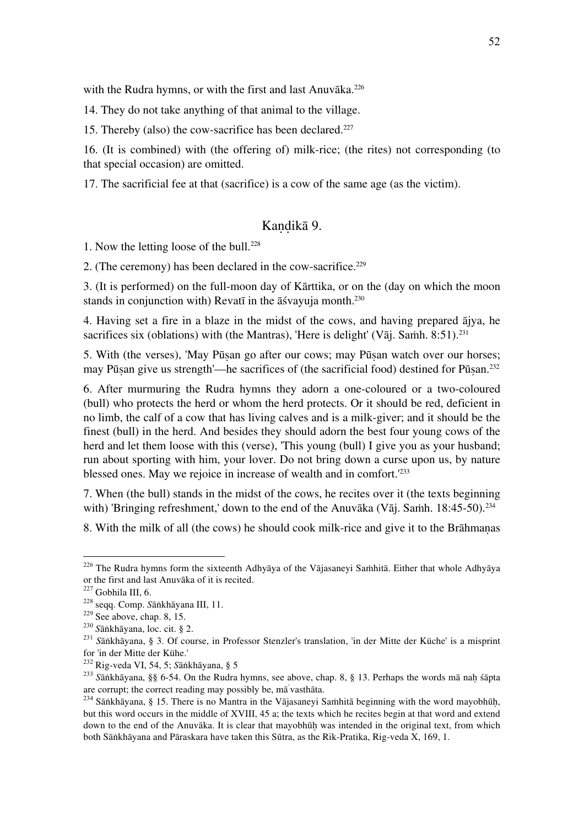with the Rudra hymns, or with the first and last Anuvāka.<sup>226</sup>

14. They do not take anything of that animal to the village.

15. Thereby (also) the cow-sacrifice has been declared.<sup>227</sup>

16. (It is combined) with (the offering of) milk-rice; (the rites) not corresponding (to that special occasion) are omitted.

17. The sacrificial fee at that (sacrifice) is a cow of the same age (as the victim).

## Kandikā 9.

1. Now the letting loose of the bull.<sup>228</sup>

2. (The ceremony) has been declared in the cow-sacrifice. $229$ 

3. (It is performed) on the full-moon day of Kārttika, or on the (day on which the moon stands in conjunction with) Revatī in the āśvayuja month.<sup>230</sup>

4. Having set a fire in a blaze in the midst of the cows, and having prepared ājya, he sacrifices six (oblations) with (the Mantras), 'Here is delight' (Vāj. Samh. 8:51).<sup>231</sup>

5. With (the verses), 'May Pūṣan go after our cows; may Pūṣan watch over our horses; may Pūṣan give us strength'—he sacrifices of (the sacrificial food) destined for Pūṣan. 232

6. After murmuring the Rudra hymns they adorn a one-coloured or a two-coloured (bull) who protects the herd or whom the herd protects. Or it should be red, deficient in no limb, the calf of a cow that has living calves and is a milk-giver; and it should be the finest (bull) in the herd. And besides they should adorn the best four young cows of the herd and let them loose with this (verse), 'This young (bull) I give you as your husband; run about sporting with him, your lover. Do not bring down a curse upon us, by nature blessed ones. May we rejoice in increase of wealth and in comfort.'233

7. When (the bull) stands in the midst of the cows, he recites over it (the texts beginning with) 'Bringing refreshment,' down to the end of the Anuvāka (Vāj. Samh. 18:45-50).<sup>234</sup>

8. With the milk of all (the cows) he should cook milk-rice and give it to the Brāhmaṇas

<sup>&</sup>lt;sup>226</sup> The Rudra hymns form the sixteenth Adhyāya of the Vājasaneyi Saṁhitā. Either that whole Adhyāya or the first and last Anuvāka of it is recited.<br><sup>227</sup> Gobhila III, 6.

<sup>&</sup>lt;sup>228</sup> seqq. Comp. Sāṅkhāyana III, 11.<br><sup>229</sup> See above, chap. 8, 15.<br><sup>230</sup> Sāṅkhāyana, loc. cit. § 2.<br><sup>230</sup> Sāṅkhāyana, § 3. Of course, in Professor Stenzler's translation, 'in der Mitte der Küche' is a misprint for 'in der Mitte der Kühe.'<br><sup>232</sup> Rig-veda VI, 54, 5; Sänkhävana, § 5

<sup>&</sup>lt;sup>233</sup> Sāṅkhāyana, §§ 6-54. On the Rudra hymns, see above, chap. 8, § 13. Perhaps the words mā naḥ śāpta are corrupt; the correct reading may possibly be, ma vasthata.

<sup>&</sup>lt;sup>234</sup> Sāṅkhāyana, § 15. There is no Mantra in the Vājasaneyi Saṁhitā beginning with the word mayobhūḥ, but this word occurs in the middle of XVIII, 45 a; the texts which he recites begin at that word and extend down to the end of the Anuvāka. It is clear that mayobhūh was intended in the original text, from which both Sāṅkhāyana and Pāraskara have taken this Sūtra, as the Rik-Pratika, Rig-veda X, 169, 1.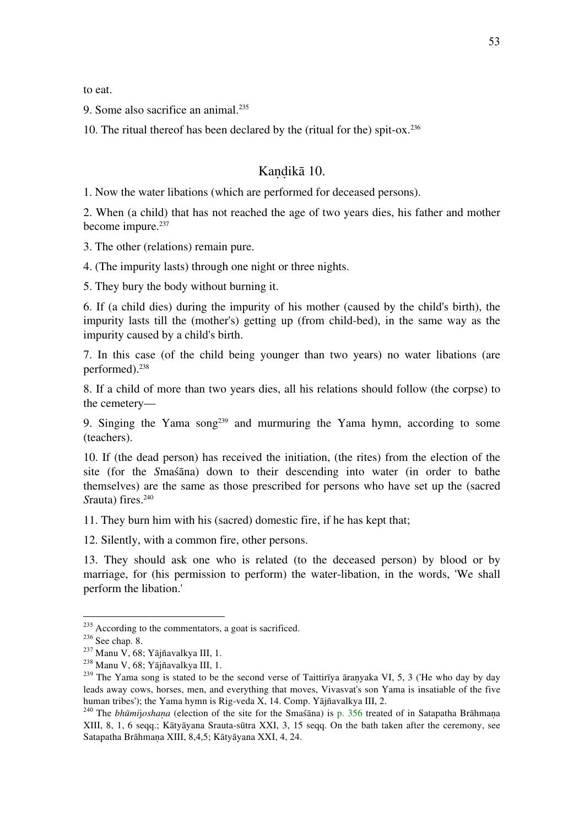to eat.

9. Some also sacrifice an animal.<sup>235</sup>

10. The ritual thereof has been declared by the (ritual for the) spit-ox.236

## Kandikā 10.

1. Now the water libations (which are performed for deceased persons).

2. When (a child) that has not reached the age of two years dies, his father and mother become impure.<sup>237</sup>

3. The other (relations) remain pure.

4. (The impurity lasts) through one night or three nights.

5. They bury the body without burning it.

6. If (a child dies) during the impurity of his mother (caused by the child's birth), the impurity lasts till the (mother's) getting up (from child-bed), in the same way as the impurity caused by a child's birth.

7. In this case (of the child being younger than two years) no water libations (are performed).238

8. If a child of more than two years dies, all his relations should follow (the corpse) to the cemetery—

9. Singing the Yama song<sup>239</sup> and murmuring the Yama hymn, according to some (teachers).

10. If (the dead person) has received the initiation, (the rites) from the election of the site (for the *S*maśāna) down to their descending into water (in order to bathe themselves) are the same as those prescribed for persons who have set up the (sacred *Srauta*) fires.<sup>240</sup>

11. They burn him with his (sacred) domestic fire, if he has kept that;

12. Silently, with a common fire, other persons.

13. They should ask one who is related (to the deceased person) by blood or by marriage, for (his permission to perform) the water-libation, in the words, 'We shall perform the libation.'

<sup>&</sup>lt;sup>235</sup> According to the commentators, a goat is sacrificed.<br><sup>236</sup> See chap. 8.<br><sup>237</sup> Manu V, 68; Yājñavalkya III, 1.<br><sup>238</sup> Manu V, 68; Yājñavalkya III, 1.<br><sup>238</sup> The Yama song is stated to be the second verse of Taittirīya ā leads away cows, horses, men, and everything that moves, Vivasvat's son Yama is insatiable of the five human tribes'); the Yama hymn is Rig-veda X, 14. Comp. Yājñavalkya III, 2.

<sup>&</sup>lt;sup>240</sup> The *bhūmijoshana* (election of the site for the Smasana) is p. 356 treated of in Satapatha Brāhmana XIII, 8, 1, 6 seqq.; Kātyāyana Srauta-sūtra XXI, 3, 15 seqq. On the bath taken after the ceremony, see Satapatha Brāhmaṇa XIII, 8,4,5; Kātyāyana XXI, 4, 24.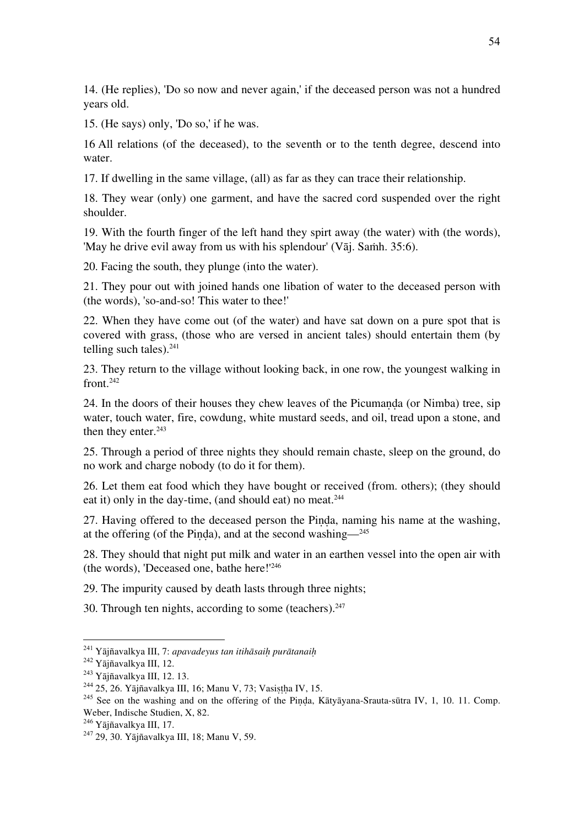14. (He replies), 'Do so now and never again,' if the deceased person was not a hundred years old.

15. (He says) only, 'Do so,' if he was.

16 All relations (of the deceased), to the seventh or to the tenth degree, descend into water.

17. If dwelling in the same village, (all) as far as they can trace their relationship.

18. They wear (only) one garment, and have the sacred cord suspended over the right shoulder.

19. With the fourth finger of the left hand they spirt away (the water) with (the words), 'May he drive evil away from us with his splendour' (Vāj. Samh. 35:6).

20. Facing the south, they plunge (into the water).

21. They pour out with joined hands one libation of water to the deceased person with (the words), 'so-and-so! This water to thee!'

22. When they have come out (of the water) and have sat down on a pure spot that is covered with grass, (those who are versed in ancient tales) should entertain them (by telling such tales). $241$ 

23. They return to the village without looking back, in one row, the youngest walking in  $front<sup>.242</sup>$ 

24. In the doors of their houses they chew leaves of the Picumanda (or Nimba) tree, sip water, touch water, fire, cowdung, white mustard seeds, and oil, tread upon a stone, and then they enter.<sup>243</sup>

25. Through a period of three nights they should remain chaste, sleep on the ground, do no work and charge nobody (to do it for them).

26. Let them eat food which they have bought or received (from. others); (they should eat it) only in the day-time, (and should eat) no meat.<sup>244</sup>

27. Having offered to the deceased person the Piṇḍa, naming his name at the washing, at the offering (of the Pinda), and at the second washing— $245$ 

28. They should that night put milk and water in an earthen vessel into the open air with (the words), 'Deceased one, bathe here!'246

29. The impurity caused by death lasts through three nights;

30. Through ten nights, according to some (teachers). $247$ 

<sup>&</sup>lt;sup>241</sup> Yājñavalkya III, 7: *apavadeyus tan itihāsaiḥ purātanaiḥ*<br><sup>242</sup> Yājñavalkya III, 12.<br><sup>243</sup> Yājñavalkya III, 12. 13.<br><sup>244</sup> 25, 26. Yājñavalkya III, 16; Manu V, 73; Vasiṣṭḥa IV, 15.<br><sup>244</sup> See on the washing and on the Weber, Indische Studien, X, 82.<br><sup>246</sup> Yājñavalkya III, 17.

 $247$  29, 30. Yājñavalkya III, 18; Manu V, 59.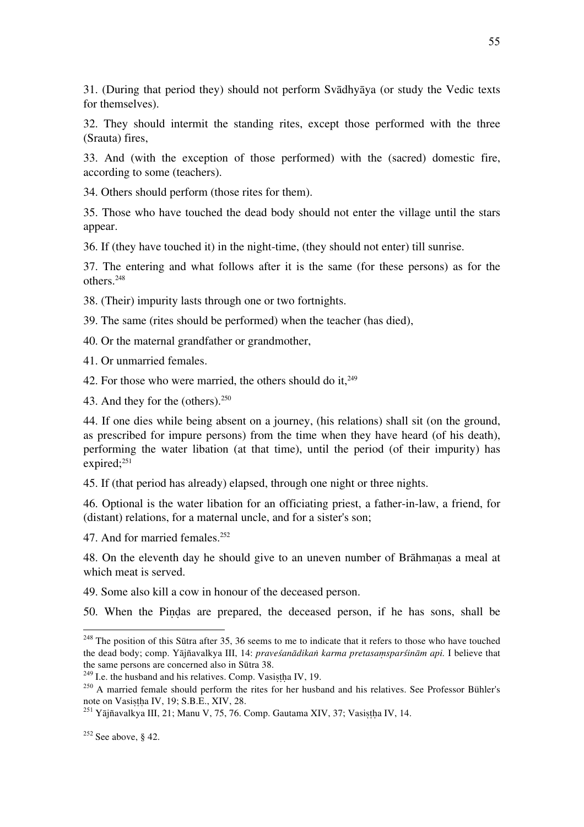31. (During that period they) should not perform Svādhyāya (or study the Vedic texts for themselves).

32. They should intermit the standing rites, except those performed with the three (Srauta) fires,

33. And (with the exception of those performed) with the (sacred) domestic fire, according to some (teachers).

34. Others should perform (those rites for them).

35. Those who have touched the dead body should not enter the village until the stars appear.

36. If (they have touched it) in the night-time, (they should not enter) till sunrise.

37. The entering and what follows after it is the same (for these persons) as for the others.248

38. (Their) impurity lasts through one or two fortnights.

39. The same (rites should be performed) when the teacher (has died),

40. Or the maternal grandfather or grandmother,

41. Or unmarried females.

42. For those who were married, the others should do it,  $249$ 

43. And they for the (others).250

44. If one dies while being absent on a journey, (his relations) shall sit (on the ground, as prescribed for impure persons) from the time when they have heard (of his death), performing the water libation (at that time), until the period (of their impurity) has expired; $^{251}$ 

45. If (that period has already) elapsed, through one night or three nights.

46. Optional is the water libation for an officiating priest, a father-in-law, a friend, for (distant) relations, for a maternal uncle, and for a sister's son;

47. And for married females.252

48. On the eleventh day he should give to an uneven number of Brāhmaṇas a meal at which meat is served.

49. Some also kill a cow in honour of the deceased person.

50. When the Piṇḍas are prepared, the deceased person, if he has sons, shall be

 $248$  The position of this Sūtra after 35, 36 seems to me to indicate that it refers to those who have touched the dead body; comp. Yājñavalkya III, 14: *praveśanādikaṅ karma pretasaṃsparśinām api.* I believe that

<sup>&</sup>lt;sup>249</sup> I.e. the husband and his relatives. Comp. Vasistha IV, 19. <sup>250</sup> A married female should perform the rites for her husband and his relatives. See Professor Bühler's note on Vasistha IV, 19; S.B.E., XIV, 28.

 $^{251}$  Yājñavalkya III, 21; Manu V, 75, 76. Comp. Gautama XIV, 37; Vasistha IV, 14.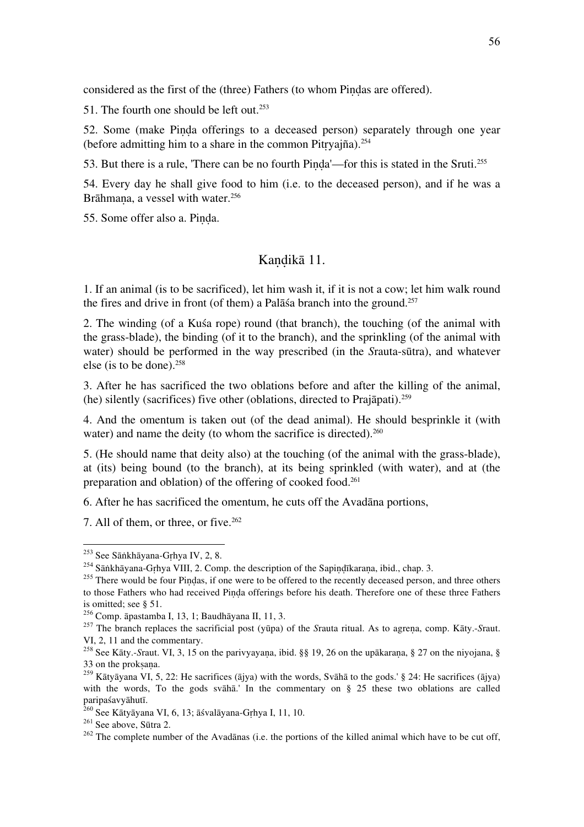considered as the first of the (three) Fathers (to whom Piṇḍas are offered).

51. The fourth one should be left out. $253$ 

52. Some (make Pinda offerings to a deceased person) separately through one year (before admitting him to a share in the common Pitṛyajña).254

53. But there is a rule, 'There can be no fourth Pinda'—for this is stated in the Sruti.<sup>255</sup>

54. Every day he shall give food to him (i.e. to the deceased person), and if he was a Brāhmana, a vessel with water.<sup>256</sup>

55. Some offer also a. Piṇḍa.

#### Kandikā 11.

1. If an animal (is to be sacrificed), let him wash it, if it is not a cow; let him walk round the fires and drive in front (of them) a Pal $\bar{a}$  sa branch into the ground.<sup>257</sup>

2. The winding (of a Kuśa rope) round (that branch), the touching (of the animal with the grass-blade), the binding (of it to the branch), and the sprinkling (of the animal with water) should be performed in the way prescribed (in the *S*rauta-sūtra), and whatever else (is to be done). $258$ 

3. After he has sacrificed the two oblations before and after the killing of the animal, (he) silently (sacrifices) five other (oblations, directed to Prajāpati).259

4. And the omentum is taken out (of the dead animal). He should besprinkle it (with water) and name the deity (to whom the sacrifice is directed).<sup>260</sup>

5. (He should name that deity also) at the touching (of the animal with the grass-blade), at (its) being bound (to the branch), at its being sprinkled (with water), and at (the preparation and oblation) of the offering of cooked food.261

6. After he has sacrificed the omentum, he cuts off the Avadāna portions,

7. All of them, or three, or five.<sup>262</sup>

<sup>&</sup>lt;sup>253</sup> See Sāṅkhāyana-Gṛhya IV, 2, 8.<br><sup>254</sup> Sāṅkhāyana-Gṛhya VIII, 2. Comp. the description of the Sapiṇḍīkaraṇa, ibid., chap. 3.<br><sup>255</sup> There would be four Piṇḍas, if one were to be offered to the recently deceased person, to those Fathers who had received Pinda offerings before his death. Therefore one of these three Fathers is omitted; see  $\S$  51.<br><sup>256</sup> Comp.  $\bar{a}$ pastamba I, 13, 1; Baudh $\bar{a}$ yana II, 11, 3.

<sup>&</sup>lt;sup>257</sup> The branch replaces the sacrificial post (yūpa) of the *Srauta ritual*. As to agrena, comp. Kāty.-*Sraut.* VI, 2, 11 and the commentary.

<sup>&</sup>lt;sup>258</sup> See Kāty.-*Sraut. VI*, 3, 15 on the parivyayaṇa, ibid. §§ 19, 26 on the upākaraṇa, § 27 on the niyojana, § 33 on the proksana.

<sup>&</sup>lt;sup>259</sup> Kātyāyana VI, 5, 22: He sacrifices (ājya) with the words, Svāhā to the gods.' § 24: He sacrifices (ājya) with the words, To the gods svaha.' In the commentary on  $\S$  25 these two oblations are called paripaśavyāhutī.<br><sup>260</sup> See Kātyāyana VI, 6, 13; āśvalāyana-Gṛhya I, 11, 10.<br><sup>261</sup> See above, Sūtra 2.<br><sup>262</sup> The complete number of the Avadānas (i.e. the portions of the killed animal which have to be cut off,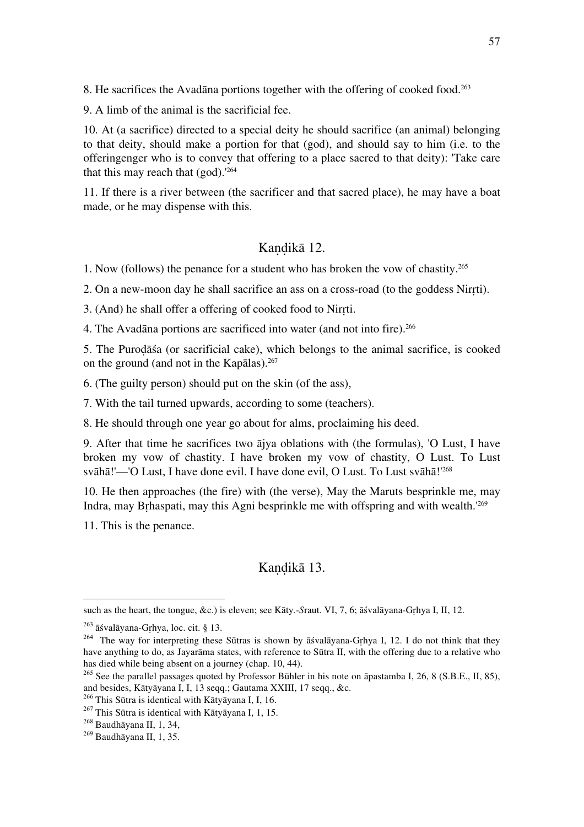8. He sacrifices the Avadāna portions together with the offering of cooked food.<sup>263</sup>

9. A limb of the animal is the sacrificial fee.

10. At (a sacrifice) directed to a special deity he should sacrifice (an animal) belonging to that deity, should make a portion for that (god), and should say to him (i.e. to the offeringenger who is to convey that offering to a place sacred to that deity): 'Take care that this may reach that  $(god)$ .<sup>'264</sup>

11. If there is a river between (the sacrificer and that sacred place), he may have a boat made, or he may dispense with this.

#### Kandikā 12.

1. Now (follows) the penance for a student who has broken the vow of chastity.265

2. On a new-moon day he shall sacrifice an ass on a cross-road (to the goddess Nirṛti).

3. (And) he shall offer a offering of cooked food to Nirṛti.

4. The Avadāna portions are sacrificed into water (and not into fire).<sup>266</sup>

5. The Puroḍāśa (or sacrificial cake), which belongs to the animal sacrifice, is cooked on the ground (and not in the Kapalas). $267$ 

6. (The guilty person) should put on the skin (of the ass),

7. With the tail turned upwards, according to some (teachers).

8. He should through one year go about for alms, proclaiming his deed.

9. After that time he sacrifices two ājya oblations with (the formulas), 'O Lust, I have broken my vow of chastity. I have broken my vow of chastity, O Lust. To Lust svāhā!'—'O Lust, I have done evil. I have done evil, O Lust. To Lust svāhā!'<sup>268</sup>

10. He then approaches (the fire) with (the verse), May the Maruts besprinkle me, may Indra, may Brhaspati, may this Agni besprinkle me with offspring and with wealth.<sup>'269</sup>

11. This is the penance.

 $\overline{a}$ 

## Kandikā 13.

such as the heart, the tongue, &c.) is eleven; see Kāty.-*S*raut. VI, 7, 6; āśvalāyana-Gṛhya I, II, 12.

<sup>&</sup>lt;sup>263</sup> āśvalāyana-Gṛhya, loc. cit. § 13.<br><sup>264</sup> The way for interpreting these Sūtras is shown by āśvalāyana-Gṛhya I, 12. I do not think that they have anything to do, as Jayarāma states, with reference to Sūtra II, with the offering due to a relative who has died while being absent on a journey (chap. 10, 44).

<sup>&</sup>lt;sup>265</sup> See the parallel passages quoted by Professor Bühler in his note on āpastamba I, 26, 8 (S.B.E., II, 85), and besides, Kātyāyana I, I, 13 seqq.; Gautama XXIII, 17 seqq., &c.

<sup>&</sup>lt;sup>266</sup> This Sūtra is identical with Kātyāyana I, I, 16.<br><sup>267</sup> This Sūtra is identical with Kātyāyana I, 1, 15.<br><sup>268</sup> Baudhāyana II, 1, 34,<br><sup>269</sup> Baudhāvana II, 1, 35.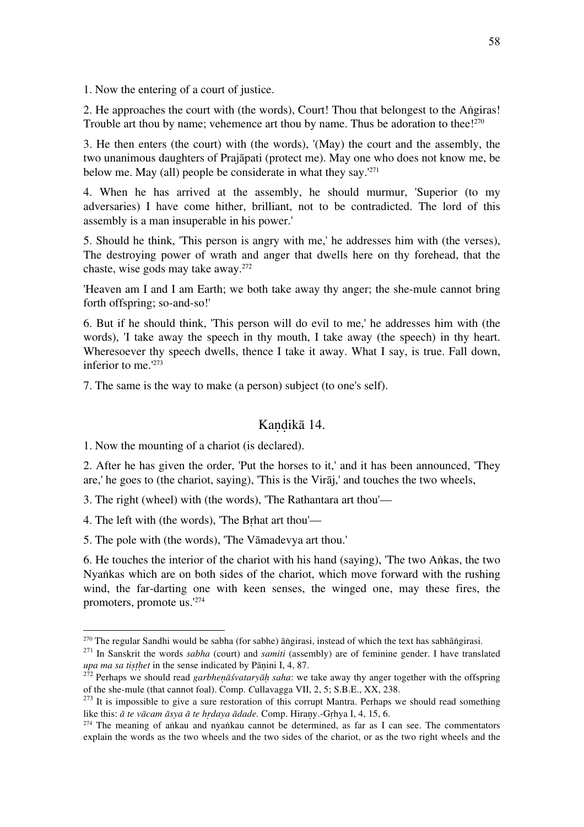1. Now the entering of a court of justice.

2. He approaches the court with (the words), Court! Thou that belongest to the Aṅgiras! Trouble art thou by name; vehemence art thou by name. Thus be adoration to thee! $270$ 

3. He then enters (the court) with (the words), '(May) the court and the assembly, the two unanimous daughters of Prajāpati (protect me). May one who does not know me, be below me. May (all) people be considerate in what they say. $1271$ 

4. When he has arrived at the assembly, he should murmur, 'Superior (to my adversaries) I have come hither, brilliant, not to be contradicted. The lord of this assembly is a man insuperable in his power.'

5. Should he think, 'This person is angry with me,' he addresses him with (the verses), The destroying power of wrath and anger that dwells here on thy forehead, that the chaste, wise gods may take away.272

'Heaven am I and I am Earth; we both take away thy anger; the she-mule cannot bring forth offspring; so-and-so!'

6. But if he should think, 'This person will do evil to me,' he addresses him with (the words), 'I take away the speech in thy mouth, I take away (the speech) in thy heart. Wheresoever thy speech dwells, thence I take it away. What I say, is true. Fall down, inferior to me.'273

7. The same is the way to make (a person) subject (to one's self).

#### Kandikā 14.

1. Now the mounting of a chariot (is declared).

2. After he has given the order, 'Put the horses to it,' and it has been announced, 'They are,' he goes to (the chariot, saying), 'This is the Virāj,' and touches the two wheels,

3. The right (wheel) with (the words), 'The Rathantara art thou'—

4. The left with (the words), 'The Bṛhat art thou'—

5. The pole with (the words), 'The Vāmadevya art thou.'

6. He touches the interior of the chariot with his hand (saying), 'The two Aṅkas, the two Nyaṅkas which are on both sides of the chariot, which move forward with the rushing wind, the far-darting one with keen senses, the winged one, may these fires, the promoters, promote us.'274

 $270$  The regular Sandhi would be sabha (for sabhe) angirasi, instead of which the text has sabhangirasi.

<sup>&</sup>lt;sup>271</sup> In Sanskrit the words *sabha* (court) and *samiti* (assembly) are of feminine gender. I have translated

*upa ma sa tisthet* in the sense indicated by Pāṇini I, 4, 87.<br><sup>272</sup> Perhaps we should read *garbheṇāśvataryāḥ saha*: we take away thy anger together with the offspring of the she-mule (that cannot foal). Comp. Cullavagg

<sup>&</sup>lt;sup>273</sup> It is impossible to give a sure restoration of this corrupt Mantra. Perhaps we should read something like this: *ā te vācam āsya ā te hṛdaya ādade.* Comp. Hiraṇy.-Gṛhya I, 4, 15, 6.

 $274$  The meaning of ankau and nyaṅkau cannot be determined, as far as I can see. The commentators explain the words as the two wheels and the two sides of the chariot, or as the two right wheels and the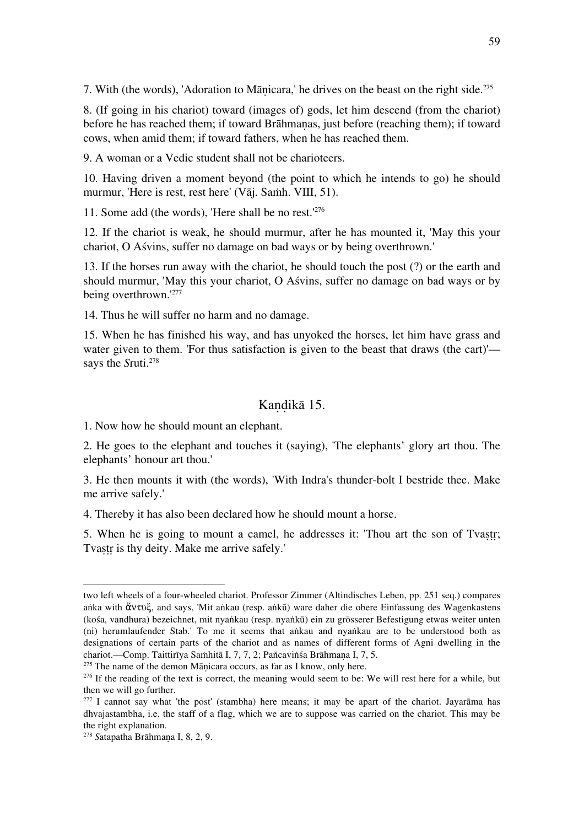7. With (the words), 'Adoration to Mānicara,' he drives on the beast on the right side.<sup>275</sup>

8. (If going in his chariot) toward (images of) gods, let him descend (from the chariot) before he has reached them; if toward Brāhmaṇas, just before (reaching them); if toward cows, when amid them; if toward fathers, when he has reached them.

9. A woman or a Vedic student shall not be charioteers.

10. Having driven a moment beyond (the point to which he intends to go) he should murmur, 'Here is rest, rest here' (Vāj. Saṁh. VIII, 51).

11. Some add (the words), 'Here shall be no rest.'276

12. If the chariot is weak, he should murmur, after he has mounted it, 'May this your chariot, O Aśvins, suffer no damage on bad ways or by being overthrown.'

13. If the horses run away with the chariot, he should touch the post (?) or the earth and should murmur, 'May this your chariot, O Aśvins, suffer no damage on bad ways or by being overthrown.'277

14. Thus he will suffer no harm and no damage.

15. When he has finished his way, and has unyoked the horses, let him have grass and water given to them. 'For thus satisfaction is given to the beast that draws (the cart)' says the *Sruti*.<sup>278</sup>

#### Kandikā 15.

1. Now how he should mount an elephant.

2. He goes to the elephant and touches it (saying), 'The elephants' glory art thou. The elephants' honour art thou.'

3. He then mounts it with (the words), 'With Indra's thunder-bolt I bestride thee. Make me arrive safely.'

4. Thereby it has also been declared how he should mount a horse.

5. When he is going to mount a camel, he addresses it: 'Thou art the son of Tvastr; Tvastr is thy deity. Make me arrive safely.'

 $275$  The name of the demon Mānicara occurs, as far as I know, only here.

two left wheels of a four-wheeled chariot. Professor Zimmer (Altindisches Leben, pp. 251 seq.) compares aṅka with ἄντυξ, and says, 'Mit aṅkau (resp. aṅkū) ware daher die obere Einfassung des Wagenkastens (kośa, vandhura) bezeichnet, mit nyaṅkau (resp. nyaṅkū) ein zu grösserer Befestigung etwas weiter unten (ni) herumlaufender Stab.' To me it seems that aṅkau and nyaṅkau are to be understood both as designations of certain parts of the chariot and as names of different forms of Agni dwelling in the chariot.—Comp. Taittirīya Saṁhitā I, 7, 7, 2; Pañcaviṅśa Brāhmaṇa I, 7, 5.

<sup>&</sup>lt;sup>276</sup> If the reading of the text is correct, the meaning would seem to be: We will rest here for a while, but then we will go further.

 $277$  I cannot say what 'the post' (stambha) here means; it may be apart of the chariot. Jayarāma has dhvajastambha, i.e. the staff of a flag, which we are to suppose was carried on the chariot. This may be the right explanation.

<sup>278</sup> *S*atapatha Brāhmaṇa I, 8, 2, 9.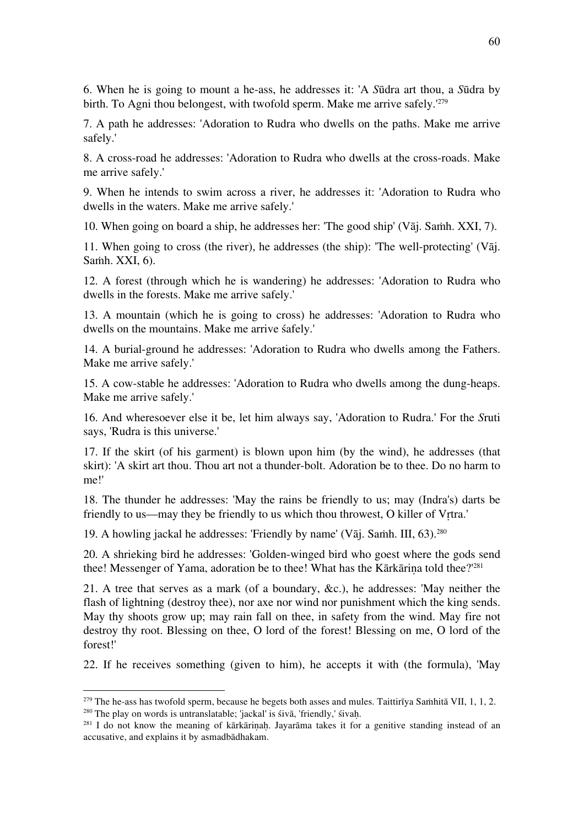6. When he is going to mount a he-ass, he addresses it: 'A *S*ūdra art thou, a *S*ūdra by birth. To Agni thou belongest, with twofold sperm. Make me arrive safely.<sup>'279</sup>

7. A path he addresses: 'Adoration to Rudra who dwells on the paths. Make me arrive safely.'

8. A cross-road he addresses: 'Adoration to Rudra who dwells at the cross-roads. Make me arrive safely.'

9. When he intends to swim across a river, he addresses it: 'Adoration to Rudra who dwells in the waters. Make me arrive safely.'

10. When going on board a ship, he addresses her: 'The good ship' (Vāj. Saṁh. XXI, 7).

11. When going to cross (the river), he addresses (the ship): 'The well-protecting' (Vāj. Saṁh. XXI, 6).

12. A forest (through which he is wandering) he addresses: 'Adoration to Rudra who dwells in the forests. Make me arrive safely.'

13. A mountain (which he is going to cross) he addresses: 'Adoration to Rudra who dwells on the mountains. Make me arrive śafely.'

14. A burial-ground he addresses: 'Adoration to Rudra who dwells among the Fathers. Make me arrive safely.'

15. A cow-stable he addresses: 'Adoration to Rudra who dwells among the dung-heaps. Make me arrive safely.'

16. And wheresoever else it be, let him always say, 'Adoration to Rudra.' For the *S*ruti says, 'Rudra is this universe.'

17. If the skirt (of his garment) is blown upon him (by the wind), he addresses (that skirt): 'A skirt art thou. Thou art not a thunder-bolt. Adoration be to thee. Do no harm to me!'

18. The thunder he addresses: 'May the rains be friendly to us; may (Indra's) darts be friendly to us—may they be friendly to us which thou throwest, O killer of Vṛtra.'

19. A howling jackal he addresses: 'Friendly by name' (Vāj. Samh. III,  $63$ ).<sup>280</sup>

20. A shrieking bird he addresses: 'Golden-winged bird who goest where the gods send thee! Messenger of Yama, adoration be to thee! What has the Kārkāriṇa told thee?'<sup>281</sup>

21. A tree that serves as a mark (of a boundary, &c.), he addresses: 'May neither the flash of lightning (destroy thee), nor axe nor wind nor punishment which the king sends. May thy shoots grow up; may rain fall on thee, in safety from the wind. May fire not destroy thy root. Blessing on thee, O lord of the forest! Blessing on me, O lord of the forest!'

22. If he receives something (given to him), he accepts it with (the formula), 'May

<sup>&</sup>lt;sup>279</sup> The he-ass has twofold sperm, because he begets both asses and mules. Taittirīya Saṁhitā VII, 1, 1, 2. <sup>280</sup> The play on words is untranslatable; 'jackal' is śivā, 'friendly,' śivaḥ.

 $^{281}$  I do not know the meaning of kārkārinah. Jayarāma takes it for a genitive standing instead of an accusative, and explains it by asmadbādhakam.